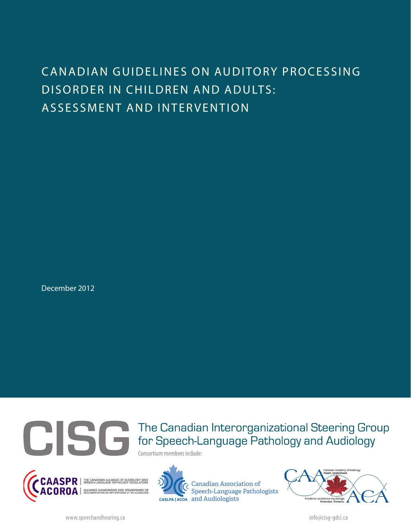# CANADIAN GUIDELINES ON AUDITORY PROCESSING DISORDER IN CHILDREN AND ADULTS: ASSESSMENT AND INTERVENTION

December 2012



The Canadian Interorganizational Steering Group for Speech-Language Pathology and Audiology

Consortium members include:





Canadian Association of Speech-Language Pathologists casLPA | ACOA and Audiologists

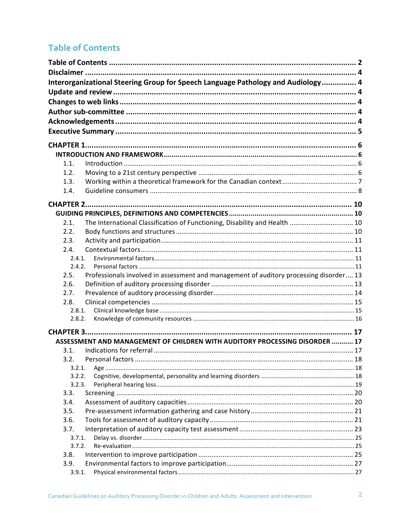# **Table of Contents**

|                | Interorganizational Steering Group for Speech Language Pathology and Audiology 4       |  |
|----------------|----------------------------------------------------------------------------------------|--|
|                |                                                                                        |  |
|                |                                                                                        |  |
|                |                                                                                        |  |
|                |                                                                                        |  |
|                |                                                                                        |  |
|                |                                                                                        |  |
|                |                                                                                        |  |
| 1.1.           |                                                                                        |  |
| 1.2.           |                                                                                        |  |
| 1.3.           |                                                                                        |  |
| 1.4.           |                                                                                        |  |
|                |                                                                                        |  |
|                |                                                                                        |  |
|                |                                                                                        |  |
| 2.1.           | The International Classification of Functioning, Disability and Health  10             |  |
| 2.2.           |                                                                                        |  |
| 2.3.           |                                                                                        |  |
| 2.4.           |                                                                                        |  |
| 2.4.1.         |                                                                                        |  |
| 2.4.2.         |                                                                                        |  |
| 2.5.           | Professionals involved in assessment and management of auditory processing disorder 13 |  |
| 2.6.           |                                                                                        |  |
| 2.7.           |                                                                                        |  |
| 2.8.           |                                                                                        |  |
| 2.8.1.         |                                                                                        |  |
| 2.8.2.         |                                                                                        |  |
|                |                                                                                        |  |
|                | ASSESSMENT AND MANAGEMENT OF CHILDREN WITH AUDITORY PROCESSING DISORDER 17             |  |
| 3.1.           |                                                                                        |  |
| 3.2.           |                                                                                        |  |
| 3.2.1.         |                                                                                        |  |
| 3.2.2.         |                                                                                        |  |
| 3.2.3.         |                                                                                        |  |
| 3.3.           |                                                                                        |  |
| 3.4.           |                                                                                        |  |
| 3.5.           |                                                                                        |  |
| 3.6.           |                                                                                        |  |
| 3.7.           |                                                                                        |  |
| 3.7.1.         |                                                                                        |  |
| 3.7.2.         |                                                                                        |  |
| 3.8.           |                                                                                        |  |
| 3.9.<br>3.9.1. |                                                                                        |  |
|                |                                                                                        |  |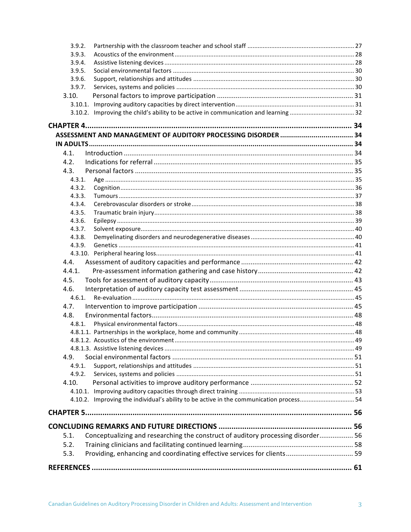| 3.9.2. |                                                                                        |  |  |
|--------|----------------------------------------------------------------------------------------|--|--|
| 3.9.3. |                                                                                        |  |  |
| 3.9.4. |                                                                                        |  |  |
| 3.9.5. |                                                                                        |  |  |
| 3.9.6. |                                                                                        |  |  |
| 3.9.7. |                                                                                        |  |  |
| 3.10.  |                                                                                        |  |  |
|        |                                                                                        |  |  |
|        |                                                                                        |  |  |
|        |                                                                                        |  |  |
|        |                                                                                        |  |  |
|        |                                                                                        |  |  |
| 4.1.   |                                                                                        |  |  |
| 4.2.   |                                                                                        |  |  |
| 4.3.   |                                                                                        |  |  |
| 4.3.1. |                                                                                        |  |  |
| 4.3.2. |                                                                                        |  |  |
| 4.3.3. |                                                                                        |  |  |
| 4.3.4. |                                                                                        |  |  |
| 4.3.5. |                                                                                        |  |  |
| 4.3.6. |                                                                                        |  |  |
| 4.3.7. |                                                                                        |  |  |
| 4.3.8. |                                                                                        |  |  |
| 4.3.9. |                                                                                        |  |  |
|        |                                                                                        |  |  |
| 4.4.   |                                                                                        |  |  |
| 4.4.1. |                                                                                        |  |  |
| 4.5.   |                                                                                        |  |  |
| 4.6.   |                                                                                        |  |  |
| 4.6.1. |                                                                                        |  |  |
| 4.7.   |                                                                                        |  |  |
| 4.8.   |                                                                                        |  |  |
| 4.8.1. |                                                                                        |  |  |
|        |                                                                                        |  |  |
|        |                                                                                        |  |  |
|        |                                                                                        |  |  |
| 4.9.   |                                                                                        |  |  |
| 4.9.1. |                                                                                        |  |  |
| 4.9.2. |                                                                                        |  |  |
| 4.10.  |                                                                                        |  |  |
|        |                                                                                        |  |  |
|        | 4.10.2. Improving the individual's ability to be active in the communication process54 |  |  |
|        |                                                                                        |  |  |
|        |                                                                                        |  |  |
|        |                                                                                        |  |  |
| 5.1.   | Conceptualizing and researching the construct of auditory processing disorder 56       |  |  |
| 5.2.   |                                                                                        |  |  |
| 5.3.   | Providing, enhancing and coordinating effective services for clients 59                |  |  |
|        |                                                                                        |  |  |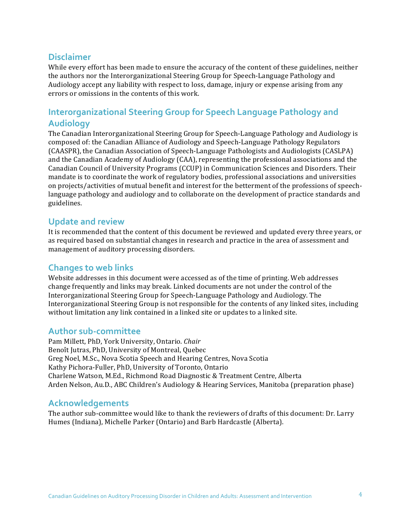# **Disclaimer**

While every effort has been made to ensure the accuracy of the content of these guidelines, neither the authors nor the Interorganizational Steering Group for Speech-Language Pathology and Audiology accept any liability with respect to loss, damage, injury or expense arising from any errors or omissions in the contents of this work.

# **Interorganizational Steering Group for Speech Language Pathology and Audiology**

The Canadian Interorganizational Steering Group for Speech-Language Pathology and Audiology is composed of: the Canadian Alliance of Audiology and Speech-Language Pathology Regulators (CAASPR), the Canadian Association of Speech-Language Pathologists and Audiologists (CASLPA) and the Canadian Academy of Audiology (CAA), representing the professional associations and the Canadian Council of University Programs (CCUP) in Communication Sciences and Disorders. Their mandate is to coordinate the work of regulatory bodies, professional associations and universities on projects/activities of mutual benefit and interest for the betterment of the professions of speechlanguage pathology and audiology and to collaborate on the development of practice standards and guidelines.

## **Update and review**

It is recommended that the content of this document be reviewed and updated every three years, or as required based on substantial changes in research and practice in the area of assessment and management of auditory processing disorders.

# **Changes to web links**

Website addresses in this document were accessed as of the time of printing. Web addresses change frequently and links may break. Linked documents are not under the control of the Interorganizational Steering Group for Speech-Language Pathology and Audiology. The Interorganizational Steering Group is not responsible for the contents of any linked sites, including without limitation any link contained in a linked site or updates to a linked site.

## **Author sub-committee**

Pam Millett, PhD, York University, Ontario. *Chair* Benoît Jutras, PhD, University of Montreal, Quebec Greg Noel, M.Sc., Nova Scotia Speech and Hearing Centres, Nova Scotia Kathy Pichora-Fuller, PhD, University of Toronto, Ontario Charlene Watson, M.Ed., Richmond Road Diagnostic & Treatment Centre, Alberta Arden Nelson, Au.D., ABC Children's Audiology & Hearing Services, Manitoba (preparation phase)

# **Acknowledgements**

The author sub-committee would like to thank the reviewers of drafts of this document: Dr. Larry Humes (Indiana), Michelle Parker (Ontario) and Barb Hardcastle (Alberta).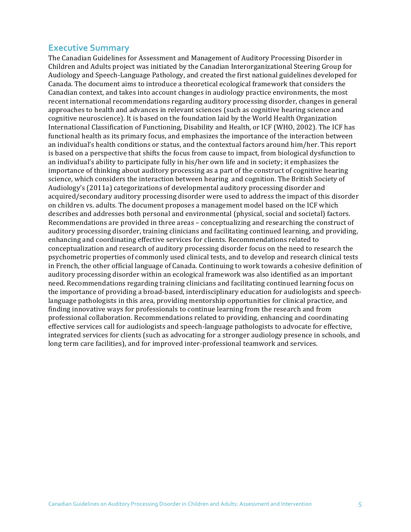#### **Executive Summary**

The Canadian Guidelines for Assessment and Management of Auditory Processing Disorder in Children and Adults project was initiated by the Canadian Interorganizational Steering Group for Audiology and Speech-Language Pathology, and created the first national guidelines developed for Canada. The document aims to introduce a theoretical ecological framework that considers the Canadian context, and takes into account changes in audiology practice environments, the most recent international recommendations regarding auditory processing disorder, changes in general approaches to health and advances in relevant sciences (such as cognitive hearing science and cognitive neuroscience). It is based on the foundation laid by the World Health Organization International Classification of Functioning, Disability and Health, or ICF (WHO, 2002). The ICF has functional health as its primary focus, and emphasizes the importance of the interaction between an individual's health conditions or status, and the contextual factors around him/her. This report is based on a perspective that shifts the focus from cause to impact, from biological dysfunction to an individual's ability to participate fully in his/her own life and in society; it emphasizes the importance of thinking about auditory processing as a part of the construct of cognitive hearing science, which considers the interaction between hearing and cognition. The British Society of Audiology's (2011a) categorizations of developmental auditory processing disorder and acquired/secondary auditory processing disorder were used to address the impact of this disorder on children vs. adults. The document proposes a management model based on the ICF which describes and addresses both personal and environmental (physical, social and societal) factors. Recommendations are provided in three areas – conceptualizing and researching the construct of auditory processing disorder, training clinicians and facilitating continued learning, and providing, enhancing and coordinating effective services for clients. Recommendations related to conceptualization and research of auditory processing disorder focus on the need to research the psychometric properties of commonly used clinical tests, and to develop and research clinical tests in French, the other official language of Canada. Continuing to work towards a cohesive definition of auditory processing disorder within an ecological framework was also identified as an important need. Recommendations regarding training clinicians and facilitating continued learning focus on the importance of providing a broad-based, interdisciplinary education for audiologists and speechlanguage pathologists in this area, providing mentorship opportunities for clinical practice, and finding innovative ways for professionals to continue learning from the research and from professional collaboration. Recommendations related to providing, enhancing and coordinating effective services call for audiologists and speech-language pathologists to advocate for effective, integrated services for clients (such as advocating for a stronger audiology presence in schools, and long term care facilities), and for improved inter-professional teamwork and services.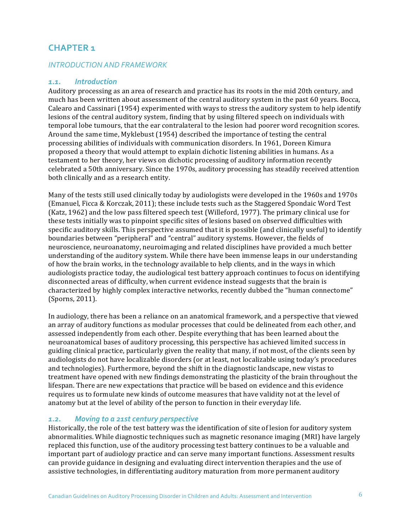# **CHAPTER 1**

#### *INTRODUCTION AND FRAMEWORK*

#### *1.1. Introduction*

Auditory processing as an area of research and practice has its roots in the mid 20th century, and much has been written about assessment of the central auditory system in the past 60 years. Bocca, Calearo and Cassinari (1954) experimented with ways to stress the auditory system to help identify lesions of the central auditory system, finding that by using filtered speech on individuals with temporal lobe tumours, that the ear contralateral to the lesion had poorer word recognition scores. Around the same time, Myklebust (1954) described the importance of testing the central processing abilities of individuals with communication disorders. In 1961, Doreen Kimura proposed a theory that would attempt to explain dichotic listening abilities in humans. As a testament to her theory, her views on dichotic processing of auditory information recently celebrated a 50th anniversary. Since the 1970s, auditory processing has steadily received attention both clinically and as a research entity.

Many of the tests still used clinically today by audiologists were developed in the 1960s and 1970s (Emanuel, Ficca & Korczak, 2011); these include tests such as the Staggered Spondaic Word Test (Katz, 1962) and the low pass filtered speech test (Willeford, 1977). The primary clinical use for these tests initially was to pinpoint specific sites of lesions based on observed difficulties with specific auditory skills. This perspective assumed that it is possible (and clinically useful) to identify boundaries between "peripheral" and "central" auditory systems. However, the fields of neuroscience, neuroanatomy, neuroimaging and related disciplines have provided a much better understanding of the auditory system. While there have been immense leaps in our understanding of how the brain works, in the technology available to help clients, and in the ways in which audiologists practice today, the audiological test battery approach continues to focus on identifying disconnected areas of difficulty, when current evidence instead suggests that the brain is characterized by highly complex interactive networks, recently dubbed the "human connectome" (Sporns, 2011).

In audiology, there has been a reliance on an anatomical framework, and a perspective that viewed an array of auditory functions as modular processes that could be delineated from each other, and assessed independently from each other. Despite everything that has been learned about the neuroanatomical bases of auditory processing, this perspective has achieved limited success in guiding clinical practice, particularly given the reality that many, if not most, of the clients seen by audiologists do not have localizable disorders (or at least, not localizable using today's procedures and technologies). Furthermore, beyond the shift in the diagnostic landscape, new vistas to treatment have opened with new findings demonstrating the plasticity of the brain throughout the lifespan. There are new expectations that practice will be based on evidence and this evidence requires us to formulate new kinds of outcome measures that have validity not at the level of anatomy but at the level of ability of the person to function in their everyday life.

#### 1.2. Moving to a 21st century perspective

Historically, the role of the test battery was the identification of site of lesion for auditory system abnormalities. While diagnostic techniques such as magnetic resonance imaging (MRI) have largely replaced this function, use of the auditory processing test battery continues to be a valuable and important part of audiology practice and can serve many important functions. Assessment results can provide guidance in designing and evaluating direct intervention therapies and the use of assistive technologies, in differentiating auditory maturation from more permanent auditory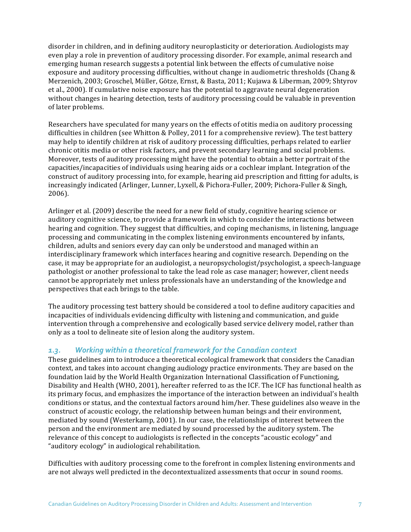disorder in children, and in defining auditory neuroplasticity or deterioration. Audiologists may even play a role in prevention of auditory processing disorder. For example, animal research and emerging human research suggests a potential link between the effects of cumulative noise exposure and auditory processing difficulties, without change in audiometric thresholds (Chang & Merzenich, 2003; Groschel, Müller, Götze, Ernst, & Basta, 2011; Kujawa & Liberman, 2009; Shtyrov et al., 2000). If cumulative noise exposure has the potential to aggravate neural degeneration without changes in hearing detection, tests of auditory processing could be valuable in prevention of later problems.

Researchers have speculated for many years on the effects of otitis media on auditory processing difficulties in children (see Whitton & Polley, 2011 for a comprehensive review). The test battery may help to identify children at risk of auditory processing difficulties, perhaps related to earlier chronic otitis media or other risk factors, and prevent secondary learning and social problems. Moreover, tests of auditory processing might have the potential to obtain a better portrait of the capacities/incapacities of individuals using hearing aids or a cochlear implant. Integration of the construct of auditory processing into, for example, hearing aid prescription and fitting for adults, is increasingly indicated (Arlinger, Lunner, Lyxell, & Pichora-Fuller, 2009; Pichora-Fuller & Singh, 2006). 

Arlinger et al. (2009) describe the need for a new field of study, cognitive hearing science or auditory cognitive science, to provide a framework in which to consider the interactions between hearing and cognition. They suggest that difficulties, and coping mechanisms, in listening, language processing and communicating in the complex listening environments encountered by infants, children, adults and seniors every day can only be understood and managed within an interdisciplinary framework which interfaces hearing and cognitive research. Depending on the case, it may be appropriate for an audiologist, a neuropsychologist/psychologist, a speech-language pathologist or another professional to take the lead role as case manager; however, client needs cannot be appropriately met unless professionals have an understanding of the knowledge and perspectives that each brings to the table.

The auditory processing test battery should be considered a tool to define auditory capacities and incapacities of individuals evidencing difficulty with listening and communication, and guide intervention through a comprehensive and ecologically based service delivery model, rather than only as a tool to delineate site of lesion along the auditory system.

## 1.3. *Working within a theoretical framework for the Canadian context*

These guidelines aim to introduce a theoretical ecological framework that considers the Canadian context, and takes into account changing audiology practice environments. They are based on the foundation laid by the World Health Organization International Classification of Functioning, Disability and Health (WHO, 2001), hereafter referred to as the ICF. The ICF has functional health as its primary focus, and emphasizes the importance of the interaction between an individual's health conditions or status, and the contextual factors around him/her. These guidelines also weave in the construct of acoustic ecology, the relationship between human beings and their environment, mediated by sound (Westerkamp, 2001). In our case, the relationships of interest between the person and the environment are mediated by sound processed by the auditory system. The relevance of this concept to audiologists is reflected in the concepts "acoustic ecology" and "auditory ecology" in audiological rehabilitation.

Difficulties with auditory processing come to the forefront in complex listening environments and are not always well predicted in the decontextualized assessments that occur in sound rooms.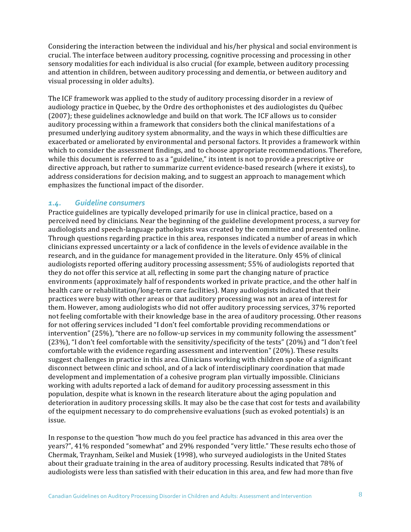Considering the interaction between the individual and his/her physical and social environment is crucial. The interface between auditory processing, cognitive processing and processing in other sensory modalities for each individual is also crucial (for example, between auditory processing and attention in children, between auditory processing and dementia, or between auditory and visual processing in older adults).

The ICF framework was applied to the study of auditory processing disorder in a review of audiology practice in Quebec, by the Ordre des orthophonistes et des audiologistes du Québec (2007); these guidelines acknowledge and build on that work. The ICF allows us to consider auditory processing within a framework that considers both the clinical manifestations of a presumed underlying auditory system abnormality, and the ways in which these difficulties are exacerbated or ameliorated by environmental and personal factors. It provides a framework within which to consider the assessment findings, and to choose appropriate recommendations. Therefore, while this document is referred to as a "guideline," its intent is not to provide a prescriptive or directive approach, but rather to summarize current evidence-based research (where it exists), to address considerations for decision making, and to suggest an approach to management which emphasizes the functional impact of the disorder.

#### 1.4. Guideline consumers

Practice guidelines are typically developed primarily for use in clinical practice, based on a perceived need by clinicians. Near the beginning of the guideline development process, a survey for audiologists and speech-language pathologists was created by the committee and presented online. Through questions regarding practice in this area, responses indicated a number of areas in which clinicians expressed uncertainty or a lack of confidence in the levels of evidence available in the research, and in the guidance for management provided in the literature. Only 45% of clinical audiologists reported offering auditory processing assessment;  $55%$  of audiologists reported that they do not offer this service at all, reflecting in some part the changing nature of practice environments (approximately half of respondents worked in private practice, and the other half in health care or rehabilitation/long-term care facilities). Many audiologists indicated that their practices were busy with other areas or that auditory processing was not an area of interest for them. However, among audiologists who did not offer auditory processing services, 37% reported not feeling comfortable with their knowledge base in the area of auditory processing. Other reasons for not offering services included "I don't feel comfortable providing recommendations or intervention"  $(25%)$ , "there are no follow-up services in my community following the assessment" (23%), "I don't feel comfortable with the sensitivity/specificity of the tests" (20%) and "I don't feel comfortable with the evidence regarding assessment and intervention"  $(20\%)$ . These results suggest challenges in practice in this area. Clinicians working with children spoke of a significant disconnect between clinic and school, and of a lack of interdisciplinary coordination that made development and implementation of a cohesive program plan virtually impossible. Clinicians working with adults reported a lack of demand for auditory processing assessment in this population, despite what is known in the research literature about the aging population and deterioration in auditory processing skills. It may also be the case that cost for tests and availability of the equipment necessary to do comprehensive evaluations (such as evoked potentials) is an issue.

In response to the question "how much do you feel practice has advanced in this area over the years?", 41% responded "somewhat" and 29% responded "very little." These results echo those of Chermak, Traynham, Seikel and Musiek (1998), who surveyed audiologists in the United States about their graduate training in the area of auditory processing. Results indicated that 78% of audiologists were less than satisfied with their education in this area, and few had more than five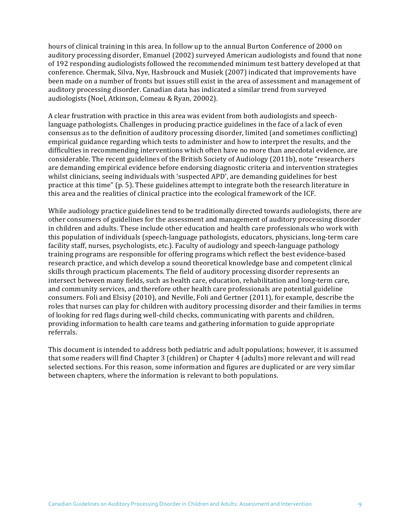hours of clinical training in this area. In follow up to the annual Burton Conference of 2000 on auditory processing disorder, Emanuel (2002) surveyed American audiologists and found that none of 192 responding audiologists followed the recommended minimum test battery developed at that conference. Chermak, Silva, Nye, Hasbrouck and Musiek (2007) indicated that improvements have been made on a number of fronts but issues still exist in the area of assessment and management of auditory processing disorder. Canadian data has indicated a similar trend from surveyed audiologists (Noel, Atkinson, Comeau & Ryan, 20002).

A clear frustration with practice in this area was evident from both audiologists and speechlanguage pathologists. Challenges in producing practice guidelines in the face of a lack of even consensus as to the definition of auditory processing disorder, limited (and sometimes conflicting) empirical guidance regarding which tests to administer and how to interpret the results, and the difficulties in recommending interventions which often have no more than anecdotal evidence, are considerable. The recent guidelines of the British Society of Audiology (2011b), note "researchers are demanding empirical evidence before endorsing diagnostic criteria and intervention strategies whilst clinicians, seeing individuals with 'suspected APD', are demanding guidelines for best practice at this time" (p. 5). These guidelines attempt to integrate both the research literature in this area and the realities of clinical practice into the ecological framework of the ICF.

While audiology practice guidelines tend to be traditionally directed towards audiologists, there are other consumers of guidelines for the assessment and management of auditory processing disorder in children and adults. These include other education and health care professionals who work with this population of individuals (speech-language pathologists, educators, physicians, long-term care facility staff, nurses, psychologists, etc.). Faculty of audiology and speech-language pathology training programs are responsible for offering programs which reflect the best evidence-based research practice, and which develop a sound theoretical knowledge base and competent clinical skills through practicum placements. The field of auditory processing disorder represents an intersect between many fields, such as health care, education, rehabilitation and long-term care, and community services, and therefore other health care professionals are potential guideline consumers. Foli and Elsisy (2010), and Neville, Foli and Gertner (2011), for example, describe the roles that nurses can play for children with auditory processing disorder and their families in terms of looking for red flags during well-child checks, communicating with parents and children, providing information to health care teams and gathering information to guide appropriate referrals. 

This document is intended to address both pediatric and adult populations; however, it is assumed that some readers will find Chapter 3 (children) or Chapter 4 (adults) more relevant and will read selected sections. For this reason, some information and figures are duplicated or are very similar between chapters, where the information is relevant to both populations.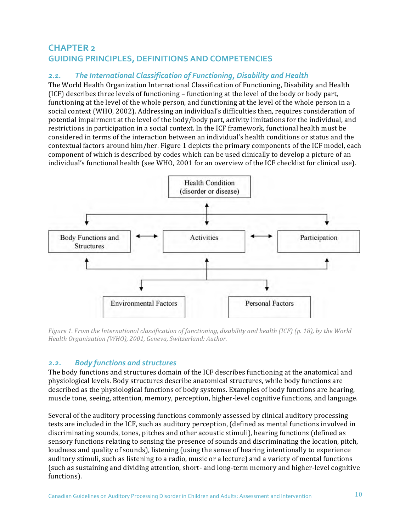# **CHAPTER 2 GUIDING PRINCIPLES, DEFINITIONS AND COMPETENCIES**

# 2.1. The International Classification of Functioning, Disability and Health

The World Health Organization International Classification of Functioning, Disability and Health (ICF) describes three levels of functioning – functioning at the level of the body or body part, functioning at the level of the whole person, and functioning at the level of the whole person in a social context (WHO, 2002). Addressing an individual's difficulties then, requires consideration of potential impairment at the level of the body/body part, activity limitations for the individual, and restrictions in participation in a social context. In the ICF framework, functional health must be considered in terms of the interaction between an individual's health conditions or status and the contextual factors around him/her. Figure 1 depicts the primary components of the ICF model, each component of which is described by codes which can be used clinically to develop a picture of an individual's functional health (see WHO, 2001 for an overview of the ICF checklist for clinical use).



*Figure* 1. *From the International classification of functioning, disability and health (ICF)* (p. 18), by the World *Health Organization (WHO), 2001, Geneva, Switzerland: Author.* 

## *2.2. Body functions and structures*

The body functions and structures domain of the ICF describes functioning at the anatomical and physiological levels. Body structures describe anatomical structures, while body functions are described as the physiological functions of body systems. Examples of body functions are hearing, muscle tone, seeing, attention, memory, perception, higher-level cognitive functions, and language.

Several of the auditory processing functions commonly assessed by clinical auditory processing tests are included in the ICF, such as auditory perception, (defined as mental functions involved in discriminating sounds, tones, pitches and other acoustic stimuli), hearing functions (defined as sensory functions relating to sensing the presence of sounds and discriminating the location, pitch, loudness and quality of sounds), listening (using the sense of hearing intentionally to experience auditory stimuli, such as listening to a radio, music or a lecture) and a variety of mental functions (such as sustaining and dividing attention, short- and long-term memory and higher-level cognitive functions).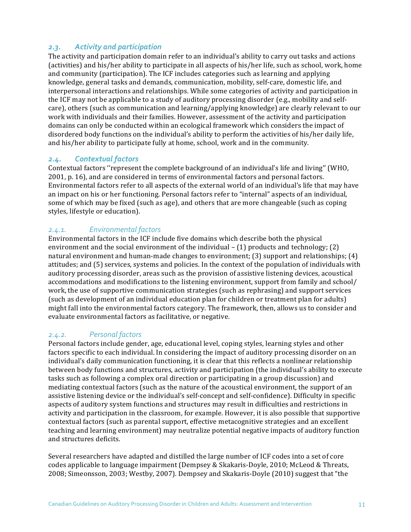# *2.3. Activity and participation*

The activity and participation domain refer to an individual's ability to carry out tasks and actions (activities) and his/her ability to participate in all aspects of his/her life, such as school, work, home and community (participation). The ICF includes categories such as learning and applying knowledge, general tasks and demands, communication, mobility, self-care, domestic life, and interpersonal interactions and relationships. While some categories of activity and participation in the ICF may not be applicable to a study of auditory processing disorder (e.g., mobility and selfcare), others (such as communication and learning/applying knowledge) are clearly relevant to our work with individuals and their families. However, assessment of the activity and participation domains can only be conducted within an ecological framework which considers the impact of disordered body functions on the individual's ability to perform the activities of his/her daily life, and his/her ability to participate fully at home, school, work and in the community.

## *2.4. Contextual factors*

Contextual factors "represent the complete background of an individual's life and living" (WHO, 2001, p. 16), and are considered in terms of environmental factors and personal factors. Environmental factors refer to all aspects of the external world of an individual's life that may have an impact on his or her functioning. Personal factors refer to "internal" aspects of an individual, some of which may be fixed (such as age), and others that are more changeable (such as coping styles, lifestyle or education).

# *2.4.1. Environmental factors*

Environmental factors in the ICF include five domains which describe both the physical environment and the social environment of the individual  $-$  (1) products and technology; (2) natural environment and human-made changes to environment;  $(3)$  support and relationships;  $(4)$ attitudes; and (5) services, systems and policies. In the context of the population of individuals with auditory processing disorder, areas such as the provision of assistive listening devices, acoustical accommodations and modifications to the listening environment, support from family and school/ work, the use of supportive communication strategies (such as rephrasing) and support services (such as development of an individual education plan for children or treatment plan for adults) might fall into the environmental factors category. The framework, then, allows us to consider and evaluate environmental factors as facilitative, or negative.

# *2.4.2. Personal factors*

Personal factors include gender, age, educational level, coping styles, learning styles and other factors specific to each individual. In considering the impact of auditory processing disorder on an individual's daily communication functioning, it is clear that this reflects a nonlinear relationship between body functions and structures, activity and participation (the individual's ability to execute tasks such as following a complex oral direction or participating in a group discussion) and mediating contextual factors (such as the nature of the acoustical environment, the support of an assistive listening device or the individual's self-concept and self-confidence). Difficulty in specific aspects of auditory system functions and structures may result in difficulties and restrictions in activity and participation in the classroom, for example. However, it is also possible that supportive contextual factors (such as parental support, effective metacognitive strategies and an excellent teaching and learning environment) may neutralize potential negative impacts of auditory function and structures deficits.

Several researchers have adapted and distilled the large number of ICF codes into a set of core codes applicable to language impairment (Dempsey & Skakaris-Doyle, 2010; McLeod & Threats, 2008; Simeonsson, 2003; Westby, 2007). Dempsey and Skakaris-Doyle (2010) suggest that "the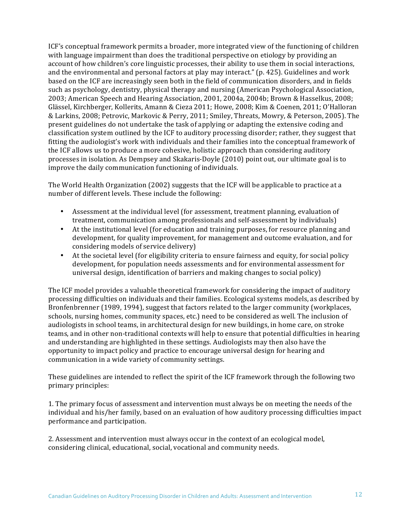ICF's conceptual framework permits a broader, more integrated view of the functioning of children with language impairment than does the traditional perspective on etiology by providing an account of how children's core linguistic processes, their ability to use them in social interactions, and the environmental and personal factors at play may interact."  $(p. 425)$ . Guidelines and work based on the ICF are increasingly seen both in the field of communication disorders, and in fields such as psychology, dentistry, physical therapy and nursing (American Psychological Association, 2003; American Speech and Hearing Association, 2001, 2004a, 2004b; Brown & Hasselkus, 2008; Glässel, Kirchberger, Kollerits, Amann & Cieza 2011; Howe, 2008; Kim & Coenen, 2011; O'Halloran & Larkins, 2008; Petrovic, Markovic & Perry, 2011; Smiley, Threats, Mowry, & Peterson, 2005). The present guidelines do not undertake the task of applying or adapting the extensive coding and classification system outlined by the ICF to auditory processing disorder; rather, they suggest that fitting the audiologist's work with individuals and their families into the conceptual framework of the ICF allows us to produce a more cohesive, holistic approach than considering auditory processes in isolation. As Dempsey and Skakaris-Doyle (2010) point out, our ultimate goal is to improve the daily communication functioning of individuals.

The World Health Organization (2002) suggests that the ICF will be applicable to practice at a number of different levels. These include the following:

- Assessment at the individual level (for assessment, treatment planning, evaluation of treatment, communication among professionals and self-assessment by individuals)
- At the institutional level (for education and training purposes, for resource planning and development, for quality improvement, for management and outcome evaluation, and for considering models of service delivery)
- At the societal level (for eligibility criteria to ensure fairness and equity, for social policy development, for population needs assessments and for environmental assessment for universal design, identification of barriers and making changes to social policy)

The ICF model provides a valuable theoretical framework for considering the impact of auditory processing difficulties on individuals and their families. Ecological systems models, as described by Bronfenbrenner (1989, 1994), suggest that factors related to the larger community (workplaces, schools, nursing homes, community spaces, etc.) need to be considered as well. The inclusion of audiologists in school teams, in architectural design for new buildings, in home care, on stroke teams, and in other non-traditional contexts will help to ensure that potential difficulties in hearing and understanding are highlighted in these settings. Audiologists may then also have the opportunity to impact policy and practice to encourage universal design for hearing and communication in a wide variety of community settings.

These guidelines are intended to reflect the spirit of the ICF framework through the following two primary principles:

1. The primary focus of assessment and intervention must always be on meeting the needs of the individual and his/her family, based on an evaluation of how auditory processing difficulties impact performance and participation.

2. Assessment and intervention must always occur in the context of an ecological model, considering clinical, educational, social, vocational and community needs.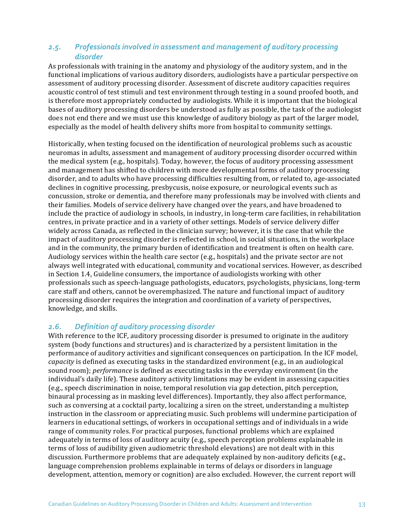## 2.5. Professionals involved in assessment and management of auditory processing *disorder*

As professionals with training in the anatomy and physiology of the auditory system, and in the functional implications of various auditory disorders, audiologists have a particular perspective on assessment of auditory processing disorder. Assessment of discrete auditory capacities requires acoustic control of test stimuli and test environment through testing in a sound proofed booth, and is therefore most appropriately conducted by audiologists. While it is important that the biological bases of auditory processing disorders be understood as fully as possible, the task of the audiologist does not end there and we must use this knowledge of auditory biology as part of the larger model, especially as the model of health delivery shifts more from hospital to community settings.

Historically, when testing focused on the identification of neurological problems such as acoustic neuromas in adults, assessment and management of auditory processing disorder occurred within the medical system  $(e.g.,$  hospitals). Today, however, the focus of auditory processing assessment and management has shifted to children with more developmental forms of auditory processing disorder, and to adults who have processing difficulties resulting from, or related to, age-associated declines in cognitive processing, presbycusis, noise exposure, or neurological events such as concussion, stroke or dementia, and therefore many professionals may be involved with clients and their families. Models of service delivery have changed over the years, and have broadened to include the practice of audiology in schools, in industry, in long-term care facilities, in rehabilitation centres, in private practice and in a variety of other settings. Models of service delivery differ widely across Canada, as reflected in the clinician survey; however, it is the case that while the impact of auditory processing disorder is reflected in school, in social situations, in the workplace and in the community, the primary burden of identification and treatment is often on health care. Audiology services within the health care sector (e.g., hospitals) and the private sector are not always well integrated with educational, community and vocational services. However, as described in Section 1.4, Guideline consumers, the importance of audiologists working with other professionals such as speech-language pathologists, educators, psychologists, physicians, long-term care staff and others, cannot be overemphasized. The nature and functional impact of auditory processing disorder requires the integration and coordination of a variety of perspectives, knowledge, and skills.

# *2.6. Definition of auditory processing disorder*

With reference to the ICF, auditory processing disorder is presumed to originate in the auditory system (body functions and structures) and is characterized by a persistent limitation in the performance of auditory activities and significant consequences on participation. In the ICF model, *capacity* is defined as executing tasks in the standardized environment (e.g., in an audiological sound room); *performance* is defined as executing tasks in the everyday environment (in the individual's daily life). These auditory activity limitations may be evident in assessing capacities (e.g., speech discrimination in noise, temporal resolution via gap detection, pitch perception, binaural processing as in masking level differences). Importantly, they also affect performance, such as conversing at a cocktail party, localizing a siren on the street, understanding a multistep instruction in the classroom or appreciating music. Such problems will undermine participation of learners in educational settings, of workers in occupational settings and of individuals in a wide range of community roles. For practical purposes, functional problems which are explained adequately in terms of loss of auditory acuity (e.g., speech perception problems explainable in terms of loss of audibility given audiometric threshold elevations) are not dealt with in this discussion. Furthermore problems that are adequately explained by non-auditory deficits (e.g., language comprehension problems explainable in terms of delays or disorders in language development, attention, memory or cognition) are also excluded. However, the current report will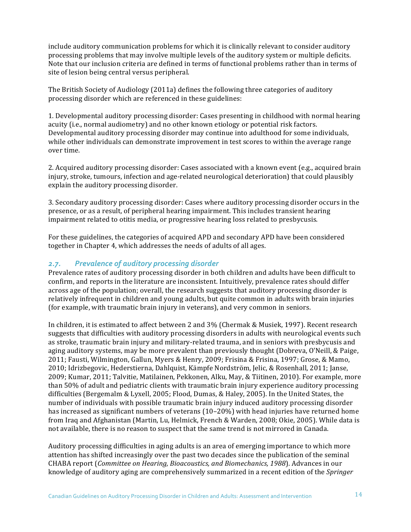include auditory communication problems for which it is clinically relevant to consider auditory processing problems that may involve multiple levels of the auditory system or multiple deficits. Note that our inclusion criteria are defined in terms of functional problems rather than in terms of site of lesion being central versus peripheral.

The British Society of Audiology (2011a) defines the following three categories of auditory processing disorder which are referenced in these guidelines:

1. Developmental auditory processing disorder: Cases presenting in childhood with normal hearing acuity (i.e., normal audiometry) and no other known etiology or potential risk factors. Developmental auditory processing disorder may continue into adulthood for some individuals, while other individuals can demonstrate improvement in test scores to within the average range over time.

2. Acquired auditory processing disorder: Cases associated with a known event (e.g., acquired brain injury, stroke, tumours, infection and age-related neurological deterioration) that could plausibly explain the auditory processing disorder.

3. Secondary auditory processing disorder: Cases where auditory processing disorder occurs in the presence, or as a result, of peripheral hearing impairment. This includes transient hearing impairment related to otitis media, or progressive hearing loss related to presbycusis.

For these guidelines, the categories of acquired APD and secondary APD have been considered together in Chapter 4, which addresses the needs of adults of all ages.

#### 2.7. Prevalence of auditory processing disorder

Prevalence rates of auditory processing disorder in both children and adults have been difficult to confirm, and reports in the literature are inconsistent. Intuitively, prevalence rates should differ across age of the population; overall, the research suggests that auditory processing disorder is relatively infrequent in children and young adults, but quite common in adults with brain injuries (for example, with traumatic brain injury in veterans), and very common in seniors.

In children, it is estimated to affect between 2 and 3% (Chermak & Musiek, 1997). Recent research suggests that difficulties with auditory processing disorders in adults with neurological events such as stroke, traumatic brain injury and military-related trauma, and in seniors with presbycusis and aging auditory systems, may be more prevalent than previously thought (Dobreva, O'Neill, & Paige, 2011; Fausti, Wilmington, Gallun, Myers & Henry, 2009; Frisina & Frisina, 1997; Grose, & Mamo, 2010; Idrizbegovic, Hederstierna, Dahlquist, Kämpfe Nordström, Jelic, & Rosenhall, 2011; Janse, 2009; Kumar, 2011; Talvitie, Matilainen, Pekkonen, Alku, May, & Tiitinen, 2010). For example, more than 50% of adult and pediatric clients with traumatic brain injury experience auditory processing difficulties (Bergemalm & Lyxell, 2005; Flood, Dumas, & Haley, 2005). In the United States, the number of individuals with possible traumatic brain injury induced auditory processing disorder has increased as significant numbers of veterans  $(10-20\%)$  with head injuries have returned home from Iraq and Afghanistan (Martin, Lu, Helmick, French & Warden, 2008; Okie, 2005). While data is not available, there is no reason to suspect that the same trend is not mirrored in Canada.

Auditory processing difficulties in aging adults is an area of emerging importance to which more attention has shifted increasingly over the past two decades since the publication of the seminal CHABA report (*Committee on Hearing, Bioacoustics, and Biomechanics, 1988*). Advances in our knowledge of auditory aging are comprehensively summarized in a recent edition of the *Springer*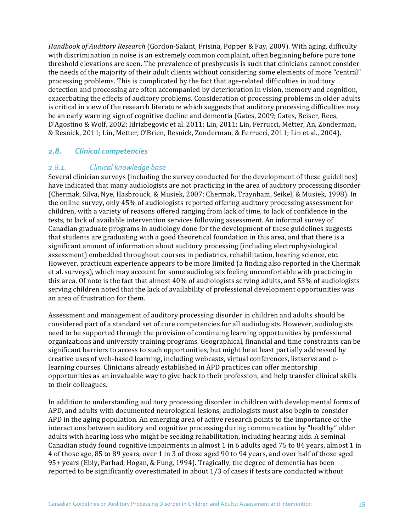*Handbook of Auditory Research* (Gordon-Salant, Frisina, Popper & Fay, 2009). With aging, difficulty with discrimination in noise is an extremely common complaint, often beginning before pure tone threshold elevations are seen. The prevalence of presbycusis is such that clinicians cannot consider the needs of the majority of their adult clients without considering some elements of more "central" processing problems. This is complicated by the fact that age-related difficulties in auditory detection and processing are often accompanied by deterioration in vision, memory and cognition, exacerbating the effects of auditory problems. Consideration of processing problems in older adults is critical in view of the research literature which suggests that auditory processing difficulties may be an early warning sign of cognitive decline and dementia (Gates, 2009; Gates, Beiser, Rees, D'Agostino & Wolf, 2002; Idrizbegovic et al. 2011; Lin, 2011; Lin, Ferrucci, Metter, An, Zonderman, & Resnick, 2011; Lin, Metter, O'Brien, Resnick, Zonderman, & Ferrucci, 2011; Lin et al., 2004).

#### 2.8. Clinical competencies

#### 2.8.1. **Clinical knowledge base**

Several clinician surveys (including the survey conducted for the development of these guidelines) have indicated that many audiologists are not practicing in the area of auditory processing disorder (Chermak, Silva, Nye, Hasbrouck, & Musiek, 2007; Chermak, Traynham, Seikel, & Musiek, 1998). In the online survey, only 45% of audiologists reported offering auditory processing assessment for children, with a variety of reasons offered ranging from lack of time, to lack of confidence in the tests, to lack of available intervention services following assessment. An informal survey of Canadian graduate programs in audiology done for the development of these guidelines suggests that students are graduating with a good theoretical foundation in this area, and that there is a significant amount of information about auditory processing (including electrophysiological assessment) embedded throughout courses in pediatrics, rehabilitation, hearing science, etc. However, practicum experience appears to be more limited (a finding also reported in the Chermak et al. surveys), which may account for some audiologists feeling uncomfortable with practicing in this area. Of note is the fact that almost 40% of audiologists serving adults, and 53% of audiologists serving children noted that the lack of availability of professional development opportunities was an area of frustration for them.

Assessment and management of auditory processing disorder in children and adults should be considered part of a standard set of core competencies for all audiologists. However, audiologists need to be supported through the provision of continuing learning opportunities by professional organizations and university training programs. Geographical, financial and time constraints can be significant barriers to access to such opportunities, but might be at least partially addressed by creative uses of web-based learning, including webcasts, virtual conferences, listservs and elearning courses. Clinicians already established in APD practices can offer mentorship opportunities as an invaluable way to give back to their profession, and help transfer clinical skills to their colleagues.

In addition to understanding auditory processing disorder in children with developmental forms of APD, and adults with documented neurological lesions, audiologists must also begin to consider APD in the aging population. An emerging area of active research points to the importance of the interactions between auditory and cognitive processing during communication by "healthy" older adults with hearing loss who might be seeking rehabilitation, including hearing aids. A seminal Canadian study found cognitive impairments in almost 1 in 6 adults aged 75 to 84 years, almost 1 in 4 of those age, 85 to 89 years, over 1 in 3 of those aged 90 to 94 years, and over half of those aged 95+ years (Ebly, Parhad, Hogan, & Fung, 1994). Tragically, the degree of dementia has been reported to be significantly overestimated in about 1/3 of cases if tests are conducted without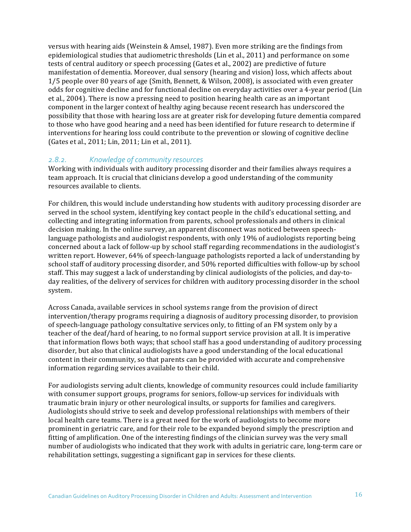versus with hearing aids (Weinstein & Amsel, 1987). Even more striking are the findings from epidemiological studies that audiometric thresholds (Lin et al., 2011) and performance on some tests of central auditory or speech processing (Gates et al., 2002) are predictive of future manifestation of dementia. Moreover, dual sensory (hearing and vision) loss, which affects about 1/5 people over 80 years of age (Smith, Bennett, & Wilson, 2008), is associated with even greater odds for cognitive decline and for functional decline on everyday activities over a 4-year period (Lin et al., 2004). There is now a pressing need to position hearing health care as an important component in the larger context of healthy aging because recent research has underscored the possibility that those with hearing loss are at greater risk for developing future dementia compared to those who have good hearing and a need has been identified for future research to determine if interventions for hearing loss could contribute to the prevention or slowing of cognitive decline (Gates et al., 2011; Lin, 2011; Lin et al., 2011).

#### 2.8.2. *Knowledge of community resources*

Working with individuals with auditory processing disorder and their families always requires a team approach. It is crucial that clinicians develop a good understanding of the community resources available to clients.

For children, this would include understanding how students with auditory processing disorder are served in the school system, identifying key contact people in the child's educational setting, and collecting and integrating information from parents, school professionals and others in clinical decision making. In the online survey, an apparent disconnect was noticed between speechlanguage pathologists and audiologist respondents, with only 19% of audiologists reporting being concerned about a lack of follow-up by school staff regarding recommendations in the audiologist's written report. However, 64% of speech-language pathologists reported a lack of understanding by school staff of auditory processing disorder, and 50% reported difficulties with follow-up by school staff. This may suggest a lack of understanding by clinical audiologists of the policies, and day-today realities, of the delivery of services for children with auditory processing disorder in the school system. 

Across Canada, available services in school systems range from the provision of direct intervention/therapy programs requiring a diagnosis of auditory processing disorder, to provision of speech-language pathology consultative services only, to fitting of an FM system only by a teacher of the deaf/hard of hearing, to no formal support service provision at all. It is imperative that information flows both ways; that school staff has a good understanding of auditory processing disorder, but also that clinical audiologists have a good understanding of the local educational content in their community, so that parents can be provided with accurate and comprehensive information regarding services available to their child.

For audiologists serving adult clients, knowledge of community resources could include familiarity with consumer support groups, programs for seniors, follow-up services for individuals with traumatic brain injury or other neurological insults, or supports for families and caregivers. Audiologists should strive to seek and develop professional relationships with members of their local health care teams. There is a great need for the work of audiologists to become more prominent in geriatric care, and for their role to be expanded beyond simply the prescription and fitting of amplification. One of the interesting findings of the clinician survey was the very small number of audiologists who indicated that they work with adults in geriatric care, long-term care or rehabilitation settings, suggesting a significant gap in services for these clients.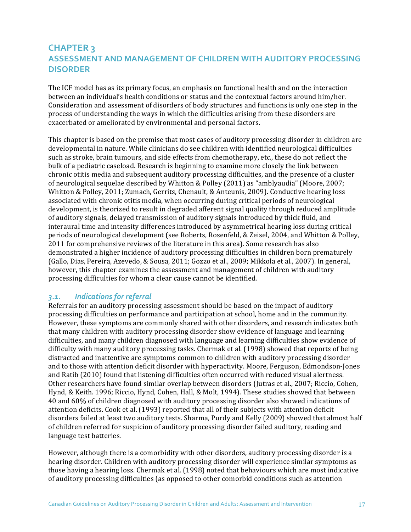# **CHAPTER 3 ASSESSMENT AND MANAGEMENT OF CHILDREN WITH AUDITORY PROCESSING DISORDER**

The ICF model has as its primary focus, an emphasis on functional health and on the interaction between an individual's health conditions or status and the contextual factors around him/her. Consideration and assessment of disorders of body structures and functions is only one step in the process of understanding the ways in which the difficulties arising from these disorders are exacerbated or ameliorated by environmental and personal factors.

This chapter is based on the premise that most cases of auditory processing disorder in children are developmental in nature. While clinicians do see children with identified neurological difficulties such as stroke, brain tumours, and side effects from chemotherapy, etc., these do not reflect the bulk of a pediatric caseload. Research is beginning to examine more closely the link between chronic otitis media and subsequent auditory processing difficulties, and the presence of a cluster of neurological sequelae described by Whitton & Polley (2011) as "amblyaudia" (Moore, 2007; Whitton & Polley, 2011; Zumach, Gerrits, Chenault, & Anteunis, 2009). Conductive hearing loss associated with chronic otitis media, when occurring during critical periods of neurological development, is theorized to result in degraded afferent signal quality through reduced amplitude of auditory signals, delayed transmission of auditory signals introduced by thick fluid, and interaural time and intensity differences introduced by asymmetrical hearing loss during critical periods of neurological development (see Roberts, Rosenfeld, & Zeisel, 2004, and Whitton & Polley, 2011 for comprehensive reviews of the literature in this area). Some research has also demonstrated a higher incidence of auditory processing difficulties in children born prematurely (Gallo, Dias, Pereira, Azevedo, & Sousa, 2011; Gozzo et al., 2009; Mikkola et al., 2007). In general, however, this chapter examines the assessment and management of children with auditory processing difficulties for whom a clear cause cannot be identified.

## 3.1. **Indications** for referral

Referrals for an auditory processing assessment should be based on the impact of auditory processing difficulties on performance and participation at school, home and in the community. However, these symptoms are commonly shared with other disorders, and research indicates both that many children with auditory processing disorder show evidence of language and learning difficulties, and many children diagnosed with language and learning difficulties show evidence of difficulty with many auditory processing tasks. Chermak et al. (1998) showed that reports of being distracted and inattentive are symptoms common to children with auditory processing disorder and to those with attention deficit disorder with hyperactivity. Moore, Ferguson, Edmondson-Jones and Ratib (2010) found that listening difficulties often occurred with reduced visual alertness. Other researchers have found similar overlap between disorders (Jutras et al., 2007; Riccio, Cohen, Hynd, & Keith. 1996; Riccio, Hynd, Cohen, Hall, & Molt, 1994). These studies showed that between 40 and 60% of children diagnosed with auditory processing disorder also showed indications of attention deficits. Cook et al. (1993) reported that all of their subjects with attention deficit disorders failed at least two auditory tests. Sharma, Purdy and Kelly (2009) showed that almost half of children referred for suspicion of auditory processing disorder failed auditory, reading and language test batteries.

However, although there is a comorbidity with other disorders, auditory processing disorder is a hearing disorder. Children with auditory processing disorder will experience similar symptoms as those having a hearing loss. Chermak et al. (1998) noted that behaviours which are most indicative of auditory processing difficulties (as opposed to other comorbid conditions such as attention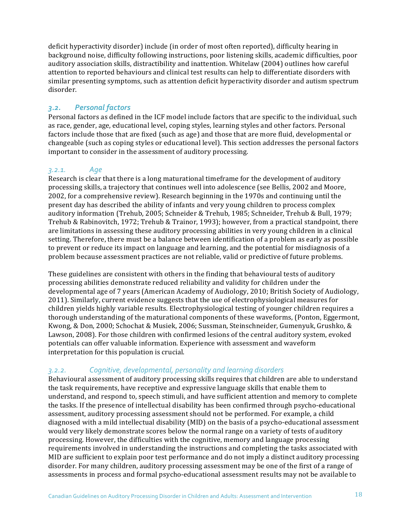deficit hyperactivity disorder) include (in order of most often reported), difficulty hearing in background noise, difficulty following instructions, poor listening skills, academic difficulties, poor auditory association skills, distractibility and inattention. Whitelaw (2004) outlines how careful attention to reported behaviours and clinical test results can help to differentiate disorders with similar presenting symptoms, such as attention deficit hyperactivity disorder and autism spectrum disorder.

# *3.2. Personal factors*

Personal factors as defined in the ICF model include factors that are specific to the individual, such as race, gender, age, educational level, coping styles, learning styles and other factors. Personal factors include those that are fixed (such as age) and those that are more fluid, developmental or changeable (such as coping styles or educational level). This section addresses the personal factors important to consider in the assessment of auditory processing.

# *3.2.1. Age*

Research is clear that there is a long maturational timeframe for the development of auditory processing skills, a trajectory that continues well into adolescence (see Bellis, 2002 and Moore, 2002, for a comprehensive review). Research beginning in the 1970s and continuing until the present day has described the ability of infants and very young children to process complex auditory information (Trehub, 2005; Schneider & Trehub, 1985; Schneider, Trehub & Bull, 1979; Trehub & Rabinovitch, 1972; Trehub & Trainor, 1993); however, from a practical standpoint, there are limitations in assessing these auditory processing abilities in very young children in a clinical setting. Therefore, there must be a balance between identification of a problem as early as possible to prevent or reduce its impact on language and learning, and the potential for misdiagnosis of a problem because assessment practices are not reliable, valid or predictive of future problems.

These guidelines are consistent with others in the finding that behavioural tests of auditory processing abilities demonstrate reduced reliability and validity for children under the developmental age of 7 years (American Academy of Audiology, 2010; British Society of Audiology, 2011). Similarly, current evidence suggests that the use of electrophysiological measures for children yields highly variable results. Electrophysiological testing of younger children requires a thorough understanding of the maturational components of these waveforms, (Ponton, Eggermont, Kwong, & Don, 2000; Schochat & Musiek, 2006; Sussman, Steinschneider, Gumenyuk, Grushko, & Lawson, 2008). For those children with confirmed lesions of the central auditory system, evoked potentials can offer valuable information. Experience with assessment and waveform interpretation for this population is crucial.

## *3.2.2. Cognitive, developmental, personality and learning disorders*

Behavioural assessment of auditory processing skills requires that children are able to understand the task requirements, have receptive and expressive language skills that enable them to understand, and respond to, speech stimuli, and have sufficient attention and memory to complete the tasks. If the presence of intellectual disability has been confirmed through psycho-educational assessment, auditory processing assessment should not be performed. For example, a child diagnosed with a mild intellectual disability (MID) on the basis of a psycho-educational assessment would very likely demonstrate scores below the normal range on a variety of tests of auditory processing. However, the difficulties with the cognitive, memory and language processing requirements involved in understanding the instructions and completing the tasks associated with MID are sufficient to explain poor test performance and do not imply a distinct auditory processing disorder. For many children, auditory processing assessment may be one of the first of a range of assessments in process and formal psycho-educational assessment results may not be available to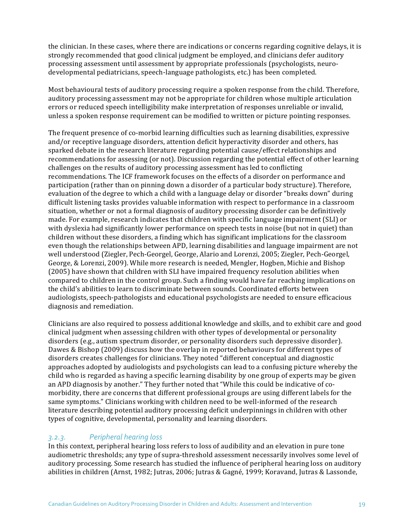the clinician. In these cases, where there are indications or concerns regarding cognitive delays, it is strongly recommended that good clinical judgment be employed, and clinicians defer auditory processing assessment until assessment by appropriate professionals (psychologists, neurodevelopmental pediatricians, speech-language pathologists, etc.) has been completed.

Most behavioural tests of auditory processing require a spoken response from the child. Therefore, auditory processing assessment may not be appropriate for children whose multiple articulation errors or reduced speech intelligibility make interpretation of responses unreliable or invalid, unless a spoken response requirement can be modified to written or picture pointing responses.

The frequent presence of co-morbid learning difficulties such as learning disabilities, expressive and/or receptive language disorders, attention deficit hyperactivity disorder and others, has sparked debate in the research literature regarding potential cause/effect relationships and recommendations for assessing (or not). Discussion regarding the potential effect of other learning challenges on the results of auditory processing assessment has led to conflicting recommendations. The ICF framework focuses on the effects of a disorder on performance and participation (rather than on pinning down a disorder of a particular body structure). Therefore, evaluation of the degree to which a child with a language delay or disorder "breaks down" during difficult listening tasks provides valuable information with respect to performance in a classroom situation, whether or not a formal diagnosis of auditory processing disorder can be definitively made. For example, research indicates that children with specific language impairment (SLI) or with dyslexia had significantly lower performance on speech tests in noise (but not in quiet) than children without these disorders, a finding which has significant implications for the classroom even though the relationships between APD, learning disabilities and language impairment are not well understood (Ziegler, Pech-Georgel, George, Alario and Lorenzi, 2005; Ziegler, Pech-Georgel, George, & Lorenzi, 2009). While more research is needed, Mengler, Hogben, Michie and Bishop (2005) have shown that children with SLI have impaired frequency resolution abilities when compared to children in the control group. Such a finding would have far reaching implications on the child's abilities to learn to discriminate between sounds. Coordinated efforts between audiologists, speech-pathologists and educational psychologists are needed to ensure efficacious diagnosis and remediation.

Clinicians are also required to possess additional knowledge and skills, and to exhibit care and good clinical judgment when assessing children with other types of developmental or personality disorders (e.g., autism spectrum disorder, or personality disorders such depressive disorder). Dawes & Bishop (2009) discuss how the overlap in reported behaviours for different types of disorders creates challenges for clinicians. They noted "different conceptual and diagnostic approaches adopted by audiologists and psychologists can lead to a confusing picture whereby the child who is regarded as having a specific learning disability by one group of experts may be given an APD diagnosis by another." They further noted that "While this could be indicative of comorbidity, there are concerns that different professional groups are using different labels for the same symptoms." Clinicians working with children need to be well-informed of the research literature describing potential auditory processing deficit underpinnings in children with other types of cognitive, developmental, personality and learning disorders.

#### *3.2.3. Peripheral hearing loss*

In this context, peripheral hearing loss refers to loss of audibility and an elevation in pure tone audiometric thresholds; any type of supra-threshold assessment necessarily involves some level of auditory processing. Some research has studied the influence of peripheral hearing loss on auditory abilities in children (Arnst, 1982; Jutras, 2006; Jutras & Gagné, 1999; Koravand, Jutras & Lassonde,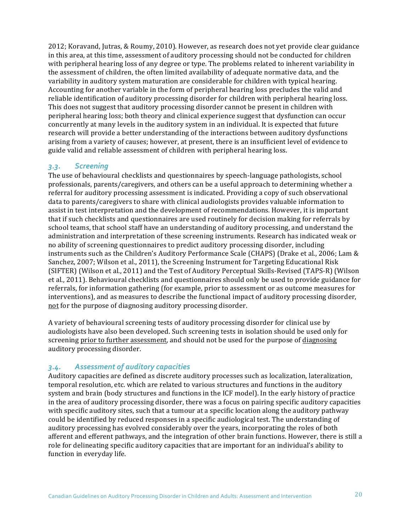2012; Koravand, Jutras, & Roumy, 2010). However, as research does not yet provide clear guidance in this area, at this time, assessment of auditory processing should not be conducted for children with peripheral hearing loss of any degree or type. The problems related to inherent variability in the assessment of children, the often limited availability of adequate normative data, and the variability in auditory system maturation are considerable for children with typical hearing. Accounting for another variable in the form of peripheral hearing loss precludes the valid and reliable identification of auditory processing disorder for children with peripheral hearing loss. This does not suggest that auditory processing disorder cannot be present in children with peripheral hearing loss; both theory and clinical experience suggest that dysfunction can occur concurrently at many levels in the auditory system in an individual. It is expected that future research will provide a better understanding of the interactions between auditory dysfunctions arising from a variety of causes; however, at present, there is an insufficient level of evidence to guide valid and reliable assessment of children with peripheral hearing loss.

#### *3.3. Screening*

The use of behavioural checklists and questionnaires by speech-language pathologists, school professionals, parents/caregivers, and others can be a useful approach to determining whether a referral for auditory processing assessment is indicated. Providing a copy of such observational data to parents/caregivers to share with clinical audiologists provides valuable information to assist in test interpretation and the development of recommendations. However, it is important that if such checklists and questionnaires are used routinely for decision making for referrals by school teams, that school staff have an understanding of auditory processing, and understand the administration and interpretation of these screening instruments. Research has indicated weak or no ability of screening questionnaires to predict auditory processing disorder, including instruments such as the Children's Auditory Performance Scale (CHAPS) (Drake et al., 2006; Lam & Sanchez, 2007; Wilson et al., 2011), the Screening Instrument for Targeting Educational Risk (SIFTER) (Wilson et al., 2011) and the Test of Auditory Perceptual Skills-Revised (TAPS-R) (Wilson et al., 2011). Behavioural checklists and questionnaires should only be used to provide guidance for referrals, for information gathering (for example, prior to assessment or as outcome measures for interventions), and as measures to describe the functional impact of auditory processing disorder, not for the purpose of diagnosing auditory processing disorder.

A variety of behavioural screening tests of auditory processing disorder for clinical use by audiologists have also been developed. Such screening tests in isolation should be used only for screening prior to further assessment, and should not be used for the purpose of diagnosing auditory processing disorder.

#### *3.4. Assessment of auditory capacities*

Auditory capacities are defined as discrete auditory processes such as localization, lateralization, temporal resolution, etc. which are related to various structures and functions in the auditory system and brain (body structures and functions in the ICF model). In the early history of practice in the area of auditory processing disorder, there was a focus on pairing specific auditory capacities with specific auditory sites, such that a tumour at a specific location along the auditory pathway could be identified by reduced responses in a specific audiological test. The understanding of auditory processing has evolved considerably over the years, incorporating the roles of both afferent and efferent pathways, and the integration of other brain functions. However, there is still a role for delineating specific auditory capacities that are important for an individual's ability to function in everyday life.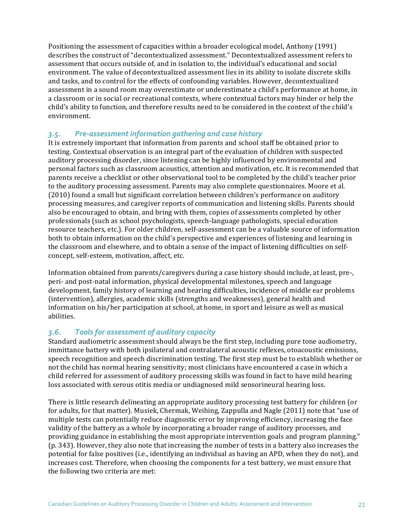Positioning the assessment of capacities within a broader ecological model, Anthony (1991) describes the construct of "decontextualized assessment." Decontextualized assessment refers to assessment that occurs outside of, and in isolation to, the individual's educational and social environment. The value of decontextualized assessment lies in its ability to isolate discrete skills and tasks, and to control for the effects of confounding variables. However, decontextualized assessment in a sound room may overestimate or underestimate a child's performance at home, in a classroom or in social or recreational contexts, where contextual factors may hinder or help the child's ability to function, and therefore results need to be considered in the context of the child's environment.

## 3.5. Pre-assessment information gathering and case history

It is extremely important that information from parents and school staff be obtained prior to testing. Contextual observation is an integral part of the evaluation of children with suspected auditory processing disorder, since listening can be highly influenced by environmental and personal factors such as classroom acoustics, attention and motivation, etc. It is recommended that parents receive a checklist or other observational tool to be completed by the child's teacher prior to the auditory processing assessment. Parents may also complete questionnaires. Moore et al. (2010) found a small but significant correlation between children's performance on auditory processing measures, and caregiver reports of communication and listening skills. Parents should also be encouraged to obtain, and bring with them, copies of assessments completed by other professionals (such as school psychologists, speech-language pathologists, special education resource teachers, etc.). For older children, self-assessment can be a valuable source of information both to obtain information on the child's perspective and experiences of listening and learning in the classroom and elsewhere, and to obtain a sense of the impact of listening difficulties on selfconcept, self-esteem, motivation, affect, etc.

Information obtained from parents/caregivers during a case history should include, at least, pre-, peri- and post-natal information, physical developmental milestones, speech and language development, family history of learning and hearing difficulties, incidence of middle ear problems (intervention), allergies, academic skills (strengths and weaknesses), general health and information on his/her participation at school, at home, in sport and leisure as well as musical abilities. 

# 3.6. Tools for assessment of auditory capacity

Standard audiometric assessment should always be the first step, including pure tone audiometry, immittance battery with both ipsilateral and contralateral acoustic reflexes, otoacoustic emissions, speech recognition and speech discrimination testing. The first step must be to establish whether or not the child has normal hearing sensitivity; most clinicians have encountered a case in which a child referred for assessment of auditory processing skills was found in fact to have mild hearing loss associated with serous otitis media or undiagnosed mild sensorineural hearing loss.

There is little research delineating an appropriate auditory processing test battery for children (or for adults, for that matter). Musiek, Chermak, Weihing, Zappulla and Nagle (2011) note that "use of multiple tests can potentially reduce diagnostic error by improving efficiency, increasing the face validity of the battery as a whole by incorporating a broader range of auditory processes, and providing guidance in establishing the most appropriate intervention goals and program planning." (p. 343). However, they also note that increasing the number of tests in a battery also increases the potential for false positives (i.e., identifying an individual as having an APD, when they do not), and increases cost. Therefore, when choosing the components for a test battery, we must ensure that the following two criteria are met: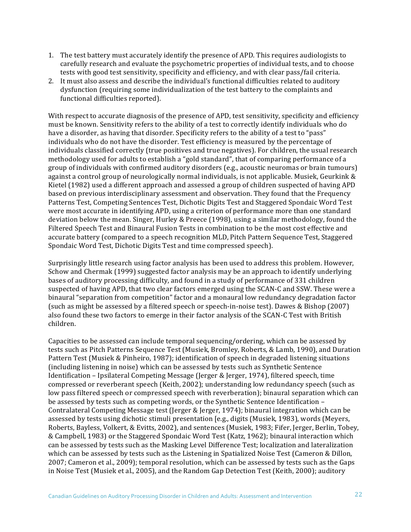- 1. The test battery must accurately identify the presence of APD. This requires audiologists to carefully research and evaluate the psychometric properties of individual tests, and to choose tests with good test sensitivity, specificity and efficiency, and with clear pass/fail criteria.
- 2. It must also assess and describe the individual's functional difficulties related to auditory dysfunction (requiring some individualization of the test battery to the complaints and functional difficulties reported).

With respect to accurate diagnosis of the presence of APD, test sensitivity, specificity and efficiency must be known. Sensitivity refers to the ability of a test to correctly identify individuals who do have a disorder, as having that disorder. Specificity refers to the ability of a test to "pass" individuals who do not have the disorder. Test efficiency is measured by the percentage of individuals classified correctly (true positives and true negatives). For children, the usual research methodology used for adults to establish a "gold standard", that of comparing performance of a group of individuals with confirmed auditory disorders  $(e.g., a$  coustic neuromas or brain tumours) against a control group of neurologically normal individuals, is not applicable. Musiek, Geurkink & Kietel (1982) used a different approach and assessed a group of children suspected of having APD based on previous interdisciplinary assessment and observation. They found that the Frequency Patterns Test, Competing Sentences Test, Dichotic Digits Test and Staggered Spondaic Word Test were most accurate in identifying APD, using a criterion of performance more than one standard deviation below the mean. Singer, Hurley & Preece (1998), using a similar methodology, found the Filtered Speech Test and Binaural Fusion Tests in combination to be the most cost effective and accurate battery (compared to a speech recognition MLD, Pitch Pattern Sequence Test, Staggered Spondaic Word Test, Dichotic Digits Test and time compressed speech).

Surprisingly little research using factor analysis has been used to address this problem. However, Schow and Chermak (1999) suggested factor analysis may be an approach to identify underlying bases of auditory processing difficulty, and found in a study of performance of 331 children suspected of having APD, that two clear factors emerged using the SCAN-C and SSW. These were a binaural "separation from competition" factor and a monaural low redundancy degradation factor (such as might be assessed by a filtered speech or speech-in-noise test). Dawes & Bishop (2007) also found these two factors to emerge in their factor analysis of the SCAN-C Test with British children. 

Capacities to be assessed can include temporal sequencing/ordering, which can be assessed by tests such as Pitch Patterns Sequence Test (Musiek, Bromley, Roberts, & Lamb, 1990), and Duration Pattern Test (Musiek & Pinheiro, 1987); identification of speech in degraded listening situations (including listening in noise) which can be assessed by tests such as Synthetic Sentence Identification – Ipsilateral Competing Message (Jerger & Jerger, 1974), filtered speech, time compressed or reverberant speech (Keith, 2002); understanding low redundancy speech (such as low pass filtered speech or compressed speech with reverberation); binaural separation which can be assessed by tests such as competing words, or the Synthetic Sentence Identification  $-$ Contralateral Competing Message test (Jerger & Jerger, 1974); binaural integration which can be assessed by tests using dichotic stimuli presentation [e.g., digits (Musiek, 1983), words (Meyers, Roberts, Bayless, Volkert, & Evitts, 2002), and sentences (Musiek, 1983; Fifer, Jerger, Berlin, Tobey, & Campbell, 1983) or the Staggered Spondaic Word Test (Katz, 1962); binaural interaction which can be assessed by tests such as the Masking Level Difference Test; localization and lateralization which can be assessed by tests such as the Listening in Spatialized Noise Test (Cameron & Dillon, 2007; Cameron et al., 2009); temporal resolution, which can be assessed by tests such as the Gaps in Noise Test (Musiek et al., 2005), and the Random Gap Detection Test (Keith, 2000); auditory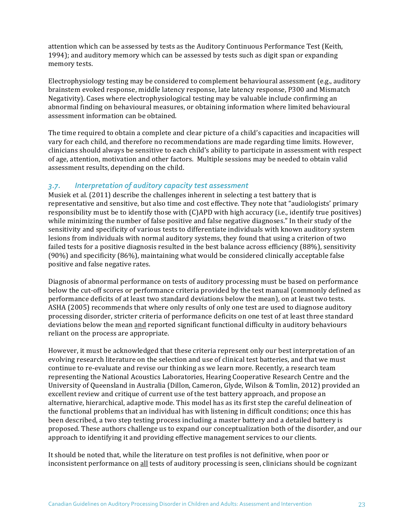attention which can be assessed by tests as the Auditory Continuous Performance Test (Keith, 1994); and auditory memory which can be assessed by tests such as digit span or expanding memory tests.

Electrophysiology testing may be considered to complement behavioural assessment  $(e.g.,$  auditory brainstem evoked response, middle latency response, late latency response, P300 and Mismatch Negativity). Cases where electrophysiological testing may be valuable include confirming an abnormal finding on behavioural measures, or obtaining information where limited behavioural assessment information can be obtained.

The time required to obtain a complete and clear picture of a child's capacities and incapacities will vary for each child, and therefore no recommendations are made regarding time limits. However, clinicians should always be sensitive to each child's ability to participate in assessment with respect of age, attention, motivation and other factors. Multiple sessions may be needed to obtain valid assessment results, depending on the child.

#### *3.7. Interpretation of auditory capacity test assessment*

Musiek et al.  $(2011)$  describe the challenges inherent in selecting a test battery that is representative and sensitive, but also time and cost effective. They note that "audiologists' primary responsibility must be to identify those with  $(C)$ APD with high accuracy (i.e., identify true positives) while minimizing the number of false positive and false negative diagnoses." In their study of the sensitivity and specificity of various tests to differentiate individuals with known auditory system lesions from individuals with normal auditory systems, they found that using a criterion of two failed tests for a positive diagnosis resulted in the best balance across efficiency (88%), sensitivity (90%) and specificity (86%), maintaining what would be considered clinically acceptable false positive and false negative rates.

Diagnosis of abnormal performance on tests of auditory processing must be based on performance below the cut-off scores or performance criteria provided by the test manual (commonly defined as performance deficits of at least two standard deviations below the mean), on at least two tests. ASHA (2005) recommends that where only results of only one test are used to diagnose auditory processing disorder, stricter criteria of performance deficits on one test of at least three standard deviations below the mean and reported significant functional difficulty in auditory behaviours reliant on the process are appropriate.

However, it must be acknowledged that these criteria represent only our best interpretation of an evolving research literature on the selection and use of clinical test batteries, and that we must continue to re-evaluate and revise our thinking as we learn more. Recently, a research team representing the National Acoustics Laboratories, Hearing Cooperative Research Centre and the University of Queensland in Australia (Dillon, Cameron, Glyde, Wilson & Tomlin, 2012) provided an excellent review and critique of current use of the test battery approach, and propose an alternative, hierarchical, adaptive mode. This model has as its first step the careful delineation of the functional problems that an individual has with listening in difficult conditions; once this has been described, a two step testing process including a master battery and a detailed battery is proposed. These authors challenge us to expand our conceptualization both of the disorder, and our approach to identifying it and providing effective management services to our clients.

It should be noted that, while the literature on test profiles is not definitive, when poor or inconsistent performance on all tests of auditory processing is seen, clinicians should be cognizant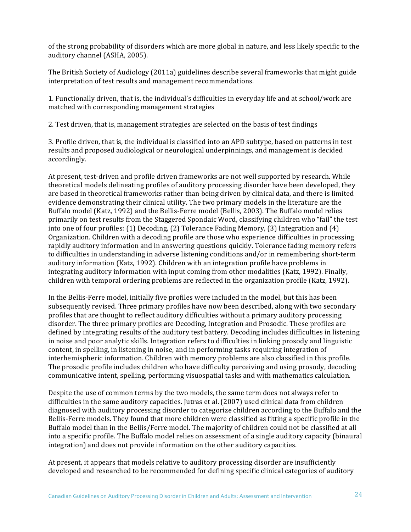of the strong probability of disorders which are more global in nature, and less likely specific to the auditory channel (ASHA, 2005).

The British Society of Audiology (2011a) guidelines describe several frameworks that might guide interpretation of test results and management recommendations.

1. Functionally driven, that is, the individual's difficulties in everyday life and at school/work are matched with corresponding management strategies

2. Test driven, that is, management strategies are selected on the basis of test findings

3. Profile driven, that is, the individual is classified into an APD subtype, based on patterns in test results and proposed audiological or neurological underpinnings, and management is decided accordingly.

At present, test-driven and profile driven frameworks are not well supported by research. While theoretical models delineating profiles of auditory processing disorder have been developed, they are based in theoretical frameworks rather than being driven by clinical data, and there is limited evidence demonstrating their clinical utility. The two primary models in the literature are the Buffalo model (Katz, 1992) and the Bellis-Ferre model (Bellis, 2003). The Buffalo model relies primarily on test results from the Staggered Spondaic Word, classifying children who "fail" the test into one of four profiles:  $(1)$  Decoding,  $(2)$  Tolerance Fading Memory,  $(3)$  Integration and  $(4)$ Organization. Children with a decoding profile are those who experience difficulties in processing rapidly auditory information and in answering questions quickly. Tolerance fading memory refers to difficulties in understanding in adverse listening conditions and/or in remembering short-term auditory information (Katz, 1992). Children with an integration profile have problems in integrating auditory information with input coming from other modalities (Katz, 1992). Finally, children with temporal ordering problems are reflected in the organization profile (Katz, 1992).

In the Bellis-Ferre model, initially five profiles were included in the model, but this has been subsequently revised. Three primary profiles have now been described, along with two secondary profiles that are thought to reflect auditory difficulties without a primary auditory processing disorder. The three primary profiles are Decoding, Integration and Prosodic. These profiles are defined by integrating results of the auditory test battery. Decoding includes difficulties in listening in noise and poor analytic skills. Integration refers to difficulties in linking prosody and linguistic content, in spelling, in listening in noise, and in performing tasks requiring integration of interhemispheric information. Children with memory problems are also classified in this profile. The prosodic profile includes children who have difficulty perceiving and using prosody, decoding communicative intent, spelling, performing visuospatial tasks and with mathematics calculation.

Despite the use of common terms by the two models, the same term does not always refer to difficulties in the same auditory capacities. Jutras et al.  $(2007)$  used clinical data from children diagnosed with auditory processing disorder to categorize children according to the Buffalo and the Bellis-Ferre models. They found that more children were classified as fitting a specific profile in the Buffalo model than in the Bellis/Ferre model. The majority of children could not be classified at all into a specific profile. The Buffalo model relies on assessment of a single auditory capacity (binaural integration) and does not provide information on the other auditory capacities.

At present, it appears that models relative to auditory processing disorder are insufficiently developed and researched to be recommended for defining specific clinical categories of auditory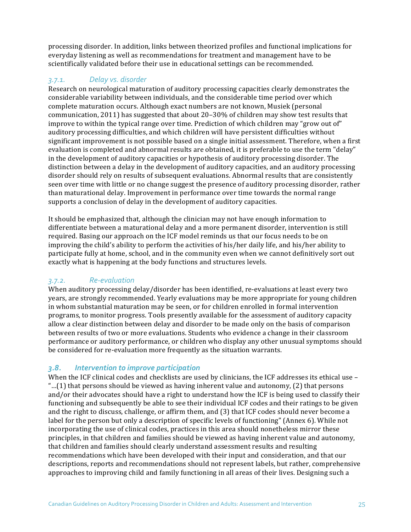processing disorder. In addition, links between theorized profiles and functional implications for everyday listening as well as recommendations for treatment and management have to be scientifically validated before their use in educational settings can be recommended.

# *3.7.1. Delay vs. disorder*

Research on neurological maturation of auditory processing capacities clearly demonstrates the considerable variability between individuals, and the considerable time period over which complete maturation occurs. Although exact numbers are not known, Musiek (personal communication, 2011) has suggested that about  $20-30\%$  of children may show test results that improve to within the typical range over time. Prediction of which children may "grow out of" auditory processing difficulties, and which children will have persistent difficulties without significant improvement is not possible based on a single initial assessment. Therefore, when a first evaluation is completed and abnormal results are obtained, it is preferable to use the term "delay" in the development of auditory capacities or hypothesis of auditory processing disorder. The distinction between a delay in the development of auditory capacities, and an auditory processing disorder should rely on results of subsequent evaluations. Abnormal results that are consistently seen over time with little or no change suggest the presence of auditory processing disorder, rather than maturational delay. Improvement in performance over time towards the normal range supports a conclusion of delay in the development of auditory capacities.

It should be emphasized that, although the clinician may not have enough information to differentiate between a maturational delay and a more permanent disorder, intervention is still required. Basing our approach on the ICF model reminds us that our focus needs to be on improving the child's ability to perform the activities of his/her daily life, and his/her ability to participate fully at home, school, and in the community even when we cannot definitively sort out exactly what is happening at the body functions and structures levels.

## *3.7.2. Re-evaluation*

When auditory processing delay/disorder has been identified, re-evaluations at least every two years, are strongly recommended. Yearly evaluations may be more appropriate for young children in whom substantial maturation may be seen, or for children enrolled in formal intervention programs, to monitor progress. Tools presently available for the assessment of auditory capacity allow a clear distinction between delay and disorder to be made only on the basis of comparison between results of two or more evaluations. Students who evidence a change in their classroom performance or auditory performance, or children who display any other unusual symptoms should be considered for re-evaluation more frequently as the situation warrants.

## *3.8. Intervention to improve participation*

When the ICF clinical codes and checklists are used by clinicians, the ICF addresses its ethical use -"...(1) that persons should be viewed as having inherent value and autonomy, (2) that persons and/or their advocates should have a right to understand how the ICF is being used to classify their functioning and subsequently be able to see their individual ICF codes and their ratings to be given and the right to discuss, challenge, or affirm them, and  $(3)$  that ICF codes should never become a label for the person but only a description of specific levels of functioning" (Annex 6). While not incorporating the use of clinical codes, practices in this area should nonetheless mirror these principles, in that children and families should be viewed as having inherent value and autonomy, that children and families should clearly understand assessment results and resulting recommendations which have been developed with their input and consideration, and that our descriptions, reports and recommendations should not represent labels, but rather, comprehensive approaches to improving child and family functioning in all areas of their lives. Designing such a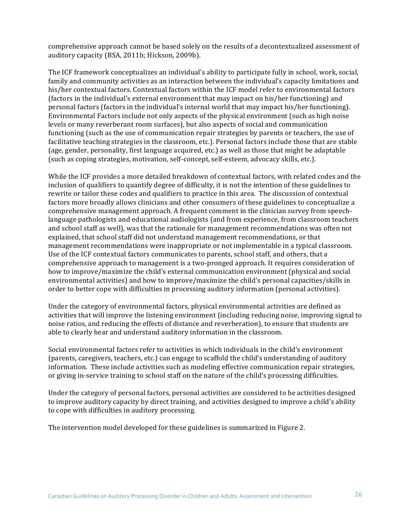comprehensive approach cannot be based solely on the results of a decontextualized assessment of auditory capacity (BSA, 2011b; Hickson, 2009b).

The ICF framework conceptualizes an individual's ability to participate fully in school, work, social, family and community activities as an interaction between the individual's capacity limitations and his/her contextual factors. Contextual factors within the ICF model refer to environmental factors (factors in the individual's external environment that may impact on his/her functioning) and personal factors (factors in the individual's internal world that may impact his/her functioning). Environmental Factors include not only aspects of the physical environment (such as high noise levels or many reverberant room surfaces), but also aspects of social and communication functioning (such as the use of communication repair strategies by parents or teachers, the use of facilitative teaching strategies in the classroom, etc.). Personal factors include those that are stable (age, gender, personality, first language acquired, etc.) as well as those that might be adaptable (such as coping strategies, motivation, self-concept, self-esteem, advocacy skills, etc.).

While the ICF provides a more detailed breakdown of contextual factors, with related codes and the inclusion of qualifiers to quantify degree of difficulty, it is not the intention of these guidelines to rewrite or tailor these codes and qualifiers to practice in this area. The discussion of contextual factors more broadly allows clinicians and other consumers of these guidelines to conceptualize a comprehensive management approach. A frequent comment in the clinician survey from speechlanguage pathologists and educational audiologists (and from experience, from classroom teachers and school staff as well), was that the rationale for management recommendations was often not explained, that school staff did not understand management recommendations, or that management recommendations were inappropriate or not implementable in a typical classroom. Use of the ICF contextual factors communicates to parents, school staff, and others, that a comprehensive approach to management is a two-pronged approach. It requires consideration of how to improve/maximize the child's external communication environment (physical and social environmental activities) and how to improve/maximize the child's personal capacities/skills in order to better cope with difficulties in processing auditory information (personal activities).

Under the category of environmental factors, physical environmental activities are defined as activities that will improve the listening environment (including reducing noise, improving signal to noise ratios, and reducing the effects of distance and reverberation), to ensure that students are able to clearly hear and understand auditory information in the classroom.

Social environmental factors refer to activities in which individuals in the child's environment (parents, caregivers, teachers, etc.) can engage to scaffold the child's understanding of auditory information. These include activities such as modeling effective communication repair strategies, or giving in-service training to school staff on the nature of the child's processing difficulties.

Under the category of personal factors, personal activities are considered to be activities designed to improve auditory capacity by direct training, and activities designed to improve a child's ability to cope with difficulties in auditory processing.

The intervention model developed for these guidelines is summarized in Figure 2.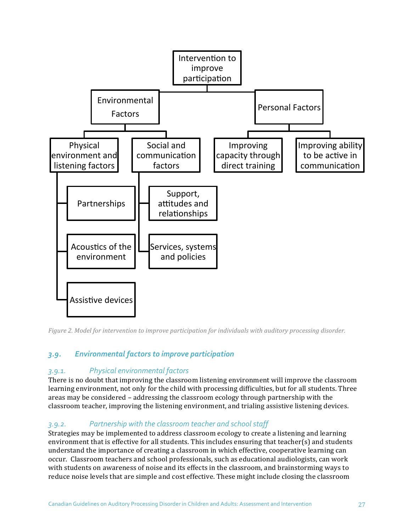

*Figure 2. Model for intervention to improve participation for individuals with auditory processing disorder.* 

## 3.9. *Environmental factors to improve participation*

#### *3.9.1. Physical environmental factors*

There is no doubt that improving the classroom listening environment will improve the classroom learning environment, not only for the child with processing difficulties, but for all students. Three areas may be considered – addressing the classroom ecology through partnership with the classroom teacher, improving the listening environment, and trialing assistive listening devices.

## *3.9.2. Partnership with the classroom teacher and school staff*

Strategies may be implemented to address classroom ecology to create a listening and learning environment that is effective for all students. This includes ensuring that teacher(s) and students understand the importance of creating a classroom in which effective, cooperative learning can occur. Classroom teachers and school professionals, such as educational audiologists, can work with students on awareness of noise and its effects in the classroom, and brainstorming ways to reduce noise levels that are simple and cost effective. These might include closing the classroom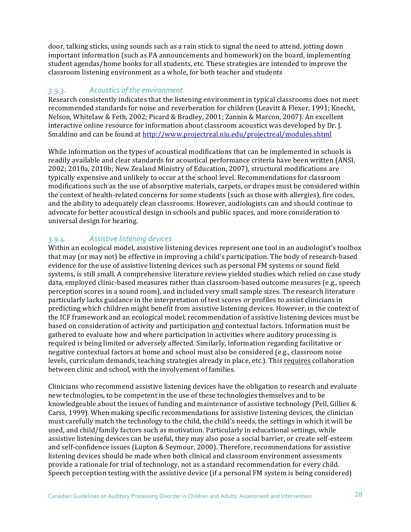door, talking sticks, using sounds such as a rain stick to signal the need to attend, jotting down important information (such as PA announcements and homework) on the board, implementing student agendas/home books for all students, etc. These strategies are intended to improve the classroom listening environment as a whole, for both teacher and students

#### 3.9.3. **Acoustics of the environment**

Research consistently indicates that the listening environment in typical classrooms does not meet recommended standards for noise and reverberation for children (Leavitt & Flexer, 1991; Knecht, Nelson, Whitelaw & Feth, 2002; Picard & Bradley, 2001; Zannin & Marcon, 2007). An excellent interactive online resource for information about classroom acoustics was developed by Dr. J. Smaldino and can be found at http://www.projectreal.niu.edu/projectreal/modules.shtml

While information on the types of acoustical modifications that can be implemented in schools is readily available and clear standards for acoustical performance criteria have been written (ANSI, 2002; 2010a, 2010b; New Zealand Ministry of Education, 2007), structural modifications are typically expensive and unlikely to occur at the school level. Recommendations for classroom modifications such as the use of absorptive materials, carpets, or drapes must be considered within the context of health-related concerns for some students (such as those with allergies), fire codes, and the ability to adequately clean classrooms. However, audiologists can and should continue to advocate for better acoustical design in schools and public spaces, and more consideration to universal design for hearing.

# *3.9.4. Assistive listening devices*

Within an ecological model, assistive listening devices represent one tool in an audiologist's toolbox that may (or may not) be effective in improving a child's participation. The body of research-based evidence for the use of assistive listening devices such as personal FM systems or sound field systems, is still small. A comprehensive literature review yielded studies which relied on case study data, employed clinic-based measures rather than classroom-based outcome measures (e.g., speech perception scores in a sound room), and included very small sample sizes. The research literature particularly lacks guidance in the interpretation of test scores or profiles to assist clinicians in predicting which children might benefit from assistive listening devices. However, in the context of the ICF framework and an ecological model, recommendation of assistive listening devices must be based on consideration of activity and participation and contextual factors. Information must be gathered to evaluate how and where participation in activities where auditory processing is required is being limited or adversely affected. Similarly, information regarding facilitative or negative contextual factors at home and school must also be considered (e.g., classroom noise levels, curriculum demands, teaching strategies already in place, etc.). This requires collaboration between clinic and school, with the involvement of families.

Clinicians who recommend assistive listening devices have the obligation to research and evaluate new technologies, to be competent in the use of these technologies themselves and to be knowledgeable about the issues of funding and maintenance of assistive technology (Pell, Gillies  $\&$ Carss, 1999). When making specific recommendations for assistive listening devices, the clinician must carefully match the technology to the child, the child's needs, the settings in which it will be used, and child/family factors such as motivation. Particularly in educational settings, while assistive listening devices can be useful, they may also pose a social barrier, or create self-esteem and self-confidence issues (Lupton & Seymour, 2000). Therefore, recommendations for assistive listening devices should be made when both clinical and classroom environment assessments provide a rationale for trial of technology, not as a standard recommendation for every child. Speech perception testing with the assistive device  $(i\hat{a})$  personal FM system is being considered)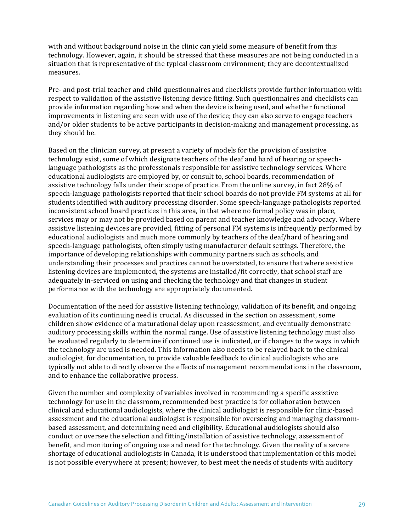with and without background noise in the clinic can yield some measure of benefit from this technology. However, again, it should be stressed that these measures are not being conducted in a situation that is representative of the typical classroom environment; they are decontextualized measures.

Pre- and post-trial teacher and child questionnaires and checklists provide further information with respect to validation of the assistive listening device fitting. Such questionnaires and checklists can provide information regarding how and when the device is being used, and whether functional improvements in listening are seen with use of the device; they can also serve to engage teachers and/or older students to be active participants in decision-making and management processing, as they should be.

Based on the clinician survey, at present a variety of models for the provision of assistive technology exist, some of which designate teachers of the deaf and hard of hearing or speechlanguage pathologists as the professionals responsible for assistive technology services. Where educational audiologists are employed by, or consult to, school boards, recommendation of assistive technology falls under their scope of practice. From the online survey, in fact 28% of speech-language pathologists reported that their school boards do not provide FM systems at all for students identified with auditory processing disorder. Some speech-language pathologists reported inconsistent school board practices in this area, in that where no formal policy was in place, services may or may not be provided based on parent and teacher knowledge and advocacy. Where assistive listening devices are provided, fitting of personal FM systems is infrequently performed by educational audiologists and much more commonly by teachers of the deaf/hard of hearing and speech-language pathologists, often simply using manufacturer default settings. Therefore, the importance of developing relationships with community partners such as schools, and understanding their processes and practices cannot be overstated, to ensure that where assistive listening devices are implemented, the systems are installed/fit correctly, that school staff are adequately in-serviced on using and checking the technology and that changes in student performance with the technology are appropriately documented.

Documentation of the need for assistive listening technology, validation of its benefit, and ongoing evaluation of its continuing need is crucial. As discussed in the section on assessment, some children show evidence of a maturational delay upon reassessment, and eventually demonstrate auditory processing skills within the normal range. Use of assistive listening technology must also be evaluated regularly to determine if continued use is indicated, or if changes to the ways in which the technology are used is needed. This information also needs to be relayed back to the clinical audiologist, for documentation, to provide valuable feedback to clinical audiologists who are typically not able to directly observe the effects of management recommendations in the classroom, and to enhance the collaborative process.

Given the number and complexity of variables involved in recommending a specific assistive technology for use in the classroom, recommended best practice is for collaboration between clinical and educational audiologists, where the clinical audiologist is responsible for clinic-based assessment and the educational audiologist is responsible for overseeing and managing classroombased assessment, and determining need and eligibility. Educational audiologists should also conduct or oversee the selection and fitting/installation of assistive technology, assessment of benefit, and monitoring of ongoing use and need for the technology. Given the reality of a severe shortage of educational audiologists in Canada, it is understood that implementation of this model is not possible everywhere at present; however, to best meet the needs of students with auditory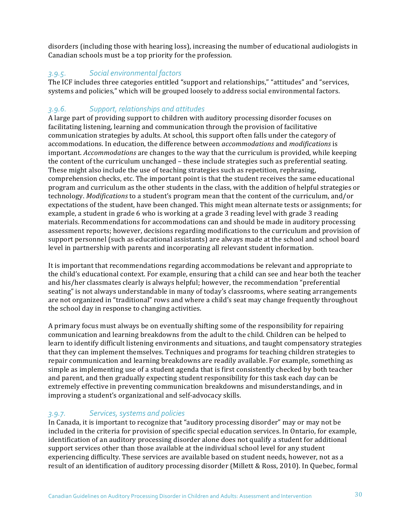disorders (including those with hearing loss), increasing the number of educational audiologists in Canadian schools must be a top priority for the profession.

## *3.9.5. Social environmental factors*

The ICF includes three categories entitled "support and relationships," "attitudes" and "services, systems and policies," which will be grouped loosely to address social environmental factors.

# *3.9.6. Support, relationships and attitudes*

A large part of providing support to children with auditory processing disorder focuses on facilitating listening, learning and communication through the provision of facilitative communication strategies by adults. At school, this support often falls under the category of accommodations. In education, the difference between *accommodations* and *modifications* is important. *Accommodations* are changes to the way that the curriculum is provided, while keeping the content of the curriculum unchanged – these include strategies such as preferential seating. These might also include the use of teaching strategies such as repetition, rephrasing, comprehension checks, etc. The important point is that the student receives the same educational program and curriculum as the other students in the class, with the addition of helpful strategies or technology. *Modifications* to a student's program mean that the content of the curriculum, and/or expectations of the student, have been changed. This might mean alternate tests or assignments; for example, a student in grade 6 who is working at a grade 3 reading level with grade 3 reading materials. Recommendations for accommodations can and should be made in auditory processing assessment reports; however, decisions regarding modifications to the curriculum and provision of support personnel (such as educational assistants) are always made at the school and school board level in partnership with parents and incorporating all relevant student information.

It is important that recommendations regarding accommodations be relevant and appropriate to the child's educational context. For example, ensuring that a child can see and hear both the teacher and his/her classmates clearly is always helpful; however, the recommendation "preferential seating" is not always understandable in many of today's classrooms, where seating arrangements are not organized in "traditional" rows and where a child's seat may change frequently throughout the school day in response to changing activities.

A primary focus must always be on eventually shifting some of the responsibility for repairing communication and learning breakdowns from the adult to the child. Children can be helped to learn to identify difficult listening environments and situations, and taught compensatory strategies that they can implement themselves. Techniques and programs for teaching children strategies to repair communication and learning breakdowns are readily available. For example, something as simple as implementing use of a student agenda that is first consistently checked by both teacher and parent, and then gradually expecting student responsibility for this task each day can be extremely effective in preventing communication breakdowns and misunderstandings, and in improving a student's organizational and self-advocacy skills.

# *3.9.7. Services, systems and policies*

In Canada, it is important to recognize that "auditory processing disorder" may or may not be included in the criteria for provision of specific special education services. In Ontario, for example, identification of an auditory processing disorder alone does not qualify a student for additional support services other than those available at the individual school level for any student experiencing difficulty. These services are available based on student needs, however, not as a result of an identification of auditory processing disorder (Millett & Ross, 2010). In Quebec, formal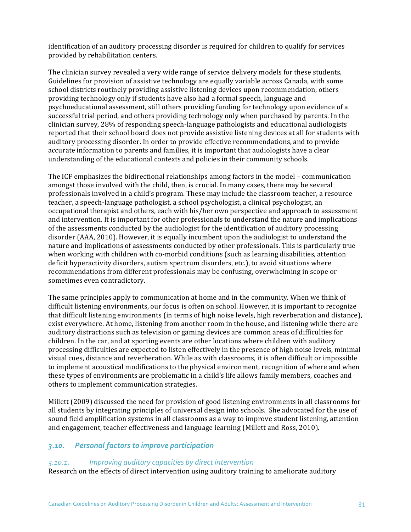identification of an auditory processing disorder is required for children to qualify for services provided by rehabilitation centers.

The clinician survey revealed a very wide range of service delivery models for these students. Guidelines for provision of assistive technology are equally variable across Canada, with some school districts routinely providing assistive listening devices upon recommendation, others providing technology only if students have also had a formal speech, language and psychoeducational assessment, still others providing funding for technology upon evidence of a successful trial period, and others providing technology only when purchased by parents. In the clinician survey, 28% of responding speech-language pathologists and educational audiologists reported that their school board does not provide assistive listening devices at all for students with auditory processing disorder. In order to provide effective recommendations, and to provide accurate information to parents and families, it is important that audiologists have a clear understanding of the educational contexts and policies in their community schools.

The ICF emphasizes the bidirectional relationships among factors in the model – communication amongst those involved with the child, then, is crucial. In many cases, there may be several professionals involved in a child's program. These may include the classroom teacher, a resource teacher, a speech-language pathologist, a school psychologist, a clinical psychologist, an occupational therapist and others, each with his/her own perspective and approach to assessment and intervention. It is important for other professionals to understand the nature and implications of the assessments conducted by the audiologist for the identification of auditory processing disorder (AAA, 2010). However, it is equally incumbent upon the audiologist to understand the nature and implications of assessments conducted by other professionals. This is particularly true when working with children with co-morbid conditions (such as learning disabilities, attention deficit hyperactivity disorders, autism spectrum disorders, etc.), to avoid situations where recommendations from different professionals may be confusing, overwhelming in scope or sometimes even contradictory.

The same principles apply to communication at home and in the community. When we think of difficult listening environments, our focus is often on school. However, it is important to recognize that difficult listening environments (in terms of high noise levels, high reverberation and distance), exist everywhere. At home, listening from another room in the house, and listening while there are auditory distractions such as television or gaming devices are common areas of difficulties for children. In the car, and at sporting events are other locations where children with auditory processing difficulties are expected to listen effectively in the presence of high noise levels, minimal visual cues, distance and reverberation. While as with classrooms, it is often difficult or impossible to implement acoustical modifications to the physical environment, recognition of where and when these types of environments are problematic in a child's life allows family members, coaches and others to implement communication strategies.

Millett (2009) discussed the need for provision of good listening environments in all classrooms for all students by integrating principles of universal design into schools. She advocated for the use of sound field amplification systems in all classrooms as a way to improve student listening, attention and engagement, teacher effectiveness and language learning (Millett and Ross, 2010).

#### *3.10. Personal factors to improve participation*

#### *3.10.1. Improving auditory capacities by direct intervention*

Research on the effects of direct intervention using auditory training to ameliorate auditory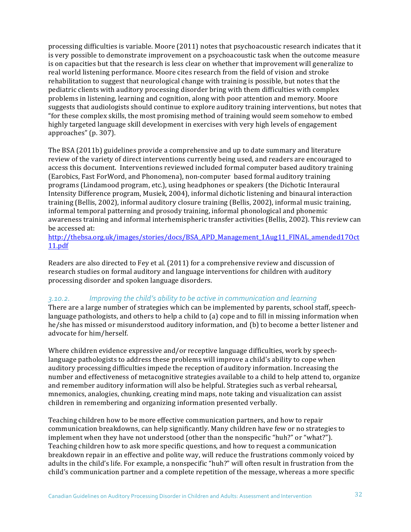processing difficulties is variable. Moore  $(2011)$  notes that psychoacoustic research indicates that it is very possible to demonstrate improvement on a psychoacoustic task when the outcome measure is on capacities but that the research is less clear on whether that improvement will generalize to real world listening performance. Moore cites research from the field of vision and stroke rehabilitation to suggest that neurological change with training is possible, but notes that the pediatric clients with auditory processing disorder bring with them difficulties with complex problems in listening, learning and cognition, along with poor attention and memory. Moore suggests that audiologists should continue to explore auditory training interventions, but notes that "for these complex skills, the most promising method of training would seem somehow to embed highly targeted language skill development in exercises with very high levels of engagement approaches" (p. 307).

The BSA (2011b) guidelines provide a comprehensive and up to date summary and literature review of the variety of direct interventions currently being used, and readers are encouraged to access this document. Interventions reviewed included formal computer based auditory training (Earobics, Fast ForWord, and Phonomena), non-computer based formal auditory training programs (Lindamood program, etc.), using headphones or speakers (the Dichotic Interaural Intensity Difference program, Musiek, 2004), informal dichotic listening and binaural interaction training (Bellis, 2002), informal auditory closure training (Bellis, 2002), informal music training, informal temporal patterning and prosody training, informal phonological and phonemic awareness training and informal interhemispheric transfer activities (Bellis, 2002). This review can be accessed at:

http://thebsa.org.uk/images/stories/docs/BSA\_APD\_Management\_1Aug11\_FINAL\_amended17Oct 11.pdf

Readers are also directed to Fey et al.  $(2011)$  for a comprehensive review and discussion of research studies on formal auditory and language interventions for children with auditory processing disorder and spoken language disorders.

#### 3.10.2. *Improving* the child's ability to be active in communication and learning

There are a large number of strategies which can be implemented by parents, school staff, speechlanguage pathologists, and others to help a child to (a) cope and to fill in missing information when he/she has missed or misunderstood auditory information, and (b) to become a better listener and advocate for him/herself.

Where children evidence expressive and/or receptive language difficulties, work by speechlanguage pathologists to address these problems will improve a child's ability to cope when auditory processing difficulties impede the reception of auditory information. Increasing the number and effectiveness of metacognitive strategies available to a child to help attend to, organize and remember auditory information will also be helpful. Strategies such as verbal rehearsal, mnemonics, analogies, chunking, creating mind maps, note taking and visualization can assist children in remembering and organizing information presented verbally.

Teaching children how to be more effective communication partners, and how to repair communication breakdowns, can help significantly. Many children have few or no strategies to implement when they have not understood (other than the nonspecific "huh?" or "what?"). Teaching children how to ask more specific questions, and how to request a communication breakdown repair in an effective and polite way, will reduce the frustrations commonly voiced by adults in the child's life. For example, a nonspecific "huh?" will often result in frustration from the child's communication partner and a complete repetition of the message, whereas a more specific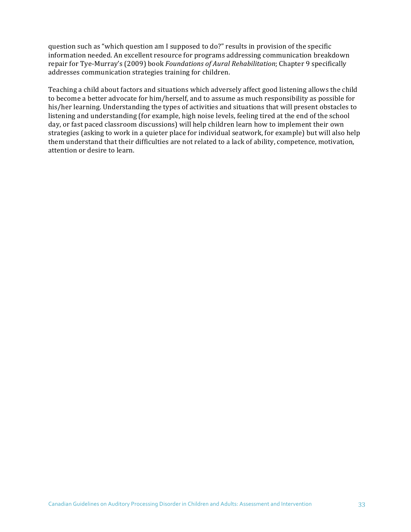question such as "which question am I supposed to do?" results in provision of the specific information needed. An excellent resource for programs addressing communication breakdown repair for Tye-Murray's (2009) book *Foundations of Aural Rehabilitation*; Chapter 9 specifically addresses communication strategies training for children.

Teaching a child about factors and situations which adversely affect good listening allows the child to become a better advocate for him/herself, and to assume as much responsibility as possible for his/her learning. Understanding the types of activities and situations that will present obstacles to listening and understanding (for example, high noise levels, feeling tired at the end of the school day, or fast paced classroom discussions) will help children learn how to implement their own strategies (asking to work in a quieter place for individual seatwork, for example) but will also help them understand that their difficulties are not related to a lack of ability, competence, motivation, attention or desire to learn.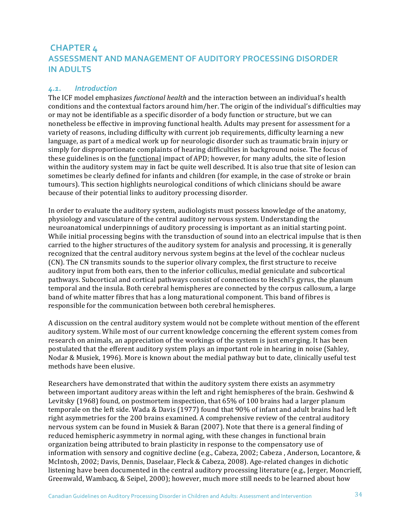# **CHAPTER 4 ASSESSMENT AND MANAGEMENT OF AUDITORY PROCESSING DISORDER IN ADULTS**

#### *4.1. Introduction*

The ICF model emphasizes *functional health* and the interaction between an individual's health conditions and the contextual factors around him/her. The origin of the individual's difficulties may or may not be identifiable as a specific disorder of a body function or structure, but we can nonetheless be effective in improving functional health. Adults may present for assessment for a variety of reasons, including difficulty with current job requirements, difficulty learning a new language, as part of a medical work up for neurologic disorder such as traumatic brain injury or simply for disproportionate complaints of hearing difficulties in background noise. The focus of these guidelines is on the functional impact of APD; however, for many adults, the site of lesion within the auditory system may in fact be quite well described. It is also true that site of lesion can sometimes be clearly defined for infants and children (for example, in the case of stroke or brain tumours). This section highlights neurological conditions of which clinicians should be aware because of their potential links to auditory processing disorder.

In order to evaluate the auditory system, audiologists must possess knowledge of the anatomy, physiology and vasculature of the central auditory nervous system. Understanding the neuroanatomical underpinnings of auditory processing is important as an initial starting point. While initial processing begins with the transduction of sound into an electrical impulse that is then carried to the higher structures of the auditory system for analysis and processing, it is generally recognized that the central auditory nervous system begins at the level of the cochlear nucleus (CN). The CN transmits sounds to the superior olivary complex, the first structure to receive auditory input from both ears, then to the inferior colliculus, medial geniculate and subcortical pathways. Subcortical and cortical pathways consist of connections to Heschl's gyrus, the planum temporal and the insula. Both cerebral hemispheres are connected by the corpus callosum, a large band of white matter fibres that has a long maturational component. This band of fibres is responsible for the communication between both cerebral hemispheres.

A discussion on the central auditory system would not be complete without mention of the efferent auditory system. While most of our current knowledge concerning the efferent system comes from research on animals, an appreciation of the workings of the system is just emerging. It has been postulated that the efferent auditory system plays an important role in hearing in noise (Sahley, Nodar & Musiek, 1996). More is known about the medial pathway but to date, clinically useful test methods have been elusive.

Researchers have demonstrated that within the auditory system there exists an asymmetry between important auditory areas within the left and right hemispheres of the brain. Geshwind  $\&$ Levitsky  $(1968)$  found, on postmortem inspection, that  $65\%$  of 100 brains had a larger planum temporale on the left side. Wada & Davis (1977) found that 90% of infant and adult brains had left right asymmetries for the 200 brains examined. A comprehensive review of the central auditory nervous system can be found in Musiek & Baran (2007). Note that there is a general finding of reduced hemispheric asymmetry in normal aging, with these changes in functional brain organization being attributed to brain plasticity in response to the compensatory use of information with sensory and cognitive decline (e.g., Cabeza, 2002; Cabeza, Anderson, Locantore,  $\&$ McIntosh, 2002; Davis, Dennis, Daselaar, Fleck & Cabeza, 2008). Age-related changes in dichotic listening have been documented in the central auditory processing literature (e.g., Jerger, Moncrieff, Greenwald, Wambacq, & Seipel, 2000); however, much more still needs to be learned about how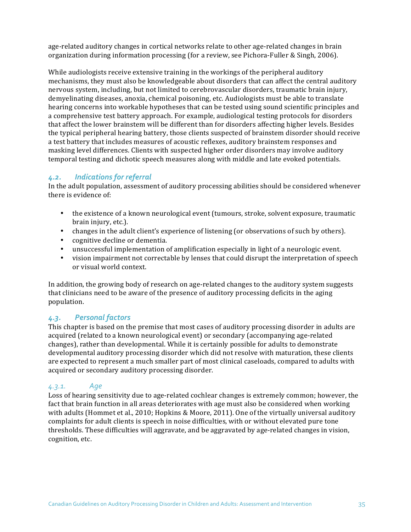age-related auditory changes in cortical networks relate to other age-related changes in brain organization during information processing (for a review, see Pichora-Fuller & Singh, 2006).

While audiologists receive extensive training in the workings of the peripheral auditory mechanisms, they must also be knowledgeable about disorders that can affect the central auditory nervous system, including, but not limited to cerebrovascular disorders, traumatic brain injury, demyelinating diseases, anoxia, chemical poisoning, etc. Audiologists must be able to translate hearing concerns into workable hypotheses that can be tested using sound scientific principles and a comprehensive test battery approach. For example, audiological testing protocols for disorders that affect the lower brainstem will be different than for disorders affecting higher levels. Besides the typical peripheral hearing battery, those clients suspected of brainstem disorder should receive a test battery that includes measures of acoustic reflexes, auditory brainstem responses and masking level differences. Clients with suspected higher order disorders may involve auditory temporal testing and dichotic speech measures along with middle and late evoked potentials.

#### 4.2. **Indications for referral**

In the adult population, assessment of auditory processing abilities should be considered whenever there is evidence of:

- the existence of a known neurological event (tumours, stroke, solvent exposure, traumatic brain injury, etc.).
- changes in the adult client's experience of listening (or observations of such by others).
- cognitive decline or dementia.
- unsuccessful implementation of amplification especially in light of a neurologic event.
- vision impairment not correctable by lenses that could disrupt the interpretation of speech or visual world context.

In addition, the growing body of research on age-related changes to the auditory system suggests that clinicians need to be aware of the presence of auditory processing deficits in the aging population.

#### *4.3. Personal factors*

This chapter is based on the premise that most cases of auditory processing disorder in adults are acquired (related to a known neurological event) or secondary (accompanying age-related changes), rather than developmental. While it is certainly possible for adults to demonstrate developmental auditory processing disorder which did not resolve with maturation, these clients are expected to represent a much smaller part of most clinical caseloads, compared to adults with acquired or secondary auditory processing disorder.

#### *4.3.1. Age*

Loss of hearing sensitivity due to age-related cochlear changes is extremely common; however, the fact that brain function in all areas deteriorates with age must also be considered when working with adults (Hommet et al., 2010; Hopkins & Moore, 2011). One of the virtually universal auditory complaints for adult clients is speech in noise difficulties, with or without elevated pure tone thresholds. These difficulties will aggravate, and be aggravated by age-related changes in vision, cognition, etc.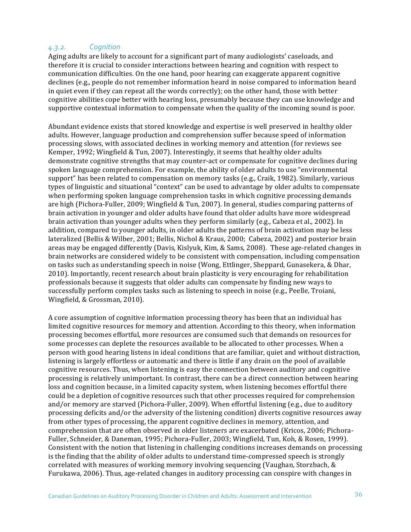#### *4.3.2. Cognition*

Aging adults are likely to account for a significant part of many audiologists' caseloads, and therefore it is crucial to consider interactions between hearing and cognition with respect to communication difficulties. On the one hand, poor hearing can exaggerate apparent cognitive declines (e.g., people do not remember information heard in noise compared to information heard in quiet even if they can repeat all the words correctly); on the other hand, those with better cognitive abilities cope better with hearing loss, presumably because they can use knowledge and supportive contextual information to compensate when the quality of the incoming sound is poor.

Abundant evidence exists that stored knowledge and expertise is well preserved in healthy older adults. However, language production and comprehension suffer because speed of information processing slows, with associated declines in working memory and attention (for reviews see Kemper, 1992; Wingfield & Tun, 2007). Interestingly, it seems that healthy older adults demonstrate cognitive strengths that may counter-act or compensate for cognitive declines during spoken language comprehension. For example, the ability of older adults to use "environmental support" has been related to compensation on memory tasks (e.g., Craik, 1982). Similarly, various types of linguistic and situational "context" can be used to advantage by older adults to compensate when performing spoken language comprehension tasks in which cognitive processing demands are high (Pichora-Fuller, 2009; Wingfield & Tun, 2007). In general, studies comparing patterns of brain activation in younger and older adults have found that older adults have more widespread brain activation than younger adults when they perform similarly (e.g., Cabeza et al., 2002). In addition, compared to younger adults, in older adults the patterns of brain activation may be less lateralized (Bellis & Wilber, 2001; Bellis, Nichol & Kraus, 2000; Cabeza, 2002) and posterior brain areas may be engaged differently (Davis, Kislyuk, Kim, & Sams, 2008). These age-related changes in brain networks are considered widely to be consistent with compensation, including compensation on tasks such as understanding speech in noise (Wong, Ettlinger, Sheppard, Gunasekera, & Dhar, 2010). Importantly, recent research about brain plasticity is very encouraging for rehabilitation professionals because it suggests that older adults can compensate by finding new ways to successfully perform complex tasks such as listening to speech in noise (e.g., Peelle, Troiani, Wingfield, & Grossman, 2010).

A core assumption of cognitive information processing theory has been that an individual has limited cognitive resources for memory and attention. According to this theory, when information processing becomes effortful, more resources are consumed such that demands on resources for some processes can deplete the resources available to be allocated to other processes. When a person with good hearing listens in ideal conditions that are familiar, quiet and without distraction, listening is largely effortless or automatic and there is little if any drain on the pool of available cognitive resources. Thus, when listening is easy the connection between auditory and cognitive processing is relatively unimportant. In contrast, there can be a direct connection between hearing loss and cognition because, in a limited capacity system, when listening becomes effortful there could be a depletion of cognitive resources such that other processes required for comprehension and/or memory are starved (Pichora-Fuller, 2009). When effortful listening (e.g., due to auditory processing deficits and/or the adversity of the listening condition) diverts cognitive resources away from other types of processing, the apparent cognitive declines in memory, attention, and comprehension that are often observed in older listeners are exacerbated (Kricos, 2006; Pichora-Fuller, Schneider, & Daneman, 1995; Pichora-Fuller, 2003; Wingfield, Tun, Koh, & Rosen, 1999). Consistent with the notion that listening in challenging conditions increases demands on processing is the finding that the ability of older adults to understand time-compressed speech is strongly correlated with measures of working memory involving sequencing (Vaughan, Storzbach, & Furukawa, 2006). Thus, age-related changes in auditory processing can conspire with changes in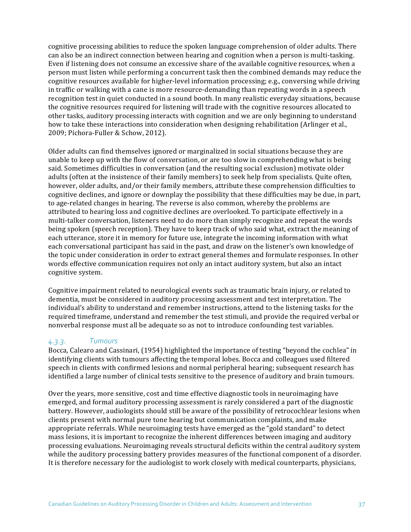cognitive processing abilities to reduce the spoken language comprehension of older adults. There can also be an indirect connection between hearing and cognition when a person is multi-tasking. Even if listening does not consume an excessive share of the available cognitive resources, when a person must listen while performing a concurrent task then the combined demands may reduce the cognitive resources available for higher-level information processing; e.g., conversing while driving in traffic or walking with a cane is more resource-demanding than repeating words in a speech recognition test in quiet conducted in a sound booth. In many realistic everyday situations, because the cognitive resources required for listening will trade with the cognitive resources allocated to other tasks, auditory processing interacts with cognition and we are only beginning to understand how to take these interactions into consideration when designing rehabilitation (Arlinger et al., 2009; Pichora-Fuller & Schow, 2012).

Older adults can find themselves ignored or marginalized in social situations because they are unable to keep up with the flow of conversation, or are too slow in comprehending what is being said. Sometimes difficulties in conversation (and the resulting social exclusion) motivate older adults (often at the insistence of their family members) to seek help from specialists. Quite often, however, older adults, and/or their family members, attribute these comprehension difficulties to cognitive declines, and ignore or downplay the possibility that these difficulties may be due, in part, to age-related changes in hearing. The reverse is also common, whereby the problems are attributed to hearing loss and cognitive declines are overlooked. To participate effectively in a multi-talker conversation, listeners need to do more than simply recognize and repeat the words being spoken (speech reception). They have to keep track of who said what, extract the meaning of each utterance, store it in memory for future use, integrate the incoming information with what each conversational participant has said in the past, and draw on the listener's own knowledge of the topic under consideration in order to extract general themes and formulate responses. In other words effective communication requires not only an intact auditory system, but also an intact cognitive system.

Cognitive impairment related to neurological events such as traumatic brain injury, or related to dementia, must be considered in auditory processing assessment and test interpretation. The individual's ability to understand and remember instructions, attend to the listening tasks for the required timeframe, understand and remember the test stimuli, and provide the required verbal or nonverbal response must all be adequate so as not to introduce confounding test variables.

#### *4.3.3. Tumours*

Bocca, Calearo and Cassinari, (1954) highlighted the importance of testing "beyond the cochlea" in identifying clients with tumours affecting the temporal lobes. Bocca and colleagues used filtered speech in clients with confirmed lesions and normal peripheral hearing; subsequent research has identified a large number of clinical tests sensitive to the presence of auditory and brain tumours.

Over the years, more sensitive, cost and time effective diagnostic tools in neuroimaging have emerged, and formal auditory processing assessment is rarely considered a part of the diagnostic battery. However, audiologists should still be aware of the possibility of retrocochlear lesions when clients present with normal pure tone hearing but communication complaints, and make appropriate referrals. While neuroimaging tests have emerged as the "gold standard" to detect mass lesions, it is important to recognize the inherent differences between imaging and auditory processing evaluations. Neuroimaging reveals structural deficits within the central auditory system while the auditory processing battery provides measures of the functional component of a disorder. It is therefore necessary for the audiologist to work closely with medical counterparts, physicians,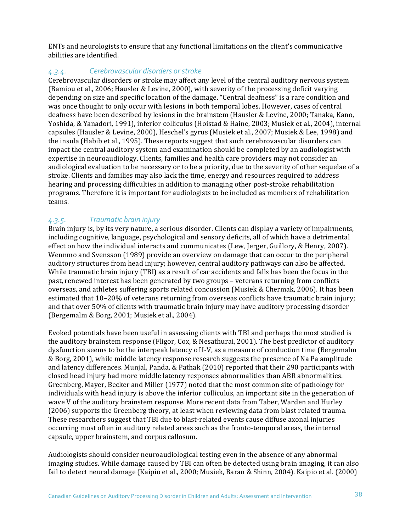ENTs and neurologists to ensure that any functional limitations on the client's communicative abilities are identified.

# 4.3.4. *Cerebrovascular disorders or stroke*

Cerebrovascular disorders or stroke may affect any level of the central auditory nervous system (Bamiou et al., 2006; Hausler & Levine, 2000), with severity of the processing deficit varying depending on size and specific location of the damage. "Central deafness" is a rare condition and was once thought to only occur with lesions in both temporal lobes. However, cases of central deafness have been described by lesions in the brainstem (Hausler & Levine, 2000; Tanaka, Kano, Yoshida, & Yanadori, 1991), inferior colliculus (Hoistad & Haine, 2003; Musiek et al., 2004), internal capsules (Hausler & Levine, 2000), Heschel's gyrus (Musiek et al., 2007; Musiek & Lee, 1998) and the insula (Habib et al., 1995). These reports suggest that such cerebrovascular disorders can impact the central auditory system and examination should be completed by an audiologist with expertise in neuroaudiology. Clients, families and health care providers may not consider an audiological evaluation to be necessary or to be a priority, due to the severity of other sequelae of a stroke. Clients and families may also lack the time, energy and resources required to address hearing and processing difficulties in addition to managing other post-stroke rehabilitation programs. Therefore it is important for audiologists to be included as members of rehabilitation teams. 

# *4.3.5. Traumatic brain injury*

Brain injury is, by its very nature, a serious disorder. Clients can display a variety of impairments, including cognitive, language, psychological and sensory deficits, all of which have a detrimental effect on how the individual interacts and communicates (Lew, Jerger, Guillory, & Henry, 2007). Wennmo and Svensson (1989) provide an overview on damage that can occur to the peripheral auditory structures from head injury; however, central auditory pathways can also be affected. While traumatic brain injury (TBI) as a result of car accidents and falls has been the focus in the past, renewed interest has been generated by two groups - veterans returning from conflicts overseas, and athletes suffering sports related concussion (Musiek & Chermak, 2006). It has been estimated that 10–20% of veterans returning from overseas conflicts have traumatic brain injury; and that over 50% of clients with traumatic brain injury may have auditory processing disorder (Bergemalm & Borg, 2001; Musiek et al., 2004).

Evoked potentials have been useful in assessing clients with TBI and perhaps the most studied is the auditory brainstem response (Fligor, Cox, & Nesathurai, 2001). The best predictor of auditory dysfunction seems to be the interpeak latency of I-V, as a measure of conduction time (Bergemalm & Borg, 2001), while middle latency response research suggests the presence of Na Pa amplitude and latency differences. Munjal, Panda, & Pathak (2010) reported that their 290 participants with closed head injury had more middle latency responses abnormalities than ABR abnormalities. Greenberg, Mayer, Becker and Miller (1977) noted that the most common site of pathology for individuals with head injury is above the inferior colliculus, an important site in the generation of wave V of the auditory brainstem response. More recent data from Taber, Warden and Hurley (2006) supports the Greenberg theory, at least when reviewing data from blast related trauma. These researchers suggest that TBI due to blast-related events cause diffuse axonal injuries occurring most often in auditory related areas such as the fronto-temporal areas, the internal capsule, upper brainstem, and corpus callosum.

Audiologists should consider neuroaudiological testing even in the absence of any abnormal imaging studies. While damage caused by TBI can often be detected using brain imaging, it can also fail to detect neural damage (Kaipio et al., 2000; Musiek, Baran & Shinn, 2004). Kaipio et al. (2000)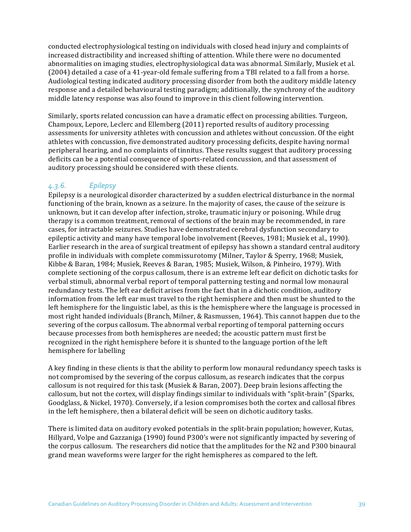conducted electrophysiological testing on individuals with closed head injury and complaints of increased distractibility and increased shifting of attention. While there were no documented abnormalities on imaging studies, electrophysiological data was abnormal. Similarly, Musiek et al. (2004) detailed a case of a 41-year-old female suffering from a TBI related to a fall from a horse. Audiological testing indicated auditory processing disorder from both the auditory middle latency response and a detailed behavioural testing paradigm; additionally, the synchrony of the auditory middle latency response was also found to improve in this client following intervention.

Similarly, sports related concussion can have a dramatic effect on processing abilities. Turgeon, Champoux, Lepore, Leclerc and Ellemberg (2011) reported results of auditory processing assessments for university athletes with concussion and athletes without concussion. Of the eight athletes with concussion, five demonstrated auditory processing deficits, despite having normal peripheral hearing, and no complaints of tinnitus. These results suggest that auditory processing deficits can be a potential consequence of sports-related concussion, and that assessment of auditory processing should be considered with these clients.

## *4.3.6. Epilepsy*

Epilepsy is a neurological disorder characterized by a sudden electrical disturbance in the normal functioning of the brain, known as a seizure. In the majority of cases, the cause of the seizure is unknown, but it can develop after infection, stroke, traumatic injury or poisoning. While drug therapy is a common treatment, removal of sections of the brain may be recommended, in rare cases, for intractable seizures. Studies have demonstrated cerebral dysfunction secondary to epileptic activity and many have temporal lobe involvement (Reeves, 1981; Musiek et al., 1990). Earlier research in the area of surgical treatment of epilepsy has shown a standard central auditory profile in individuals with complete commissurotomy (Milner, Taylor & Sperry, 1968; Musiek, Kibbe & Baran, 1984; Musiek, Reeves & Baran, 1985; Musiek, Wilson, & Pinheiro, 1979). With complete sectioning of the corpus callosum, there is an extreme left ear deficit on dichotic tasks for verbal stimuli, abnormal verbal report of temporal patterning testing and normal low monaural redundancy tests. The left ear deficit arises from the fact that in a dichotic condition, auditory information from the left ear must travel to the right hemisphere and then must be shunted to the left hemisphere for the linguistic label, as this is the hemisphere where the language is processed in most right handed individuals (Branch, Milner, & Rasmussen, 1964). This cannot happen due to the severing of the corpus callosum. The abnormal verbal reporting of temporal patterning occurs because processes from both hemispheres are needed; the acoustic pattern must first be recognized in the right hemisphere before it is shunted to the language portion of the left hemisphere for labelling

A key finding in these clients is that the ability to perform low monaural redundancy speech tasks is not compromised by the severing of the corpus callosum, as research indicates that the corpus callosum is not required for this task (Musiek & Baran, 2007). Deep brain lesions affecting the callosum, but not the cortex, will display findings similar to individuals with "split-brain" (Sparks, Goodglass, & Nickel, 1970). Conversely, if a lesion compromises both the cortex and callosal fibres in the left hemisphere, then a bilateral deficit will be seen on dichotic auditory tasks.

There is limited data on auditory evoked potentials in the split-brain population; however, Kutas, Hillyard, Volpe and Gazzaniga (1990) found P300's were not significantly impacted by severing of the corpus callosum. The researchers did notice that the amplitudes for the N2 and P300 binaural grand mean waveforms were larger for the right hemispheres as compared to the left.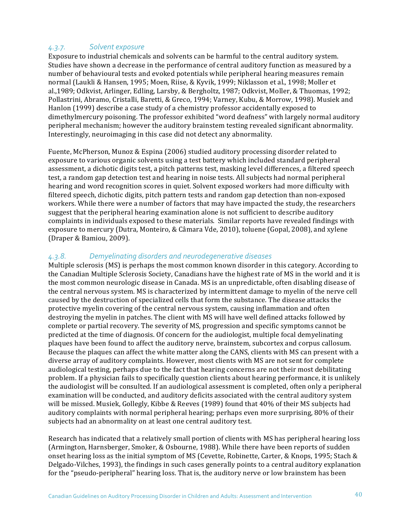## 4.3.7. **Solvent exposure**

Exposure to industrial chemicals and solvents can be harmful to the central auditory system. Studies have shown a decrease in the performance of central auditory function as measured by a number of behavioural tests and evoked potentials while peripheral hearing measures remain normal (Laukli & Hansen, 1995; Moen, Riise, & Kyvik, 1999; Niklasson et al., 1998; Moller et al.,1989; Odkvist, Arlinger, Edling, Larsby, & Bergholtz, 1987; Odkvist, Moller, & Thuomas, 1992; Pollastrini, Abramo, Cristalli, Baretti, & Greco, 1994; Varney, Kubu, & Morrow, 1998). Musiek and Hanlon (1999) describe a case study of a chemistry professor accidentally exposed to dimethylmercury poisoning. The professor exhibited "word deafness" with largely normal auditory peripheral mechanism; however the auditory brainstem testing revealed significant abnormality. Interestingly, neuroimaging in this case did not detect any abnormality.

Fuente, McPherson, Munoz & Espina (2006) studied auditory processing disorder related to exposure to various organic solvents using a test battery which included standard peripheral assessment, a dichotic digits test, a pitch patterns test, masking level differences, a filtered speech test, a random gap detection test and hearing in noise tests. All subjects had normal peripheral hearing and word recognition scores in quiet. Solvent exposed workers had more difficulty with filtered speech, dichotic digits, pitch pattern tests and random gap detection than non-exposed workers. While there were a number of factors that may have impacted the study, the researchers suggest that the peripheral hearing examination alone is not sufficient to describe auditory complaints in individuals exposed to these materials. Similar reports have revealed findings with exposure to mercury (Dutra, Monteiro, & Câmara Vde, 2010), toluene (Gopal, 2008), and xylene (Draper & Bamiou, 2009).

## *4.3.8. Demyelinating disorders and neurodegenerative diseases*

Multiple sclerosis (MS) is perhaps the most common known disorder in this category. According to the Canadian Multiple Sclerosis Society, Canadians have the highest rate of MS in the world and it is the most common neurologic disease in Canada. MS is an unpredictable, often disabling disease of the central nervous system. MS is characterized by intermittent damage to myelin of the nerve cell caused by the destruction of specialized cells that form the substance. The disease attacks the protective myelin covering of the central nervous system, causing inflammation and often destroying the myelin in patches. The client with MS will have well defined attacks followed by complete or partial recovery. The severity of MS, progression and specific symptoms cannot be predicted at the time of diagnosis. Of concern for the audiologist, multiple focal demyelinating plaques have been found to affect the auditory nerve, brainstem, subcortex and corpus callosum. Because the plaques can affect the white matter along the CANS, clients with MS can present with a diverse array of auditory complaints. However, most clients with MS are not sent for complete audiological testing, perhaps due to the fact that hearing concerns are not their most debilitating problem. If a physician fails to specifically question clients about hearing performance, it is unlikely the audiologist will be consulted. If an audiological assessment is completed, often only a peripheral examination will be conducted, and auditory deficits associated with the central auditory system will be missed. Musiek, Gollegly, Kibbe & Reeves (1989) found that 40% of their MS subjects had auditory complaints with normal peripheral hearing; perhaps even more surprising, 80% of their subjects had an abnormality on at least one central auditory test.

Research has indicated that a relatively small portion of clients with MS has peripheral hearing loss (Armington, Harnsberger, Smoker, & Osbourne, 1988). While there have been reports of sudden onset hearing loss as the initial symptom of MS (Cevette, Robinette, Carter, & Knops, 1995; Stach & Delgado-Vilches, 1993), the findings in such cases generally points to a central auditory explanation for the "pseudo-peripheral" hearing loss. That is, the auditory nerve or low brainstem has been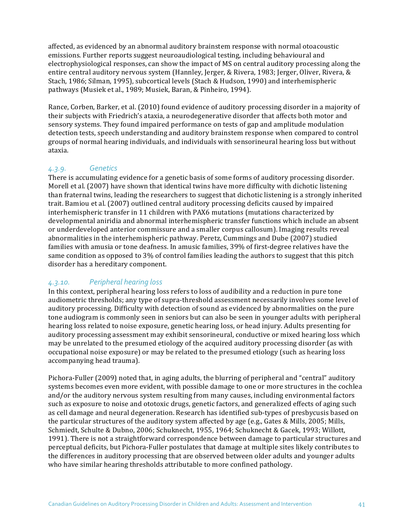affected, as evidenced by an abnormal auditory brainstem response with normal otoacoustic emissions. Further reports suggest neuroaudiological testing, including behavioural and electrophysiological responses, can show the impact of MS on central auditory processing along the entire central auditory nervous system (Hannley, Jerger, & Rivera, 1983; Jerger, Oliver, Rivera, & Stach, 1986; Silman, 1995), subcortical levels (Stach & Hudson, 1990) and interhemispheric pathways (Musiek et al., 1989; Musiek, Baran, & Pinheiro, 1994).

Rance, Corben, Barker, et al. (2010) found evidence of auditory processing disorder in a majority of their subjects with Friedrich's ataxia, a neurodegenerative disorder that affects both motor and sensory systems. They found impaired performance on tests of gap and amplitude modulation detection tests, speech understanding and auditory brainstem response when compared to control groups of normal hearing individuals, and individuals with sensorineural hearing loss but without ataxia. 

## *4.3.9. Genetics*

There is accumulating evidence for a genetic basis of some forms of auditory processing disorder. Morell et al. (2007) have shown that identical twins have more difficulty with dichotic listening than fraternal twins, leading the researchers to suggest that dichotic listening is a strongly inherited trait. Bamiou et al. (2007) outlined central auditory processing deficits caused by impaired interhemispheric transfer in 11 children with PAX6 mutations (mutations characterized by developmental aniridia and abnormal interhemispheric transfer functions which include an absent or underdeveloped anterior commissure and a smaller corpus callosum). Imaging results reveal abnormalities in the interhemispheric pathway. Peretz, Cummings and Dube (2007) studied families with amusia or tone deafness. In amusic families, 39% of first-degree relatives have the same condition as opposed to 3% of control families leading the authors to suggest that this pitch disorder has a hereditary component.

# *4.3.10. Peripheral hearing loss*

In this context, peripheral hearing loss refers to loss of audibility and a reduction in pure tone audiometric thresholds; any type of supra-threshold assessment necessarily involves some level of auditory processing. Difficulty with detection of sound as evidenced by abnormalities on the pure tone audiogram is commonly seen in seniors but can also be seen in younger adults with peripheral hearing loss related to noise exposure, genetic hearing loss, or head injury. Adults presenting for auditory processing assessment may exhibit sensorineural, conductive or mixed hearing loss which may be unrelated to the presumed etiology of the acquired auditory processing disorder (as with occupational noise exposure) or may be related to the presumed etiology (such as hearing loss accompanying head trauma).

Pichora-Fuller (2009) noted that, in aging adults, the blurring of peripheral and "central" auditory systems becomes even more evident, with possible damage to one or more structures in the cochlea and/or the auditory nervous system resulting from many causes, including environmental factors such as exposure to noise and ototoxic drugs, genetic factors, and generalized effects of aging such as cell damage and neural degeneration. Research has identified sub-types of presbycusis based on the particular structures of the auditory system affected by age (e.g., Gates & Mills, 2005; Mills, Schmiedt, Schulte & Dubno, 2006; Schuknecht, 1955, 1964; Schuknecht & Gacek, 1993; Willott, 1991). There is not a straightforward correspondence between damage to particular structures and perceptual deficits, but Pichora-Fuller postulates that damage at multiple sites likely contributes to the differences in auditory processing that are observed between older adults and younger adults who have similar hearing thresholds attributable to more confined pathology.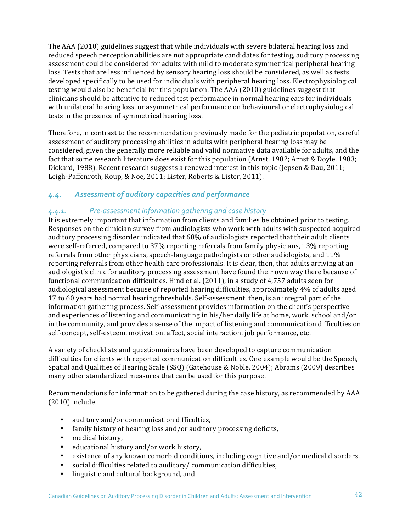The AAA (2010) guidelines suggest that while individuals with severe bilateral hearing loss and reduced speech perception abilities are not appropriate candidates for testing, auditory processing assessment could be considered for adults with mild to moderate symmetrical peripheral hearing loss. Tests that are less influenced by sensory hearing loss should be considered, as well as tests developed specifically to be used for individuals with peripheral hearing loss. Electrophysiological testing would also be beneficial for this population. The AAA (2010) guidelines suggest that clinicians should be attentive to reduced test performance in normal hearing ears for individuals with unilateral hearing loss, or asymmetrical performance on behavioural or electrophysiological tests in the presence of symmetrical hearing loss.

Therefore, in contrast to the recommendation previously made for the pediatric population, careful assessment of auditory processing abilities in adults with peripheral hearing loss may be considered, given the generally more reliable and valid normative data available for adults, and the fact that some research literature does exist for this population (Arnst, 1982; Arnst & Doyle, 1983; Dickard, 1988). Recent research suggests a renewed interest in this topic (Jepsen & Dau, 2011; Leigh-Paffenroth, Roup, & Noe, 2011; Lister, Roberts & Lister, 2011).

# *4.4. Assessment of auditory capacities and performance*

## 4.4.1. Pre-assessment information gathering and case history

It is extremely important that information from clients and families be obtained prior to testing. Responses on the clinician survey from audiologists who work with adults with suspected acquired auditory processing disorder indicated that 68% of audiologists reported that their adult clients were self-referred, compared to 37% reporting referrals from family physicians, 13% reporting referrals from other physicians, speech-language pathologists or other audiologists, and  $11\%$ reporting referrals from other health care professionals. It is clear, then, that adults arriving at an audiologist's clinic for auditory processing assessment have found their own way there because of functional communication difficulties. Hind et al. (2011), in a study of 4,757 adults seen for audiological assessment because of reported hearing difficulties, approximately 4% of adults aged 17 to 60 years had normal hearing thresholds. Self-assessment, then, is an integral part of the information gathering process. Self-assessment provides information on the client's perspective and experiences of listening and communicating in his/her daily life at home, work, school and/or in the community, and provides a sense of the impact of listening and communication difficulties on self-concept, self-esteem, motivation, affect, social interaction, job performance, etc.

A variety of checklists and questionnaires have been developed to capture communication difficulties for clients with reported communication difficulties. One example would be the Speech, Spatial and Qualities of Hearing Scale (SSQ) (Gatehouse & Noble, 2004); Abrams (2009) describes many other standardized measures that can be used for this purpose.

Recommendations for information to be gathered during the case history, as recommended by AAA  $(2010)$  include

- auditory and/or communication difficulties,
- family history of hearing loss and/or auditory processing deficits,
- medical history,
- educational history and/or work history,
- existence of any known comorbid conditions, including cognitive and/or medical disorders,
- social difficulties related to auditory/ communication difficulties,
- linguistic and cultural background, and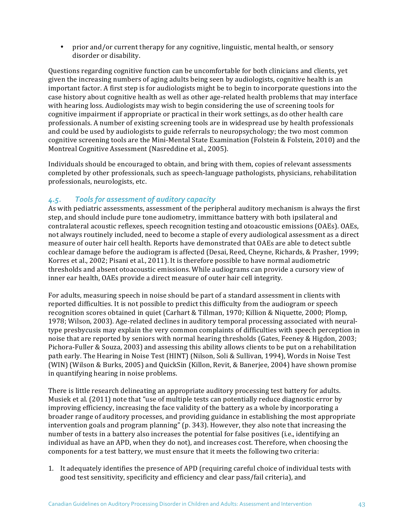• prior and/or current therapy for any cognitive, linguistic, mental health, or sensory disorder or disability.

Questions regarding cognitive function can be uncomfortable for both clinicians and clients, yet given the increasing numbers of aging adults being seen by audiologists, cognitive health is an important factor. A first step is for audiologists might be to begin to incorporate questions into the case history about cognitive health as well as other age-related health problems that may interface with hearing loss. Audiologists may wish to begin considering the use of screening tools for cognitive impairment if appropriate or practical in their work settings, as do other health care professionals. A number of existing screening tools are in widespread use by health professionals and could be used by audiologists to guide referrals to neuropsychology; the two most common cognitive screening tools are the Mini-Mental State Examination (Folstein & Folstein, 2010) and the Montreal Cognitive Assessment (Nasreddine et al., 2005).

Individuals should be encouraged to obtain, and bring with them, copies of relevant assessments completed by other professionals, such as speech-language pathologists, physicians, rehabilitation professionals, neurologists, etc.

## 4.5. Tools for assessment of auditory capacity

As with pediatric assessments, assessment of the peripheral auditory mechanism is always the first step, and should include pure tone audiometry, immittance battery with both ipsilateral and contralateral acoustic reflexes, speech recognition testing and otoacoustic emissions (OAEs). OAEs, not always routinely included, need to become a staple of every audiological assessment as a direct measure of outer hair cell health. Reports have demonstrated that OAEs are able to detect subtle cochlear damage before the audiogram is affected (Desai, Reed, Cheyne, Richards, & Prasher, 1999; Korres et al., 2002; Pisani et al., 2011). It is therefore possible to have normal audiometric thresholds and absent otoacoustic emissions. While audiograms can provide a cursory view of inner ear health, OAEs provide a direct measure of outer hair cell integrity.

For adults, measuring speech in noise should be part of a standard assessment in clients with reported difficulties. It is not possible to predict this difficulty from the audiogram or speech recognition scores obtained in quiet (Carhart & Tillman, 1970; Killion & Niquette, 2000; Plomp, 1978; Wilson, 2003). Age-related declines in auditory temporal processing associated with neuraltype presbycusis may explain the very common complaints of difficulties with speech perception in noise that are reported by seniors with normal hearing thresholds (Gates, Feeney & Higdon, 2003; Pichora-Fuller & Souza, 2003) and assessing this ability allows clients to be put on a rehabilitation path early. The Hearing in Noise Test (HINT) (Nilson, Soli & Sullivan, 1994), Words in Noise Test (WIN) (Wilson & Burks, 2005) and QuickSin (Killon, Revit, & Banerjee, 2004) have shown promise in quantifying hearing in noise problems.

There is little research delineating an appropriate auditory processing test battery for adults. Musiek et al. (2011) note that "use of multiple tests can potentially reduce diagnostic error by improving efficiency, increasing the face validity of the battery as a whole by incorporating a broader range of auditory processes, and providing guidance in establishing the most appropriate intervention goals and program planning" (p. 343). However, they also note that increasing the number of tests in a battery also increases the potential for false positives (i.e., identifying an individual as have an APD, when they do not), and increases cost. Therefore, when choosing the components for a test battery, we must ensure that it meets the following two criteria:

1. It adequately identifies the presence of APD (requiring careful choice of individual tests with good test sensitivity, specificity and efficiency and clear pass/fail criteria), and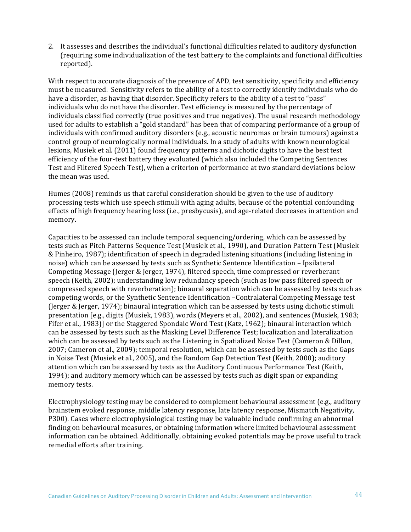2. It assesses and describes the individual's functional difficulties related to auditory dysfunction (requiring some individualization of the test battery to the complaints and functional difficulties reported). 

With respect to accurate diagnosis of the presence of APD, test sensitivity, specificity and efficiency must be measured. Sensitivity refers to the ability of a test to correctly identify individuals who do have a disorder, as having that disorder. Specificity refers to the ability of a test to "pass" individuals who do not have the disorder. Test efficiency is measured by the percentage of individuals classified correctly (true positives and true negatives). The usual research methodology used for adults to establish a "gold standard" has been that of comparing performance of a group of individuals with confirmed auditory disorders (e.g., acoustic neuromas or brain tumours) against a control group of neurologically normal individuals. In a study of adults with known neurological lesions, Musiek et al. (2011) found frequency patterns and dichotic digits to have the best test efficiency of the four-test battery they evaluated (which also included the Competing Sentences Test and Filtered Speech Test), when a criterion of performance at two standard deviations below the mean was used.

Humes (2008) reminds us that careful consideration should be given to the use of auditory processing tests which use speech stimuli with aging adults, because of the potential confounding effects of high frequency hearing loss (i.e., presbycusis), and age-related decreases in attention and memory.

Capacities to be assessed can include temporal sequencing/ordering, which can be assessed by tests such as Pitch Patterns Sequence Test (Musiek et al., 1990), and Duration Pattern Test (Musiek & Pinheiro, 1987); identification of speech in degraded listening situations (including listening in noise) which can be assessed by tests such as Synthetic Sentence Identification - Ipsilateral Competing Message (Jerger & Jerger, 1974), filtered speech, time compressed or reverberant speech (Keith, 2002); understanding low redundancy speech (such as low pass filtered speech or compressed speech with reverberation); binaural separation which can be assessed by tests such as competing words, or the Synthetic Sentence Identification -Contralateral Competing Message test (Jerger & Jerger, 1974); binaural integration which can be assessed by tests using dichotic stimuli presentation [e.g., digits (Musiek, 1983), words (Meyers et al., 2002), and sentences (Musiek, 1983; Fifer et al., 1983)] or the Staggered Spondaic Word Test (Katz, 1962); binaural interaction which can be assessed by tests such as the Masking Level Difference Test; localization and lateralization which can be assessed by tests such as the Listening in Spatialized Noise Test (Cameron & Dillon, 2007; Cameron et al., 2009); temporal resolution, which can be assessed by tests such as the Gaps in Noise Test (Musiek et al., 2005), and the Random Gap Detection Test (Keith, 2000); auditory attention which can be assessed by tests as the Auditory Continuous Performance Test (Keith, 1994); and auditory memory which can be assessed by tests such as digit span or expanding memory tests.

Electrophysiology testing may be considered to complement behavioural assessment  $(e.g.,$  auditory brainstem evoked response, middle latency response, late latency response, Mismatch Negativity, P300). Cases where electrophysiological testing may be valuable include confirming an abnormal finding on behavioural measures, or obtaining information where limited behavioural assessment information can be obtained. Additionally, obtaining evoked potentials may be prove useful to track remedial efforts after training.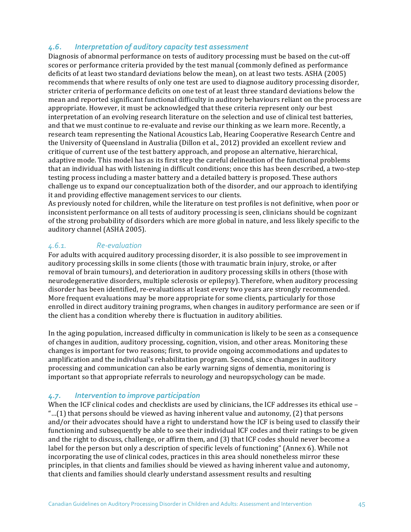## 4.6. **Interpretation of auditory capacity test assessment**

Diagnosis of abnormal performance on tests of auditory processing must be based on the cut-off scores or performance criteria provided by the test manual (commonly defined as performance deficits of at least two standard deviations below the mean), on at least two tests. ASHA (2005) recommends that where results of only one test are used to diagnose auditory processing disorder, stricter criteria of performance deficits on one test of at least three standard deviations below the mean and reported significant functional difficulty in auditory behaviours reliant on the process are appropriate. However, it must be acknowledged that these criteria represent only our best interpretation of an evolving research literature on the selection and use of clinical test batteries, and that we must continue to re-evaluate and revise our thinking as we learn more. Recently, a research team representing the National Acoustics Lab, Hearing Cooperative Research Centre and the University of Queensland in Australia (Dillon et al., 2012) provided an excellent review and critique of current use of the test battery approach, and propose an alternative, hierarchical, adaptive mode. This model has as its first step the careful delineation of the functional problems that an individual has with listening in difficult conditions; once this has been described, a two-step testing process including a master battery and a detailed battery is proposed. These authors challenge us to expand our conceptualization both of the disorder, and our approach to identifying it and providing effective management services to our clients.

As previously noted for children, while the literature on test profiles is not definitive, when poor or inconsistent performance on all tests of auditory processing is seen, clinicians should be cognizant of the strong probability of disorders which are more global in nature, and less likely specific to the auditory channel (ASHA 2005).

## *4.6.1. Re-evaluation*

For adults with acquired auditory processing disorder, it is also possible to see improvement in auditory processing skills in some clients (those with traumatic brain injury, stroke, or after removal of brain tumours), and deterioration in auditory processing skills in others (those with neurodegenerative disorders, multiple sclerosis or epilepsy). Therefore, when auditory processing disorder has been identified, re-evaluations at least every two years are strongly recommended. More frequent evaluations may be more appropriate for some clients, particularly for those enrolled in direct auditory training programs, when changes in auditory performance are seen or if the client has a condition whereby there is fluctuation in auditory abilities.

In the aging population, increased difficulty in communication is likely to be seen as a consequence of changes in audition, auditory processing, cognition, vision, and other areas. Monitoring these changes is important for two reasons; first, to provide ongoing accommodations and updates to amplification and the individual's rehabilitation program. Second, since changes in auditory processing and communication can also be early warning signs of dementia, monitoring is important so that appropriate referrals to neurology and neuropsychology can be made.

## 4.7. **Intervention to improve participation**

When the ICF clinical codes and checklists are used by clinicians, the ICF addresses its ethical use  $-$ "...(1) that persons should be viewed as having inherent value and autonomy, (2) that persons and/or their advocates should have a right to understand how the ICF is being used to classify their functioning and subsequently be able to see their individual ICF codes and their ratings to be given and the right to discuss, challenge, or affirm them, and  $(3)$  that ICF codes should never become a label for the person but only a description of specific levels of functioning" (Annex 6). While not incorporating the use of clinical codes, practices in this area should nonetheless mirror these principles, in that clients and families should be viewed as having inherent value and autonomy, that clients and families should clearly understand assessment results and resulting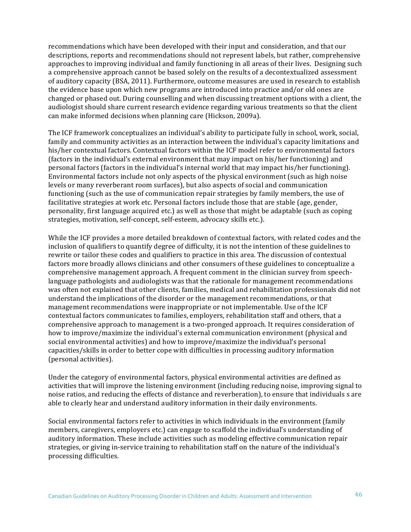recommendations which have been developed with their input and consideration, and that our descriptions, reports and recommendations should not represent labels, but rather, comprehensive approaches to improving individual and family functioning in all areas of their lives. Designing such a comprehensive approach cannot be based solely on the results of a decontextualized assessment of auditory capacity (BSA, 2011). Furthermore, outcome measures are used in research to establish the evidence base upon which new programs are introduced into practice and/or old ones are changed or phased out. During counselling and when discussing treatment options with a client, the audiologist should share current research evidence regarding various treatments so that the client can make informed decisions when planning care (Hickson, 2009a).

The ICF framework conceptualizes an individual's ability to participate fully in school, work, social, family and community activities as an interaction between the individual's capacity limitations and his/her contextual factors. Contextual factors within the ICF model refer to environmental factors (factors in the individual's external environment that may impact on his/her functioning) and personal factors (factors in the individual's internal world that may impact his/her functioning). Environmental factors include not only aspects of the physical environment (such as high noise levels or many reverberant room surfaces), but also aspects of social and communication functioning (such as the use of communication repair strategies by family members, the use of facilitative strategies at work etc. Personal factors include those that are stable (age, gender, personality, first language acquired etc.) as well as those that might be adaptable (such as coping strategies, motivation, self-concept, self-esteem, advocacy skills etc.).

While the ICF provides a more detailed breakdown of contextual factors, with related codes and the inclusion of qualifiers to quantify degree of difficulty, it is not the intention of these guidelines to rewrite or tailor these codes and qualifiers to practice in this area. The discussion of contextual factors more broadly allows clinicians and other consumers of these guidelines to conceptualize a comprehensive management approach. A frequent comment in the clinician survey from speechlanguage pathologists and audiologists was that the rationale for management recommendations was often not explained that other clients, families, medical and rehabilitation professionals did not understand the implications of the disorder or the management recommendations, or that management recommendations were inappropriate or not implementable. Use of the ICF contextual factors communicates to families, employers, rehabilitation staff and others, that a comprehensive approach to management is a two-pronged approach. It requires consideration of how to improve/maximize the individual's external communication environment (physical and social environmental activities) and how to improve/maximize the individual's personal capacities/skills in order to better cope with difficulties in processing auditory information (personal activities).

Under the category of environmental factors, physical environmental activities are defined as activities that will improve the listening environment (including reducing noise, improving signal to noise ratios, and reducing the effects of distance and reverberation), to ensure that individuals s are able to clearly hear and understand auditory information in their daily environments.

Social environmental factors refer to activities in which individuals in the environment (family members, caregivers, employers etc.) can engage to scaffold the individual's understanding of auditory information. These include activities such as modeling effective communication repair strategies, or giving in-service training to rehabilitation staff on the nature of the individual's processing difficulties.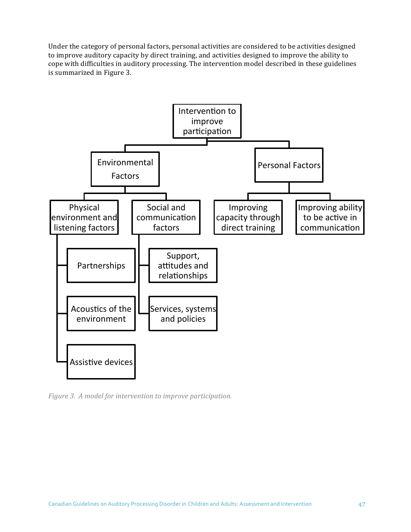Under the category of personal factors, personal activities are considered to be activities designed to improve auditory capacity by direct training, and activities designed to improve the ability to cope with difficulties in auditory processing. The intervention model described in these guidelines is summarized in Figure 3.



*Figure 3. A model for intervention to improve participation.*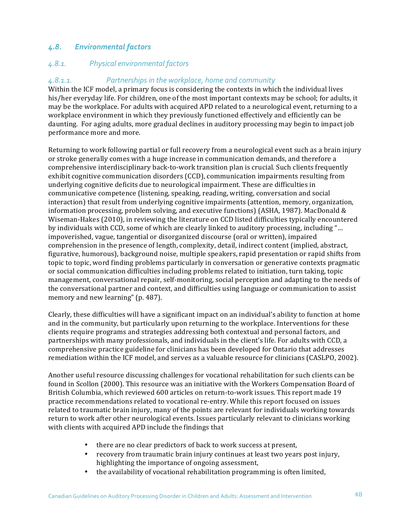## 4.8. *Environmental factors*

# *4.8.1. Physical environmental factors*

#### 4.8.1.1. *Partnerships in the workplace, home and community*

Within the ICF model, a primary focus is considering the contexts in which the individual lives his/her everyday life. For children, one of the most important contexts may be school; for adults, it may be the workplace. For adults with acquired APD related to a neurological event, returning to a workplace environment in which they previously functioned effectively and efficiently can be daunting. For aging adults, more gradual declines in auditory processing may begin to impact job performance more and more.

Returning to work following partial or full recovery from a neurological event such as a brain injury or stroke generally comes with a huge increase in communication demands, and therefore a comprehensive interdisciplinary back-to-work transition plan is crucial. Such clients frequently exhibit cognitive communication disorders (CCD), communication impairments resulting from underlying cognitive deficits due to neurological impairment. These are difficulties in communicative competence (listening, speaking, reading, writing, conversation and social interaction) that result from underlying cognitive impairments (attention, memory, organization, information processing, problem solving, and executive functions) (ASHA, 1987). MacDonald  $&$ Wiseman-Hakes (2010), in reviewing the literature on CCD listed difficulties typically encountered by individuals with CCD, some of which are clearly linked to auditory processing, including "... impoverished, vague, tangential or disorganized discourse (oral or written), impaired comprehension in the presence of length, complexity, detail, indirect content (implied, abstract, figurative, humorous), background noise, multiple speakers, rapid presentation or rapid shifts from topic to topic, word finding problems particularly in conversation or generative contexts pragmatic or social communication difficulties including problems related to initiation, turn taking, topic management, conversational repair, self-monitoring, social perception and adapting to the needs of the conversational partner and context, and difficulties using language or communication to assist memory and new learning" (p. 487).

Clearly, these difficulties will have a significant impact on an individual's ability to function at home and in the community, but particularly upon returning to the workplace. Interventions for these clients require programs and strategies addressing both contextual and personal factors, and partnerships with many professionals, and individuals in the client's life. For adults with CCD, a comprehensive practice guideline for clinicians has been developed for Ontario that addresses remediation within the ICF model, and serves as a valuable resource for clinicians (CASLPO, 2002).

Another useful resource discussing challenges for vocational rehabilitation for such clients can be found in Scollon (2000). This resource was an initiative with the Workers Compensation Board of British Columbia, which reviewed 600 articles on return-to-work issues. This report made 19 practice recommendations related to vocational re-entry. While this report focused on issues related to traumatic brain injury, many of the points are relevant for individuals working towards return to work after other neurological events. Issues particularly relevant to clinicians working with clients with acquired APD include the findings that

- there are no clear predictors of back to work success at present,
- recovery from traumatic brain injury continues at least two years post injury, highlighting the importance of ongoing assessment,
- the availability of vocational rehabilitation programming is often limited,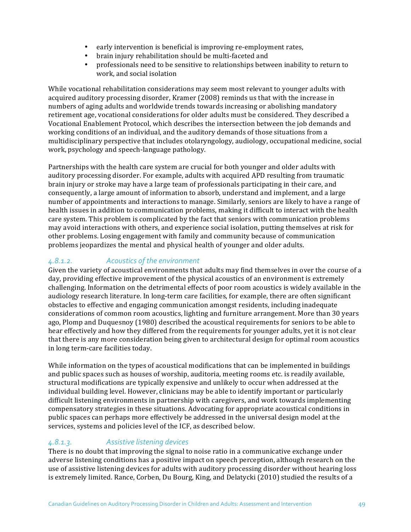- early intervention is beneficial is improving re-employment rates,
- brain injury rehabilitation should be multi-faceted and
- professionals need to be sensitive to relationships between inability to return to work, and social isolation

While vocational rehabilitation considerations may seem most relevant to younger adults with acquired auditory processing disorder, Kramer (2008) reminds us that with the increase in numbers of aging adults and worldwide trends towards increasing or abolishing mandatory retirement age, vocational considerations for older adults must be considered. They described a Vocational Enablement Protocol, which describes the intersection between the job demands and working conditions of an individual, and the auditory demands of those situations from a multidisciplinary perspective that includes otolaryngology, audiology, occupational medicine, social work, psychology and speech-language pathology.

Partnerships with the health care system are crucial for both younger and older adults with auditory processing disorder. For example, adults with acquired APD resulting from traumatic brain injury or stroke may have a large team of professionals participating in their care, and consequently, a large amount of information to absorb, understand and implement, and a large number of appointments and interactions to manage. Similarly, seniors are likely to have a range of health issues in addition to communication problems, making it difficult to interact with the health care system. This problem is complicated by the fact that seniors with communication problems may avoid interactions with others, and experience social isolation, putting themselves at risk for other problems. Losing engagement with family and community because of communication problems jeopardizes the mental and physical health of younger and older adults.

# 4.8.1.2. *Acoustics of the environment*

Given the variety of acoustical environments that adults may find themselves in over the course of a day, providing effective improvement of the physical acoustics of an environment is extremely challenging. Information on the detrimental effects of poor room acoustics is widely available in the audiology research literature. In long-term care facilities, for example, there are often significant obstacles to effective and engaging communication amongst residents, including inadequate considerations of common room acoustics, lighting and furniture arrangement. More than 30 years ago, Plomp and Duquesnoy (1980) described the acoustical requirements for seniors to be able to hear effectively and how they differed from the requirements for younger adults, yet it is not clear that there is any more consideration being given to architectural design for optimal room acoustics in long term-care facilities today.

While information on the types of acoustical modifications that can be implemented in buildings and public spaces such as houses of worship, auditoria, meeting rooms etc. is readily available, structural modifications are typically expensive and unlikely to occur when addressed at the individual building level. However, clinicians may be able to identify important or particularly difficult listening environments in partnership with caregivers, and work towards implementing compensatory strategies in these situations. Advocating for appropriate acoustical conditions in public spaces can perhaps more effectively be addressed in the universal design model at the services, systems and policies level of the ICF, as described below.

#### *4.8.1.3. Assistive listening devices*

There is no doubt that improving the signal to noise ratio in a communicative exchange under adverse listening conditions has a positive impact on speech perception, although research on the use of assistive listening devices for adults with auditory processing disorder without hearing loss is extremely limited. Rance, Corben, Du Bourg, King, and Delatycki (2010) studied the results of a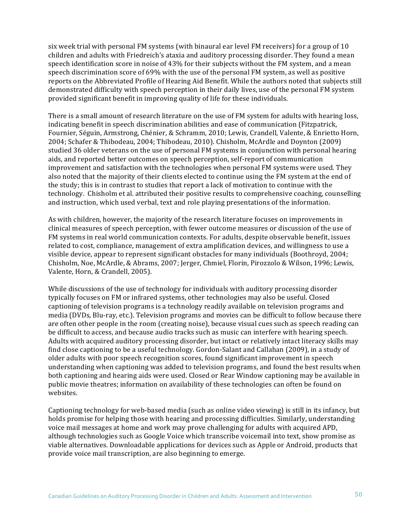six week trial with personal FM systems (with binaural ear level FM receivers) for a group of 10 children and adults with Friedreich's ataxia and auditory processing disorder. They found a mean speech identification score in noise of 43% for their subjects without the FM system, and a mean speech discrimination score of 69% with the use of the personal FM system, as well as positive reports on the Abbreviated Profile of Hearing Aid Benefit. While the authors noted that subjects still demonstrated difficulty with speech perception in their daily lives, use of the personal FM system provided significant benefit in improving quality of life for these individuals.

There is a small amount of research literature on the use of FM system for adults with hearing loss, indicating benefit in speech discrimination abilities and ease of communication (Fitzpatrick, Fournier, Séguin, Armstrong, Chénier, & Schramm, 2010; Lewis, Crandell, Valente, & Enrietto Horn, 2004; Schafer & Thibodeau, 2004; Thibodeau, 2010). Chisholm, McArdle and Doynton (2009) studied 36 older veterans on the use of personal FM systems in conjunction with personal hearing aids, and reported better outcomes on speech perception, self-report of communication improvement and satisfaction with the technologies when personal FM systems were used. They also noted that the majority of their clients elected to continue using the FM system at the end of the study; this is in contrast to studies that report a lack of motivation to continue with the technology. Chisholm et al. attributed their positive results to comprehensive coaching, counselling and instruction, which used verbal, text and role playing presentations of the information.

As with children, however, the majority of the research literature focuses on improvements in clinical measures of speech perception, with fewer outcome measures or discussion of the use of FM systems in real world communication contexts. For adults, despite observable benefit, issues related to cost, compliance, management of extra amplification devices, and willingness to use a visible device, appear to represent significant obstacles for many individuals (Boothroyd, 2004; Chisholm, Noe, McArdle, & Abrams, 2007; Jerger, Chmiel, Florin, Pirozzolo & Wilson, 1996; Lewis, Valente, Horn, & Crandell, 2005).

While discussions of the use of technology for individuals with auditory processing disorder typically focuses on FM or infrared systems, other technologies may also be useful. Closed captioning of television programs is a technology readily available on television programs and media (DVDs, Blu-ray, etc.). Television programs and movies can be difficult to follow because there are often other people in the room (creating noise), because visual cues such as speech reading can be difficult to access, and because audio tracks such as music can interfere with hearing speech. Adults with acquired auditory processing disorder, but intact or relatively intact literacy skills may find close captioning to be a useful technology. Gordon-Salant and Callahan (2009), in a study of older adults with poor speech recognition scores, found significant improvement in speech understanding when captioning was added to television programs, and found the best results when both captioning and hearing aids were used. Closed or Rear Window captioning may be available in public movie theatres; information on availability of these technologies can often be found on websites. 

Captioning technology for web-based media (such as online video viewing) is still in its infancy, but holds promise for helping those with hearing and processing difficulties. Similarly, understanding voice mail messages at home and work may prove challenging for adults with acquired APD, although technologies such as Google Voice which transcribe voicemail into text, show promise as viable alternatives. Downloadable applications for devices such as Apple or Android, products that provide voice mail transcription, are also beginning to emerge.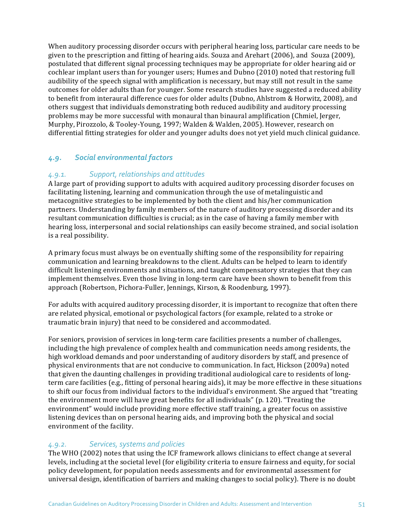When auditory processing disorder occurs with peripheral hearing loss, particular care needs to be given to the prescription and fitting of hearing aids. Souza and Arehart  $(2006)$ , and Souza  $(2009)$ , postulated that different signal processing techniques may be appropriate for older hearing aid or cochlear implant users than for younger users; Humes and Dubno (2010) noted that restoring full audibility of the speech signal with amplification is necessary, but may still not result in the same outcomes for older adults than for younger. Some research studies have suggested a reduced ability to benefit from interaural difference cues for older adults (Dubno, Ahlstrom & Horwitz, 2008), and others suggest that individuals demonstrating both reduced audibility and auditory processing problems may be more successful with monaural than binaural amplification (Chmiel, Jerger, Murphy, Pirozzolo, & Tooley-Young, 1997; Walden & Walden, 2005). However, research on differential fitting strategies for older and younger adults does not yet yield much clinical guidance.

# *4.9. Social environmental factors*

## 4.9.1. **Support, relationships and attitudes**

A large part of providing support to adults with acquired auditory processing disorder focuses on facilitating listening, learning and communication through the use of metalinguistic and metacognitive strategies to be implemented by both the client and his/her communication partners. Understanding by family members of the nature of auditory processing disorder and its resultant communication difficulties is crucial; as in the case of having a family member with hearing loss, interpersonal and social relationships can easily become strained, and social isolation is a real possibility.

A primary focus must always be on eventually shifting some of the responsibility for repairing communication and learning breakdowns to the client. Adults can be helped to learn to identify difficult listening environments and situations, and taught compensatory strategies that they can implement themselves. Even those living in long-term care have been shown to benefit from this approach (Robertson, Pichora-Fuller, Jennings, Kirson, & Roodenburg, 1997).

For adults with acquired auditory processing disorder, it is important to recognize that often there are related physical, emotional or psychological factors (for example, related to a stroke or traumatic brain injury) that need to be considered and accommodated.

For seniors, provision of services in long-term care facilities presents a number of challenges, including the high prevalence of complex health and communication needs among residents, the high workload demands and poor understanding of auditory disorders by staff, and presence of physical environments that are not conducive to communication. In fact, Hickson (2009a) noted that given the daunting challenges in providing traditional audiological care to residents of longterm care facilities (e.g., fitting of personal hearing aids), it may be more effective in these situations to shift our focus from individual factors to the individual's environment. She argued that "treating the environment more will have great benefits for all individuals" (p. 120). "Treating the environment" would include providing more effective staff training, a greater focus on assistive listening devices than on personal hearing aids, and improving both the physical and social environment of the facility.

#### *4.9.2. Services, systems and policies*

The WHO (2002) notes that using the ICF framework allows clinicians to effect change at several levels, including at the societal level (for eligibility criteria to ensure fairness and equity, for social policy development, for population needs assessments and for environmental assessment for universal design, identification of barriers and making changes to social policy). There is no doubt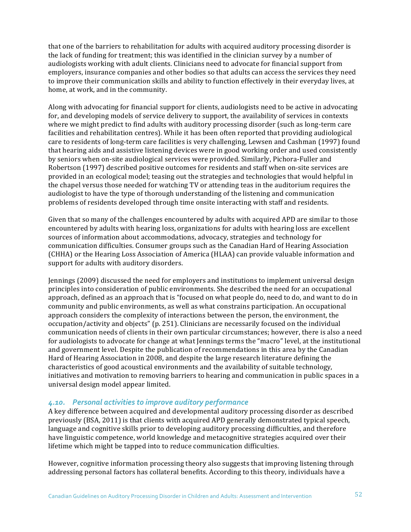that one of the barriers to rehabilitation for adults with acquired auditory processing disorder is the lack of funding for treatment; this was identified in the clinician survey by a number of audiologists working with adult clients. Clinicians need to advocate for financial support from employers, insurance companies and other bodies so that adults can access the services they need to improve their communication skills and ability to function effectively in their everyday lives, at home, at work, and in the community.

Along with advocating for financial support for clients, audiologists need to be active in advocating for, and developing models of service delivery to support, the availability of services in contexts where we might predict to find adults with auditory processing disorder (such as long-term care facilities and rehabilitation centres). While it has been often reported that providing audiological care to residents of long-term care facilities is very challenging, Lewsen and Cashman (1997) found that hearing aids and assistive listening devices were in good working order and used consistently by seniors when on-site audiological services were provided. Similarly, Pichora-Fuller and Robertson (1997) described positive outcomes for residents and staff when on-site services are provided in an ecological model; teasing out the strategies and technologies that would helpful in the chapel versus those needed for watching TV or attending teas in the auditorium requires the audiologist to have the type of thorough understanding of the listening and communication problems of residents developed through time onsite interacting with staff and residents.

Given that so many of the challenges encountered by adults with acquired APD are similar to those encountered by adults with hearing loss, organizations for adults with hearing loss are excellent sources of information about accommodations, advocacy, strategies and technology for communication difficulties. Consumer groups such as the Canadian Hard of Hearing Association (CHHA) or the Hearing Loss Association of America (HLAA) can provide valuable information and support for adults with auditory disorders.

Iennings (2009) discussed the need for employers and institutions to implement universal design principles into consideration of public environments. She described the need for an occupational approach, defined as an approach that is "focused on what people do, need to do, and want to do in community and public environments, as well as what constrains participation. An occupational approach considers the complexity of interactions between the person, the environment, the occupation/activity and objects" (p. 251). Clinicians are necessarily focused on the individual communication needs of clients in their own particular circumstances; however, there is also a need for audiologists to advocate for change at what Jennings terms the "macro" level, at the institutional and government level. Despite the publication of recommendations in this area by the Canadian Hard of Hearing Association in 2008, and despite the large research literature defining the characteristics of good acoustical environments and the availability of suitable technology, initiatives and motivation to removing barriers to hearing and communication in public spaces in a universal design model appear limited.

#### 4.10. Personal activities to improve auditory performance

A key difference between acquired and developmental auditory processing disorder as described previously (BSA, 2011) is that clients with acquired APD generally demonstrated typical speech, language and cognitive skills prior to developing auditory processing difficulties, and therefore have linguistic competence, world knowledge and metacognitive strategies acquired over their lifetime which might be tapped into to reduce communication difficulties.

However, cognitive information processing theory also suggests that improving listening through addressing personal factors has collateral benefits. According to this theory, individuals have a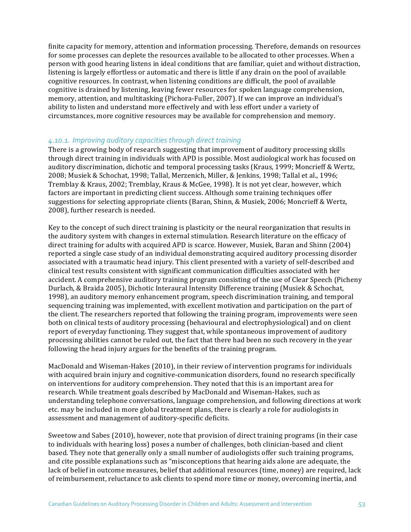finite capacity for memory, attention and information processing. Therefore, demands on resources for some processes can deplete the resources available to be allocated to other processes. When a person with good hearing listens in ideal conditions that are familiar, quiet and without distraction, listening is largely effortless or automatic and there is little if any drain on the pool of available cognitive resources. In contrast, when listening conditions are difficult, the pool of available cognitive is drained by listening, leaving fewer resources for spoken language comprehension, memory, attention, and multitasking (Pichora-Fuller, 2007). If we can improve an individual's ability to listen and understand more effectively and with less effort under a variety of circumstances, more cognitive resources may be available for comprehension and memory. 

#### 4.10.1. Improving auditory capacities through direct training

There is a growing body of research suggesting that improvement of auditory processing skills through direct training in individuals with APD is possible. Most audiological work has focused on auditory discrimination, dichotic and temporal processing tasks (Kraus, 1999; Moncrieff & Wertz, 2008; Musiek & Schochat, 1998; Tallal, Merzenich, Miller, & Jenkins, 1998; Tallal et al., 1996; Tremblay & Kraus, 2002; Tremblay, Kraus & McGee, 1998). It is not yet clear, however, which factors are important in predicting client success. Although some training techniques offer suggestions for selecting appropriate clients (Baran, Shinn, & Musiek, 2006; Moncrieff & Wertz, 2008), further research is needed.

Key to the concept of such direct training is plasticity or the neural reorganization that results in the auditory system with changes in external stimulation. Research literature on the efficacy of direct training for adults with acquired APD is scarce. However, Musiek, Baran and Shinn (2004) reported a single case study of an individual demonstrating acquired auditory processing disorder associated with a traumatic head injury. This client presented with a variety of self-described and clinical test results consistent with significant communication difficulties associated with her accident. A comprehensive auditory training program consisting of the use of Clear Speech (Picheny Durlach, & Braida 2005), Dichotic Interaural Intensity Difference training (Musiek & Schochat, 1998), an auditory memory enhancement program, speech discrimination training, and temporal sequencing training was implemented, with excellent motivation and participation on the part of the client. The researchers reported that following the training program, improvements were seen both on clinical tests of auditory processing (behavioural and electrophysiological) and on client report of everyday functioning. They suggest that, while spontaneous improvement of auditory processing abilities cannot be ruled out, the fact that there had been no such recovery in the year following the head injury argues for the benefits of the training program.

MacDonald and Wiseman-Hakes (2010), in their review of intervention programs for individuals with acquired brain injury and cognitive-communication disorders, found no research specifically on interventions for auditory comprehension. They noted that this is an important area for research. While treatment goals described by MacDonald and Wiseman-Hakes, such as understanding telephone conversations, language comprehension, and following directions at work etc. may be included in more global treatment plans, there is clearly a role for audiologists in assessment and management of auditory-specific deficits.

Sweetow and Sabes (2010), however, note that provision of direct training programs (in their case to individuals with hearing loss) poses a number of challenges, both clinician-based and client based. They note that generally only a small number of audiologists offer such training programs, and cite possible explanations such as "misconceptions that hearing aids alone are adequate, the lack of belief in outcome measures, belief that additional resources (time, money) are required, lack of reimbursement, reluctance to ask clients to spend more time or money, overcoming inertia, and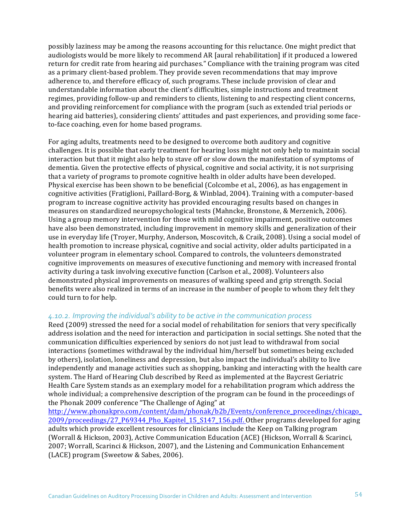possibly laziness may be among the reasons accounting for this reluctance. One might predict that audiologists would be more likely to recommend AR [aural rehabilitation] if it produced a lowered return for credit rate from hearing aid purchases." Compliance with the training program was cited as a primary client-based problem. They provide seven recommendations that may improve adherence to, and therefore efficacy of, such programs. These include provision of clear and understandable information about the client's difficulties, simple instructions and treatment regimes, providing follow-up and reminders to clients, listening to and respecting client concerns, and providing reinforcement for compliance with the program (such as extended trial periods or hearing aid batteries), considering clients' attitudes and past experiences, and providing some faceto-face coaching, even for home based programs.

For aging adults, treatments need to be designed to overcome both auditory and cognitive challenges. It is possible that early treatment for hearing loss might not only help to maintain social interaction but that it might also help to stave off or slow down the manifestation of symptoms of dementia. Given the protective effects of physical, cognitive and social activity, it is not surprising that a variety of programs to promote cognitive health in older adults have been developed. Physical exercise has been shown to be beneficial (Colcombe et al., 2006), as has engagement in cognitive activities (Fratiglioni, Paillard-Borg, & Winblad, 2004). Training with a computer-based program to increase cognitive activity has provided encouraging results based on changes in measures on standardized neuropsychological tests (Mahncke, Bronstone, & Merzenich, 2006). Using a group memory intervention for those with mild cognitive impairment, positive outcomes have also been demonstrated, including improvement in memory skills and generalization of their use in everyday life (Troyer, Murphy, Anderson, Moscovitch, & Craik, 2008). Using a social model of health promotion to increase physical, cognitive and social activity, older adults participated in a volunteer program in elementary school. Compared to controls, the volunteers demonstrated cognitive improvements on measures of executive functioning and memory with increased frontal activity during a task involving executive function (Carlson et al., 2008). Volunteers also demonstrated physical improvements on measures of walking speed and grip strength. Social benefits were also realized in terms of an increase in the number of people to whom they felt they could turn to for help.

#### 4.10.2. Improving the individual's ability to be active in the communication process

Reed (2009) stressed the need for a social model of rehabilitation for seniors that very specifically address isolation and the need for interaction and participation in social settings. She noted that the communication difficulties experienced by seniors do not just lead to withdrawal from social interactions (sometimes withdrawal by the individual him/herself but sometimes being excluded by others), isolation, loneliness and depression, but also impact the individual's ability to live independently and manage activities such as shopping, banking and interacting with the health care system. The Hard of Hearing Club described by Reed as implemented at the Baycrest Geriatric Health Care System stands as an exemplary model for a rehabilitation program which address the whole individual; a comprehensive description of the program can be found in the proceedings of the Phonak 2009 conference "The Challenge of Aging" at

http://www.phonakpro.com/content/dam/phonak/b2b/Events/conference\_proceedings/chicago\_ 2009/proceedings/27\_P69344\_Pho\_Kapitel\_15\_S147\_156.pdf. Other programs developed for aging adults which provide excellent resources for clinicians include the Keep on Talking program (Worrall & Hickson, 2003), Active Communication Education (ACE) (Hickson, Worrall & Scarinci, 2007; Worrall, Scarinci & Hickson, 2007), and the Listening and Communication Enhancement (LACE) program (Sweetow & Sabes, 2006).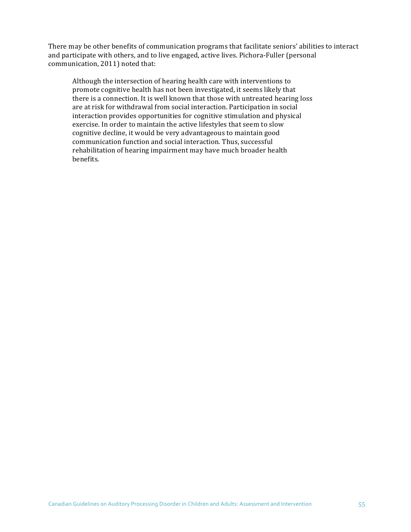There may be other benefits of communication programs that facilitate seniors' abilities to interact and participate with others, and to live engaged, active lives. Pichora-Fuller (personal communication, 2011) noted that:

Although the intersection of hearing health care with interventions to promote cognitive health has not been investigated, it seems likely that there is a connection. It is well known that those with untreated hearing loss are at risk for withdrawal from social interaction. Participation in social interaction provides opportunities for cognitive stimulation and physical exercise. In order to maintain the active lifestyles that seem to slow cognitive decline, it would be very advantageous to maintain good communication function and social interaction. Thus, successful rehabilitation of hearing impairment may have much broader health benefits.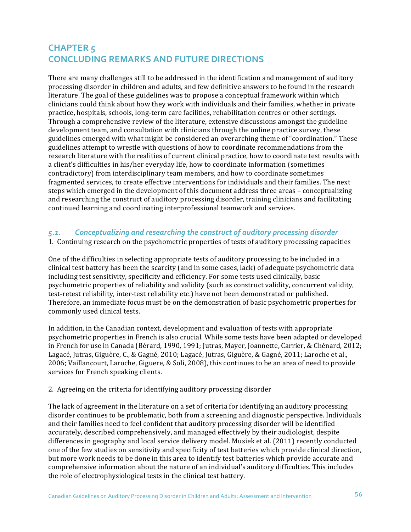# **CHAPTER 5 CONCLUDING REMARKS AND FUTURE DIRECTIONS**

There are many challenges still to be addressed in the identification and management of auditory processing disorder in children and adults, and few definitive answers to be found in the research literature. The goal of these guidelines was to propose a conceptual framework within which clinicians could think about how they work with individuals and their families, whether in private practice, hospitals, schools, long-term care facilities, rehabilitation centres or other settings. Through a comprehensive review of the literature, extensive discussions amongst the guideline development team, and consultation with clinicians through the online practice survey, these guidelines emerged with what might be considered an overarching theme of "coordination." These guidelines attempt to wrestle with questions of how to coordinate recommendations from the research literature with the realities of current clinical practice, how to coordinate test results with a client's difficulties in his/her everyday life, how to coordinate information (sometimes contradictory) from interdisciplinary team members, and how to coordinate sometimes fragmented services, to create effective interventions for individuals and their families. The next steps which emerged in the development of this document address three areas – conceptualizing and researching the construct of auditory processing disorder, training clinicians and facilitating continued learning and coordinating interprofessional teamwork and services.

## 5.1. Conceptualizing and researching the construct of auditory processing disorder

#### 1. Continuing research on the psychometric properties of tests of auditory processing capacities

One of the difficulties in selecting appropriate tests of auditory processing to be included in a clinical test battery has been the scarcity (and in some cases, lack) of adequate psychometric data including test sensitivity, specificity and efficiency. For some tests used clinically, basic psychometric properties of reliability and validity (such as construct validity, concurrent validity, test-retest reliability, inter-test reliability etc.) have not been demonstrated or published. Therefore, an immediate focus must be on the demonstration of basic psychometric properties for commonly used clinical tests.

In addition, in the Canadian context, development and evaluation of tests with appropriate psychometric properties in French is also crucial. While some tests have been adapted or developed in French for use in Canada (Bérard, 1990, 1991; Jutras, Mayer, Joannette, Carrier, & Chénard, 2012; Lagacé, Jutras, Giguère, C., & Gagné, 2010; Lagacé, Jutras, Giguère, & Gagné, 2011; Laroche et al., 2006; Vaillancourt, Laroche, Giguere, & Soli, 2008), this continues to be an area of need to provide services for French speaking clients.

#### 2. Agreeing on the criteria for identifying auditory processing disorder

The lack of agreement in the literature on a set of criteria for identifying an auditory processing disorder continues to be problematic, both from a screening and diagnostic perspective. Individuals and their families need to feel confident that auditory processing disorder will be identified accurately, described comprehensively, and managed effectively by their audiologist, despite differences in geography and local service delivery model. Musiek et al. (2011) recently conducted one of the few studies on sensitivity and specificity of test batteries which provide clinical direction, but more work needs to be done in this area to identify test batteries which provide accurate and comprehensive information about the nature of an individual's auditory difficulties. This includes the role of electrophysiological tests in the clinical test battery.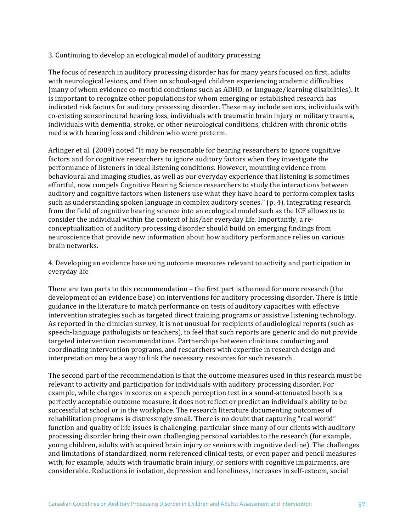#### 3. Continuing to develop an ecological model of auditory processing

The focus of research in auditory processing disorder has for many years focused on first, adults with neurological lesions, and then on school-aged children experiencing academic difficulties (many of whom evidence co-morbid conditions such as ADHD, or language/learning disabilities). It is important to recognize other populations for whom emerging or established research has indicated risk factors for auditory processing disorder. These may include seniors, individuals with co-existing sensorineural hearing loss, individuals with traumatic brain injury or military trauma, individuals with dementia, stroke, or other neurological conditions, children with chronic otitis media with hearing loss and children who were preterm.

Arlinger et al. (2009) noted "It may be reasonable for hearing researchers to ignore cognitive factors and for cognitive researchers to ignore auditory factors when they investigate the performance of listeners in ideal listening conditions. However, mounting evidence from behavioural and imaging studies, as well as our everyday experience that listening is sometimes effortful, now compels Cognitive Hearing Science researchers to study the interactions between auditory and cognitive factors when listeners use what they have heard to perform complex tasks such as understanding spoken language in complex auditory scenes."  $(p. 4)$ . Integrating research from the field of cognitive hearing science into an ecological model such as the ICF allows us to consider the individual within the context of his/her everyday life. Importantly, a reconceptualization of auditory processing disorder should build on emerging findings from neuroscience that provide new information about how auditory performance relies on various brain networks. 

4. Developing an evidence base using outcome measures relevant to activity and participation in everyday life

There are two parts to this recommendation  $-$  the first part is the need for more research (the development of an evidence base) on interventions for auditory processing disorder. There is little guidance in the literature to match performance on tests of auditory capacities with effective intervention strategies such as targeted direct training programs or assistive listening technology. As reported in the clinician survey, it is not unusual for recipients of audiological reports (such as speech-language pathologists or teachers), to feel that such reports are generic and do not provide targeted intervention recommendations. Partnerships between clinicians conducting and coordinating intervention programs, and researchers with expertise in research design and interpretation may be a way to link the necessary resources for such research.

The second part of the recommendation is that the outcome measures used in this research must be relevant to activity and participation for individuals with auditory processing disorder. For example, while changes in scores on a speech perception test in a sound-attenuated booth is a perfectly acceptable outcome measure, it does not reflect or predict an individual's ability to be successful at school or in the workplace. The research literature documenting outcomes of rehabilitation programs is distressingly small. There is no doubt that capturing "real world" function and quality of life issues is challenging, particular since many of our clients with auditory processing disorder bring their own challenging personal variables to the research (for example, young children, adults with acquired brain injury or seniors with cognitive decline). The challenges and limitations of standardized, norm referenced clinical tests, or even paper and pencil measures with, for example, adults with traumatic brain injury, or seniors with cognitive impairments, are considerable. Reductions in isolation, depression and loneliness, increases in self-esteem, social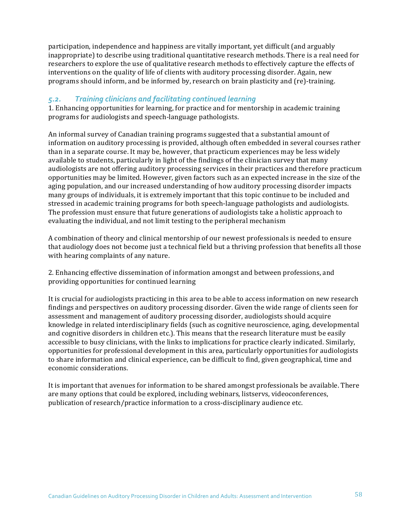participation, independence and happiness are vitally important, yet difficult (and arguably inappropriate) to describe using traditional quantitative research methods. There is a real need for researchers to explore the use of qualitative research methods to effectively capture the effects of interventions on the quality of life of clients with auditory processing disorder. Again, new programs should inform, and be informed by, research on brain plasticity and (re)-training.

## 5.2. *Training clinicians and facilitating continued learning*

1. Enhancing opportunities for learning, for practice and for mentorship in academic training programs for audiologists and speech-language pathologists.

An informal survey of Canadian training programs suggested that a substantial amount of information on auditory processing is provided, although often embedded in several courses rather than in a separate course. It may be, however, that practicum experiences may be less widely available to students, particularly in light of the findings of the clinician survey that many audiologists are not offering auditory processing services in their practices and therefore practicum opportunities may be limited. However, given factors such as an expected increase in the size of the aging population, and our increased understanding of how auditory processing disorder impacts many groups of individuals, it is extremely important that this topic continue to be included and stressed in academic training programs for both speech-language pathologists and audiologists. The profession must ensure that future generations of audiologists take a holistic approach to evaluating the individual, and not limit testing to the peripheral mechanism

A combination of theory and clinical mentorship of our newest professionals is needed to ensure that audiology does not become just a technical field but a thriving profession that benefits all those with hearing complaints of any nature.

2. Enhancing effective dissemination of information amongst and between professions, and providing opportunities for continued learning

It is crucial for audiologists practicing in this area to be able to access information on new research findings and perspectives on auditory processing disorder. Given the wide range of clients seen for assessment and management of auditory processing disorder, audiologists should acquire knowledge in related interdisciplinary fields (such as cognitive neuroscience, aging, developmental and cognitive disorders in children etc.). This means that the research literature must be easily accessible to busy clinicians, with the links to implications for practice clearly indicated. Similarly, opportunities for professional development in this area, particularly opportunities for audiologists to share information and clinical experience, can be difficult to find, given geographical, time and economic considerations.

It is important that avenues for information to be shared amongst professionals be available. There are many options that could be explored, including webinars, listservs, videoconferences, publication of research/practice information to a cross-disciplinary audience etc.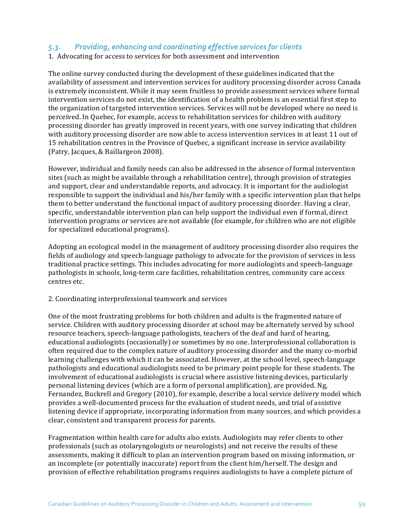## 5.3. Providing, enhancing and coordinating effective services for clients

1. Advocating for access to services for both assessment and intervention

The online survey conducted during the development of these guidelines indicated that the availability of assessment and intervention services for auditory processing disorder across Canada is extremely inconsistent. While it may seem fruitless to provide assessment services where formal intervention services do not exist, the identification of a health problem is an essential first step to the organization of targeted intervention services. Services will not be developed where no need is perceived. In Quebec, for example, access to rehabilitation services for children with auditory processing disorder has greatly improved in recent years, with one survey indicating that children with auditory processing disorder are now able to access intervention services in at least 11 out of 15 rehabilitation centres in the Province of Quebec, a significant increase in service availability (Patry, Jacques, & Baillargeon 2008).

However, individual and family needs can also be addressed in the absence of formal intervention sites (such as might be available through a rehabilitation centre), through provision of strategies and support, clear and understandable reports, and advocacy. It is important for the audiologist responsible to support the individual and his/her family with a specific intervention plan that helps them to better understand the functional impact of auditory processing disorder. Having a clear, specific, understandable intervention plan can help support the individual even if formal, direct intervention programs or services are not available (for example, for children who are not eligible for specialized educational programs).

Adopting an ecological model in the management of auditory processing disorder also requires the fields of audiology and speech-language pathology to advocate for the provision of services in less traditional practice settings. This includes advocating for more audiologists and speech-language pathologists in schools, long-term care facilities, rehabilitation centres, community care access centres etc.

#### 2. Coordinating interprofessional teamwork and services

One of the most frustrating problems for both children and adults is the fragmented nature of service. Children with auditory processing disorder at school may be alternately served by school resource teachers, speech-language pathologists, teachers of the deaf and hard of hearing, educational audiologists (occasionally) or sometimes by no one. Interprofessional collaboration is often required due to the complex nature of auditory processing disorder and the many co-morbid learning challenges with which it can be associated. However, at the school level, speech-language pathologists and educational audiologists need to be primary point people for these students. The involvement of educational audiologists is crucial where assistive listening devices, particularly personal listening devices (which are a form of personal amplification), are provided. Ng, Fernandez, Buckrell and Gregory (2010), for example, describe a local service delivery model which provides a well-documented process for the evaluation of student needs, and trial of assistive listening device if appropriate, incorporating information from many sources, and which provides a clear, consistent and transparent process for parents.

Fragmentation within health care for adults also exists. Audiologists may refer clients to other professionals (such as otolaryngologists or neurologists) and not receive the results of these assessments, making it difficult to plan an intervention program based on missing information, or an incomplete (or potentially inaccurate) report from the client him/herself. The design and provision of effective rehabilitation programs requires audiologists to have a complete picture of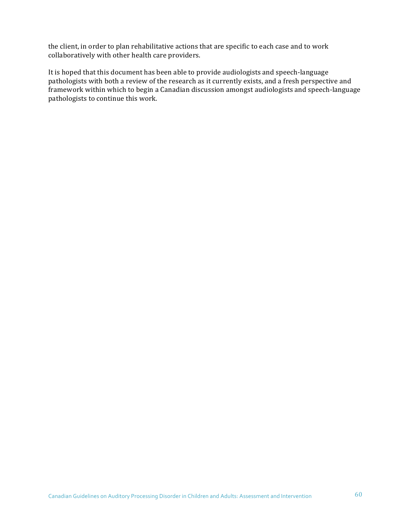the client, in order to plan rehabilitative actions that are specific to each case and to work collaboratively with other health care providers.

It is hoped that this document has been able to provide audiologists and speech-language pathologists with both a review of the research as it currently exists, and a fresh perspective and framework within which to begin a Canadian discussion amongst audiologists and speech-language pathologists to continue this work.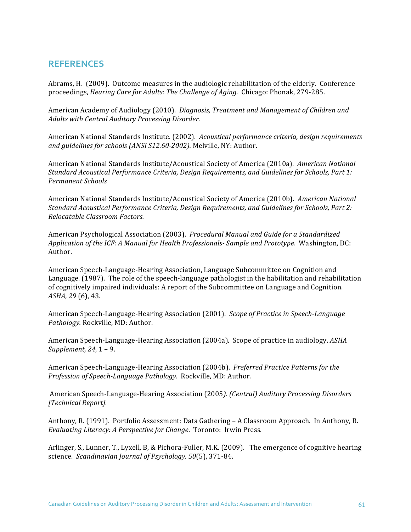# **REFERENCES**

Abrams, H. (2009). Outcome measures in the audiologic rehabilitation of the elderly. Conference proceedings, *Hearing Care for Adults: The Challenge of Aging.* Chicago: Phonak, 279-285.

American Academy of Audiology (2010). *Diagnosis, Treatment and Management of Children and* Adults with Central Auditory Processing Disorder.

American National Standards Institute. (2002). Acoustical performance criteria, design requirements and *quidelines for schools (ANSI S12.60-2002)*. Melville, NY: Author.

American National Standards Institute/Acoustical Society of America (2010a). American National *Standard Acoustical Performance Criteria, Design Requirements, and Guidelines for Schools, Part 1: Permanent Schools*

American National Standards Institute/Acoustical Society of America (2010b). American National *Standard Acoustical Performance Criteria, Design Requirements, and Guidelines for Schools, Part 2: Relocatable Classroom Factors.*

American Psychological Association (2003). *Procedural Manual and Guide for a Standardized* Application of the ICF: A Manual for Health Professionals- Sample and Prototype. Washington, DC: Author.

American Speech-Language-Hearing Association, Language Subcommittee on Cognition and Language. (1987). The role of the speech-language pathologist in the habilitation and rehabilitation of cognitively impaired individuals: A report of the Subcommittee on Language and Cognition. *ASHA, 29* (6), 43.

American Speech-Language-Hearing Association (2001). Scope of Practice in Speech-Language Pathology. Rockville, MD: Author.

American Speech-Language-Hearing Association (2004a). Scope of practice in audiology. *ASHA Supplement,* 24, 1 – 9.

American Speech-Language-Hearing Association (2004b). *Preferred Practice Patterns for the Profession of Speech-Language Pathology.* Rockville, MD: Author.

American Speech-Language-Hearing Association (2005). (Central) Auditory Processing Disorders *[Technical Report].*

Anthony, R. (1991). Portfolio Assessment: Data Gathering - A Classroom Approach. In Anthony, R. *Evaluating Literacy: A Perspective for Change. Toronto: Irwin Press.* 

Arlinger, S., Lunner, T., Lyxell, B, & Pichora-Fuller, M.K. (2009). The emergence of cognitive hearing science. *Scandinavian Journal of Psychology,* 50(5), 371-84.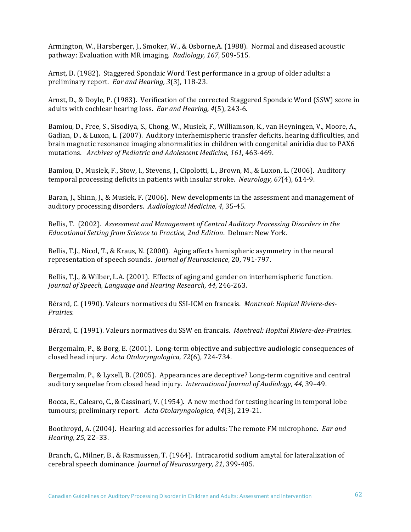Armington, W., Harsberger, J., Smoker, W., & Osborne, A. (1988). Normal and diseased acoustic pathway: Evaluation with MR imaging. Radiology, 167, 509-515.

Arnst, D. (1982). Staggered Spondaic Word Test performance in a group of older adults: a preliminary report. Ear and Hearing, 3(3), 118-23.

Arnst, D., & Doyle, P. (1983). Verification of the corrected Staggered Spondaic Word (SSW) score in adults with cochlear hearing loss. *Ear and Hearing, 4*(5), 243-6.

Bamiou, D., Free, S., Sisodiya, S., Chong, W., Musiek, F., Williamson, K., van Heyningen, V., Moore, A., Gadian, D., & Luxon, L. (2007). Auditory interhemispheric transfer deficits, hearing difficulties, and brain magnetic resonance imaging abnormalities in children with congenital aniridia due to PAX6 mutations. Archives of Pediatric and Adolescent Medicine, 161, 463-469.

Bamiou, D., Musiek, F., Stow, I., Stevens, J., Cipolotti, L., Brown, M., & Luxon, L. (2006). Auditory temporal processing deficits in patients with insular stroke. *Neurology*, 67(4), 614-9.

Baran, J., Shinn, J., & Musiek, F. (2006). New developments in the assessment and management of auditory processing disorders. Audiological Medicine, 4, 35-45.

Bellis, T. (2002). Assessment and Management of Central Auditory Processing Disorders in the *Educational Setting from Science to Practice, 2nd Edition. Delmar: New York.* 

Bellis, T.J., Nicol, T., & Kraus, N. (2000). Aging affects hemispheric asymmetry in the neural representation of speech sounds. *Journal of Neuroscience*, 20, 791-797.

Bellis, T.J., & Wilber, L.A. (2001). Effects of aging and gender on interhemispheric function. *Journal of Speech, Language and Hearing Research*, *44*, 246-263.

Bérard, C. (1990). Valeurs normatives du SSI-ICM en francais. *Montreal: Hopital Riviere-des-Prairies.*

Bérard, C. (1991). Valeurs normatives du SSW en francais. *Montreal: Hopital Riviere-des-Prairies.* 

Bergemalm, P., & Borg, E. (2001). Long-term objective and subjective audiologic consequences of closed head injury. Acta Otolaryngologica, 72(6), 724-734.

Bergemalm, P., & Lyxell, B. (2005). Appearances are deceptive? Long-term cognitive and central auditory sequelae from closed head injury. International Journal of Audiology, 44, 39-49.

Bocca, E., Calearo, C., & Cassinari, V. (1954). A new method for testing hearing in temporal lobe tumours; preliminary report. Acta Otolaryngologica, 44(3), 219-21.

Boothroyd, A. (2004). Hearing aid accessories for adults: The remote FM microphone. *Ear and Hearing, 25*, 22–33.

Branch, C., Milner, B., & Rasmussen, T. (1964). Intracarotid sodium amytal for lateralization of cerebral speech dominance. *Journal of Neurosurgery, 21*, 399-405.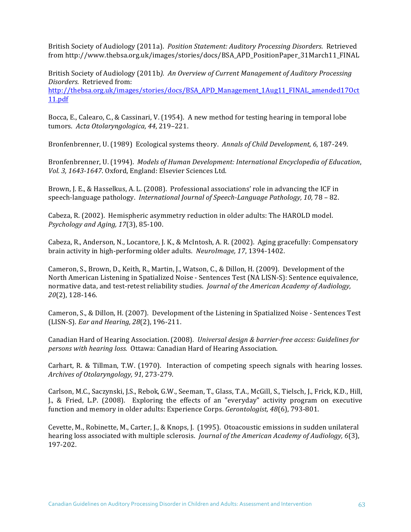British Society of Audiology (2011a). *Position Statement: Auditory Processing Disorders*. Retrieved from http://www.thebsa.org.uk/images/stories/docs/BSA\_APD\_PositionPaper\_31March11\_FINAL

British Society of Audiology (2011b). An Overview of Current Management of Auditory Processing *Disorders.* Retrieved from: http://thebsa.org.uk/images/stories/docs/BSA\_APD\_Management\_1Aug11\_FINAL\_amended17Oct 11.pdf

Bocca, E., Calearo, C., & Cassinari, V. (1954). A new method for testing hearing in temporal lobe tumors. Acta Otolaryngologica, 44, 219-221.

Bronfenbrenner, U. (1989) Ecological systems theory. Annals of Child Development, 6, 187-249.

Bronfenbrenner, U. (1994). *Models of Human Development: International Encyclopedia of Education*, Vol. 3, 1643-1647. Oxford, England: Elsevier Sciences Ltd.

Brown, J. E., & Hasselkus, A. L. (2008). Professional associations' role in advancing the ICF in speech-language pathology. *International Journal of Speech-Language Pathology, 10, 78 – 82.* 

Cabeza, R. (2002). Hemispheric asymmetry reduction in older adults: The HAROLD model. *Psychology and Aging, 17*(3), 85-100. 

Cabeza, R., Anderson, N., Locantore, J. K., & McIntosh, A. R. (2002). Aging gracefully: Compensatory brain activity in high-performing older adults. *NeuroImage*, 17, 1394-1402.

Cameron, S., Brown, D., Keith, R., Martin, J., Watson, C., & Dillon, H. (2009). Development of the North American Listening in Spatialized Noise - Sentences Test (NA LISN-S): Sentence equivalence, normative data, and test-retest reliability studies. *Journal of the American Academy of Audiology*, *20*(2), 128-146.

Cameron, S., & Dillon, H. (2007). Development of the Listening in Spatialized Noise - Sentences Test (LISN-S). *Ear and Hearing, 28*(2), 196-211.

Canadian Hard of Hearing Association. (2008). *Universal design & barrier-free access: Guidelines for persons with hearing loss.* Ottawa: Canadian Hard of Hearing Association.

Carhart, R. & Tillman, T.W. (1970). Interaction of competing speech signals with hearing losses. *Archives of Otolaryngology, 91*, 273-279.

Carlson, M.C., Saczynski, J.S., Rebok, G.W., Seeman, T., Glass, T.A., McGill, S., Tielsch, J., Frick, K.D., Hill, J., & Fried, L.P. (2008). Exploring the effects of an "everyday" activity program on executive function and memory in older adults: Experience Corps. *Gerontologist*, 48(6), 793-801.

Cevette, M., Robinette, M., Carter, J., & Knops, J. (1995). Otoacoustic emissions in sudden unilateral hearing loss associated with multiple sclerosis. *Journal of the American Academy of Audiology*, 6(3), 197-202.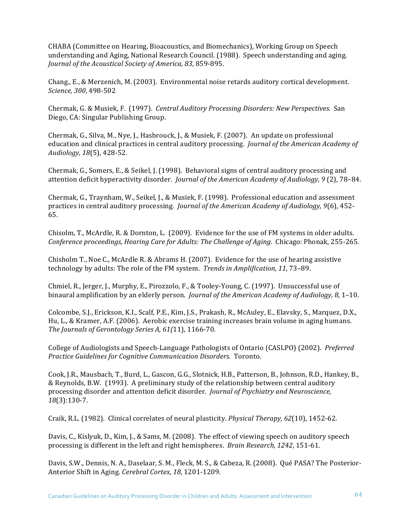CHABA (Committee on Hearing, Bioacoustics, and Biomechanics), Working Group on Speech understanding and Aging, National Research Council. (1988). Speech understanding and aging. *Journal of the Acoustical Society of America, 83, 859-895.* 

Chang., E., & Merzenich, M. (2003). Environmental noise retards auditory cortical development. *Science, 300*, 498-502

Chermak, G. & Musiek, F. (1997). *Central Auditory Processing Disorders: New Perspectives.* San Diego, CA: Singular Publishing Group.

Chermak, G., Silva, M., Nye, J., Hasbrouck, J., & Musiek, F. (2007). An update on professional education and clinical practices in central auditory processing. *Journal of the American Academy of Audiology, 18*(5), 428-52.

Chermak, G., Somers, E., & Seikel, J. (1998). Behavioral signs of central auditory processing and attention deficit hyperactivity disorder. *Journal of the American Academy of Audiology, 9* (2), 78–84.

Chermak, G., Traynham, W., Seikel, J., & Musiek, F. (1998). Professional education and assessment practices in central auditory processing. *Journal of the American Academy of Audiology,* 9(6), 452-65. 

Chisolm, T., McArdle, R. & Dornton, L. (2009). Evidence for the use of FM systems in older adults. *Conference proceedings, Hearing Care for Adults: The Challenge of Aging. Chicago: Phonak, 255-265.* 

Chisholm T., Noe C., McArdle R. & Abrams H.  $(2007)$ . Evidence for the use of hearing assistive technology by adults: The role of the FM system. *Trends in Amplification, 11, 73-89*.

Chmiel, R., Jerger, J., Murphy, E., Pirozzolo, F., & Tooley-Young, C. (1997). Unsuccessful use of binaural amplification by an elderly person. *Journal of the American Academy of Audiology, 8*, 1-10.

Colcombe, S.J., Erickson, K.I., Scalf, P.E., Kim, J.S., Prakash, R., McAuley, E., Elavsky, S., Marquez, D.X., Hu, L., & Kramer, A.F. (2006). Aerobic exercise training increases brain volume in aging humans. *The Journals of Gerontology Series A, 61(11), 1166-70.* 

College of Audiologists and Speech-Language Pathologists of Ontario (CASLPO) (2002). *Preferred Practice Guidelines for Cognitive Communication Disorders.* Toronto.

Cook, J.R., Mausbach, T., Burd, L., Gascon, G.G., Slotnick, H.B., Patterson, B., Johnson, R.D., Hankey, B., & Reynolds, B.W. (1993). A preliminary study of the relationship between central auditory processing disorder and attention deficit disorder. *Journal of Psychiatry and Neuroscience*, *18*(3):130-7.

Craik, R.L. (1982). Clinical correlates of neural plasticity. *Physical Therapy, 62*(10), 1452-62.

Davis, C., Kislyuk, D., Kim, J., & Sams, M. (2008). The effect of viewing speech on auditory speech processing is different in the left and right hemispheres. *Brain Research, 1242*, 151-61.

Davis, S.W., Dennis, N. A., Daselaar, S. M., Fleck, M. S., & Cabeza, R. (2008). Qué PASA? The Posterior-Anterior Shift in Aging. *Cerebral Cortex, 18, 1201-1209.*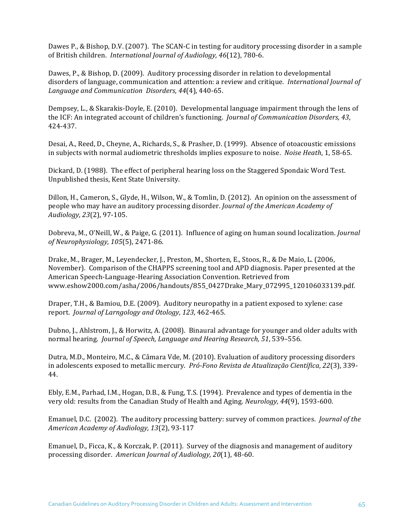Dawes P., & Bishop, D.V. (2007). The SCAN-C in testing for auditory processing disorder in a sample of British children. International Journal of Audiology, 46(12), 780-6.

Dawes, P., & Bishop, D. (2009). Auditory processing disorder in relation to developmental disorders of language, communication and attention: a review and critique. *International Journal of Language and Communication Disorders, 44*(4), 440-65.

Dempsey, L., & Skarakis-Doyle, E. (2010). Developmental language impairment through the lens of the ICF: An integrated account of children's functioning. *Journal of Communication Disorders, 43*, 424-437.

Desai, A., Reed, D., Cheyne, A., Richards, S., & Prasher, D. (1999). Absence of otoacoustic emissions in subjects with normal audiometric thresholds implies exposure to noise. *Noise Heath*, 1, 58-65.

Dickard, D. (1988). The effect of peripheral hearing loss on the Staggered Spondaic Word Test. Unpublished thesis, Kent State University.

Dillon, H., Cameron, S., Glyde, H., Wilson, W., & Tomlin, D. (2012). An opinion on the assessment of people who may have an auditory processing disorder. *Journal of the American Academy of Audiology, 23*(2), 97-105.

Dobreva, M., O'Neill, W., & Paige, G. (2011). Influence of aging on human sound localization. *Journal of Neurophysiology, 105*(5), 2471-86. 

Drake, M., Brager, M., Leyendecker, J., Preston, M., Shorten, E., Stoos, R., & De Maio, L. (2006, November). Comparison of the CHAPPS screening tool and APD diagnosis. Paper presented at the American Speech-Language-Hearing Association Convention. Retrieved from www.eshow2000.com/asha/2006/handouts/855\_0427Drake\_Mary\_072995\_120106033139.pdf.

Draper, T.H., & Bamiou, D.E. (2009). Auditory neuropathy in a patient exposed to xylene: case report. *Journal of Larngology and Otology, 123, 462-465.* 

Dubno, J., Ahlstrom, J., & Horwitz, A. (2008). Binaural advantage for younger and older adults with normal hearing. *Journal of Speech, Language and Hearing Research, 51*, 539-556.

Dutra, M.D., Monteiro, M.C., & Câmara Vde, M. (2010). Evaluation of auditory processing disorders in adolescents exposed to metallic mercury. *Pró-Fono Revista de Atualização Científica*, 22(3), 339-44.

Ebly, E.M., Parhad, I.M., Hogan, D.B., & Fung, T.S. (1994). Prevalence and types of dementia in the very old: results from the Canadian Study of Health and Aging. *Neurology, 44*(9), 1593-600.

Emanuel, D.C. (2002). The auditory processing battery: survey of common practices. *Journal of the American Academy of Audiology, 13*(2), 93-117

Emanuel, D., Ficca, K., & Korczak, P. (2011). Survey of the diagnosis and management of auditory processing disorder. American Journal of Audiology, 20(1), 48-60.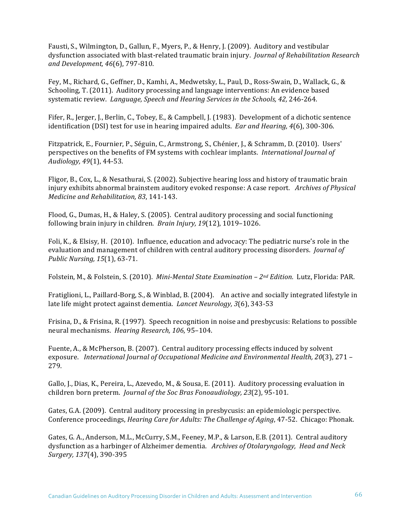Fausti, S., Wilmington, D., Gallun, F., Myers, P., & Henry, J. (2009). Auditory and vestibular dysfunction associated with blast-related traumatic brain injury. *Journal of Rehabilitation Research and Development, 46*(6), 797-810.

Fey, M., Richard, G., Geffner, D., Kamhi, A., Medwetsky, L., Paul, D., Ross-Swain, D., Wallack, G., & Schooling, T. (2011). Auditory processing and language interventions: An evidence based systematic review. *Language, Speech and Hearing Services in the Schools, 42, 246-264.* 

Fifer, R., Jerger, J., Berlin, C., Tobey, E., & Campbell, J. (1983). Development of a dichotic sentence identification (DSI) test for use in hearing impaired adults. *Ear and Hearing,* 4(6), 300-306.

Fitzpatrick, E., Fournier, P., Séguin, C., Armstrong, S., Chénier, J., & Schramm, D. (2010). Users' perspectives on the benefits of FM systems with cochlear implants. *International Journal of Audiology, 49*(1), 44-53.

Fligor, B., Cox, L., & Nesathurai, S. (2002). Subjective hearing loss and history of traumatic brain injury exhibits abnormal brainstem auditory evoked response: A case report. Archives of Physical *Medicine and Rehabilitation, 83, 141-143.* 

Flood, G., Dumas, H., & Haley, S. (2005). Central auditory processing and social functioning following brain injury in children. *Brain Injury, 19*(12), 1019-1026.

Foli, K., & Elsisy, H. (2010). Influence, education and advocacy: The pediatric nurse's role in the evaluation and management of children with central auditory processing disorders. *Journal of Public Nursing, 15*(1), 63-71.

Folstein, M., & Folstein, S. (2010). *Mini-Mental State Examination - 2<sup>nd</sup> Edition.* Lutz, Florida: PAR.

Fratiglioni, L., Paillard-Borg, S., & Winblad, B. (2004). An active and socially integrated lifestyle in late life might protect against dementia. *Lancet Neurology*, 3(6), 343-53

Frisina, D., & Frisina, R. (1997). Speech recognition in noise and presbycusis: Relations to possible neural mechanisms. *Hearing Research, 106, 95-104.* 

Fuente, A., & McPherson, B. (2007). Central auditory processing effects induced by solvent exposure. International Journal of Occupational Medicine and Environmental Health, 20(3), 271 -279.

Gallo, J., Dias, K., Pereira, L., Azevedo, M., & Sousa, E. (2011). Auditory processing evaluation in children born preterm. *Journal of the Soc Bras Fonoaudiology, 23*(2), 95-101.

Gates, G.A. (2009). Central auditory processing in presbycusis: an epidemiologic perspective. Conference proceedings, *Hearing Care for Adults: The Challenge of Aging*, 47-52. Chicago: Phonak.

Gates, G. A., Anderson, M.L., McCurry, S.M., Feeney, M.P., & Larson, E.B. (2011). Central auditory dysfunction as a harbinger of Alzheimer dementia. Archives of Otolaryngology, Head and Neck *Surgery, 137*(4), 390-395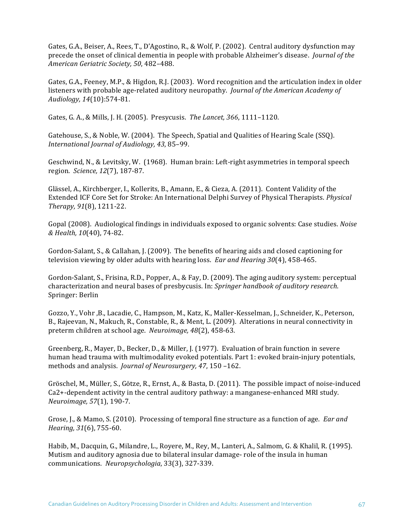Gates, G.A., Beiser, A., Rees, T., D'Agostino, R., & Wolf, P. (2002). Central auditory dysfunction may precede the onset of clinical dementia in people with probable Alzheimer's disease. *Journal of the American Geriatric Society, 50*, 482–488.

Gates, G.A., Feeney, M.P., & Higdon, R.J. (2003). Word recognition and the articulation index in older listeners with probable age-related auditory neuropathy. *Journal of the American Academy of Audiology, 14*(10):574-81. 

Gates, G. A., & Mills, J. H. (2005). Presycusis. The Lancet, 366, 1111-1120.

Gatehouse, S., & Noble, W. (2004). The Speech, Spatial and Qualities of Hearing Scale (SSQ). *International Journal of Audiology, 43*, 85–99.

Geschwind, N., & Levitsky, W. (1968). Human brain: Left-right asymmetries in temporal speech region. *Science, 12*(7), 187-87.

Glässel, A., Kirchberger, I., Kollerits, B., Amann, E., & Cieza, A. (2011). Content Validity of the Extended ICF Core Set for Stroke: An International Delphi Survey of Physical Therapists. *Physical Therapy, 91*(8), 1211-22. 

Gopal (2008). Audiological findings in individuals exposed to organic solvents: Case studies. *Noise & Health, 10*(40), 74-82.

Gordon-Salant, S., & Callahan, J. (2009). The benefits of hearing aids and closed captioning for television viewing by older adults with hearing loss. *Ear and Hearing 30*(4), 458-465.

Gordon-Salant, S., Frisina, R.D., Popper, A., & Fay, D. (2009). The aging auditory system: perceptual characterization and neural bases of presbycusis. In: *Springer handbook of auditory research*. Springer: Berlin

Gozzo, Y., Vohr ,B., Lacadie, C., Hampson, M., Katz, K., Maller-Kesselman, J., Schneider, K., Peterson, B., Rajeevan, N., Makuch, R., Constable, R., & Ment, L. (2009). Alterations in neural connectivity in preterm children at school age. *Neuroimage*, 48(2), 458-63.

Greenberg, R., Mayer, D., Becker, D., & Miller, J. (1977). Evaluation of brain function in severe human head trauma with multimodality evoked potentials. Part 1: evoked brain-injury potentials, methods and analysis. *Journal of Neurosurgery, 47, 150 -162.* 

Gröschel, M., Müller, S., Götze, R., Ernst, A., & Basta, D. (2011). The possible impact of noise-induced Ca2+-dependent activity in the central auditory pathway: a manganese-enhanced MRI study. *Neuroimage, 57*(1), 190-7. 

Grose, J., & Mamo, S. (2010). Processing of temporal fine structure as a function of age. *Ear and Hearing,* 31(6), 755-60.

Habib, M., Dacquin, G., Milandre, L., Royere, M., Rey, M., Lanteri, A., Salmom, G. & Khalil, R. (1995). Mutism and auditory agnosia due to bilateral insular damage- role of the insula in human communications. *Neuropsychologia*, 33(3), 327-339.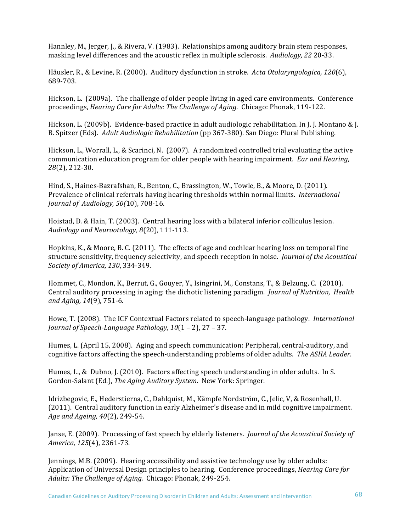Hannley, M., Jerger, J., & Rivera, V. (1983). Relationships among auditory brain stem responses, masking level differences and the acoustic reflex in multiple sclerosis. *Audiology, 22* 20-33.

Häusler, R., & Levine, R. (2000). Auditory dysfunction in stroke. Acta Otolaryngologica, 120(6). 689-703.

Hickson, L. (2009a). The challenge of older people living in aged care environments. Conference proceedings, *Hearing Care for Adults: The Challenge of Aging.* Chicago: Phonak, 119-122.

Hickson, L. (2009b). Evidence-based practice in adult audiologic rehabilitation. In J. J. Montano & J. B. Spitzer (Eds). Adult Audiologic Rehabilitation (pp 367-380). San Diego: Plural Publishing.

Hickson, L., Worrall, L., & Scarinci, N.  $(2007)$ . A randomized controlled trial evaluating the active communication education program for older people with hearing impairment. *Ear and Hearing*, *28*(2), 212-30.

Hind, S., Haines-Bazrafshan, R., Benton, C., Brassington, W., Towle, B., & Moore, D. (2011). Prevalence of clinical referrals having hearing thresholds within normal limits. *International Journal of Audiology, 50(10), 708-16.* 

Hoistad, D. & Hain, T. (2003). Central hearing loss with a bilateral inferior colliculus lesion. *Audiology and Neurootology*, *8*(20), 111-113.

Hopkins, K., & Moore, B. C. (2011). The effects of age and cochlear hearing loss on temporal fine structure sensitivity, frequency selectivity, and speech reception in noise. *Journal of the Acoustical Society of America, 130*, 334-349. 

Hommet, C., Mondon, K., Berrut, G., Gouyer, Y., Isingrini, M., Constans, T., & Belzung, C. (2010). Central auditory processing in aging: the dichotic listening paradigm. *Journal of Nutrition, Health* and Aging, 14(9), 751-6.

Howe, T. (2008). The ICF Contextual Factors related to speech-language pathology. *International Journal of Speech-Language Pathology,*  $10(1 – 2)$ , 27 – 37.

Humes, L. (April 15, 2008). Aging and speech communication: Peripheral, central-auditory, and cognitive factors affecting the speech-understanding problems of older adults. The ASHA Leader.

Humes, L., & Dubno, J. (2010). Factors affecting speech understanding in older adults. In S. Gordon-Salant (Ed.), *The Aging Auditory System.* New York: Springer.

Idrizbegovic, E., Hederstierna, C., Dahlquist, M., Kämpfe Nordström, C., Jelic, V, & Rosenhall, U. (2011). Central auditory function in early Alzheimer's disease and in mild cognitive impairment. *Age and Ageing, 40*(2), 249-54.

Janse, E. (2009). Processing of fast speech by elderly listeners. *Journal of the Acoustical Society of America, 125*(4), 2361-73.

Jennings, M.B. (2009). Hearing accessibility and assistive technology use by older adults: Application of Universal Design principles to hearing. Conference proceedings, *Hearing Care for* Adults: The Challenge of Aging. Chicago: Phonak, 249-254.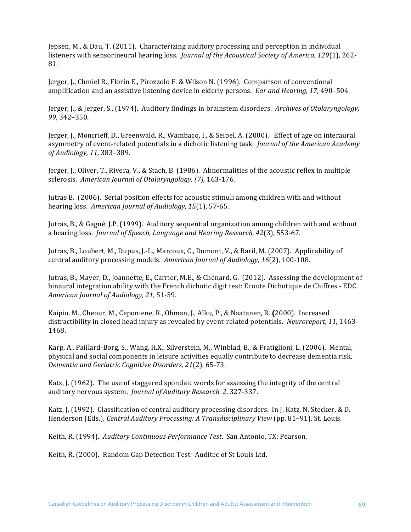Jepsen, M., & Dau, T. (2011). Characterizing auditory processing and perception in individual listeners with sensorineural hearing loss. *Journal of the Acoustical Society of America, 129*(1), 262-81.

Jerger, J., Chmiel R., Florin E., Pirozzolo F. & Wilson N. (1996). Comparison of conventional amplification and an assistive listening device in elderly persons. *Ear and Hearing, 17,* 490–504.

Jerger, J., & Jerger, S., (1974). Auditory findings in brainstem disorders. *Archives of Otolaryngology*, *99*, 342–350.

Jerger, J., Moncrieff, D., Greenwald, R., Wambacq, I., & Seipel, A. (2000). Effect of age on interaural asymmetry of event-related potentials in a dichotic listening task. *Journal of the American Academy of Audiology, 11*, 383–389.

Jerger, J., Oliver, T., Rivera, V., & Stach, B. (1986). Abnormalities of the acoustic reflex in multiple sclerosis. American Journal of Otolaryngology, (7), 163-176.

Jutras B. (2006). Serial position effects for acoustic stimuli among children with and without hearing loss. American Journal of Audiology, 15(1), 57-65.

Jutras, B., & Gagné, J.P. (1999). Auditory sequential organization among children with and without a hearing loss. *Journal of Speech, Language and Hearing Research, 42*(3), 553-67.

Jutras, B., Loubert, M., Dupus, J.-L., Marcoux, C., Dumont, V., & Baril, M. (2007). Applicability of central auditory processing models. *American Journal of Audiology*, 16(2), 100-108.

Jutras, B., Mayer, D., Joannette, E., Carrier, M.E., & Chénard, G. (2012). Assessing the development of binaural integration ability with the French dichotic digit test: Ecoute Dichotique de Chiffres - EDC. *American Journal of Audiology, 21*, 51-59.

Kaipio, M., Cheour, M., Ceponiene, R., Ohman, J., Alku, P., & Naatanen, R. (2000). Increased distractibility in closed head injury as revealed by event-related potentials. Neuroreport, 11, 1463-1468. 

Karp, A., Paillard-Borg, S., Wang, H.X., Silverstein, M., Winblad, B., & Fratiglioni, L. (2006). Mental, physical and social components in leisure activities equally contribute to decrease dementia risk. *Dementia and Geriatric Cognitive Disorders, 21*(2), 65-73.

Katz,  $I.$  (1962). The use of staggered spondaic words for assessing the integrity of the central auditory nervous system. *Journal of Auditory Research.* 2, 327-337.

Katz, J. (1992). Classification of central auditory processing disorders. In J. Katz, N. Stecker, & D. Henderson (Eds.), *Central Auditory Processing: A Transdisciplinary View* (pp. 81–91). St. Louis.

Keith, R. (1994). *Auditory Continuous Performance Test.* San Antonio, TX: Pearson.

Keith, R. (2000). Random Gap Detection Test. Auditec of St Louis Ltd.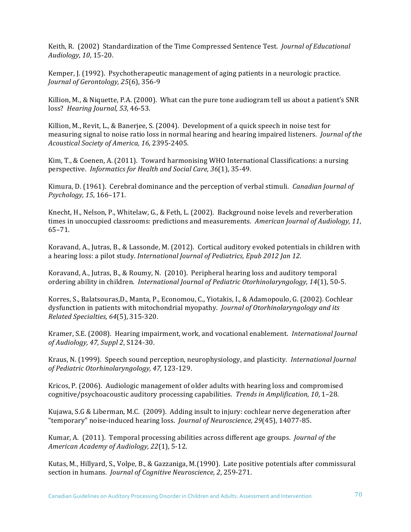Keith, R. (2002) Standardization of the Time Compressed Sentence Test. *Journal of Educational Audiology, 10*, 15-20.

Kemper, J. (1992). Psychotherapeutic management of aging patients in a neurologic practice. *Journal of Gerontology, 25*(6), 356-9

Killion, M., & Niquette, P.A. (2000). What can the pure tone audiogram tell us about a patient's SNR loss? *Hearing Journal, 53*, 46-53.

Killion, M., Revit, L., & Banerjee, S. (2004). Development of a quick speech in noise test for measuring signal to noise ratio loss in normal hearing and hearing impaired listeners. *Journal of the Acoustical Society of America, 16*, 2395-2405.

Kim, T., & Coenen, A. (2011). Toward harmonising WHO International Classifications: a nursing perspective. *Informatics for Health and Social Care, 36*(1), 35-49.

Kimura, D. (1961). Cerebral dominance and the perception of verbal stimuli. *Canadian Journal of Psychology, 15*, 166–171.

Knecht, H., Nelson, P., Whitelaw, G., & Feth, L. (2002). Background noise levels and reverberation times in unoccupied classrooms: predictions and measurements. American Journal of Audiology, 11, 65–71.

Koravand, A., Jutras, B., & Lassonde, M. (2012). Cortical auditory evoked potentials in children with a hearing loss: a pilot study. *International Journal of Pediatrics, Epub 2012 Jan 12*.

Koravand, A., Jutras, B., & Roumy, N. (2010). Peripheral hearing loss and auditory temporal ordering ability in children. *International Journal of Pediatric Otorhinolaryngology, 14*(1), 50-5.

Korres, S., Balatsouras,D., Manta, P., Economou, C., Yiotakis, I., & Adamopoulo, G. (2002). Cochlear dysfunction in patients with mitochondrial myopathy. *Journal of Otorhinolaryngology and its Related Specialties, 64*(5), 315-320. 

Kramer, S.E. (2008). Hearing impairment, work, and vocational enablement. *International Journal of Audiology, 47, Suppl 2*, S124-30.

Kraus, N. (1999). Speech sound perception, neurophysiology, and plasticity. *International Journal of Pediatric Otorhinolaryngology, 47,* 123-129.

Kricos, P. (2006). Audiologic management of older adults with hearing loss and compromised cognitive/psychoacoustic auditory processing capabilities. *Trends in Amplification, 10, 1-28.* 

Kujawa, S.G & Liberman, M.C.  $(2009)$ . Adding insult to injury: cochlear nerve degeneration after "temporary" noise-induced hearing loss. *Journal of Neuroscience, 29*(45), 14077-85.

Kumar, A. (2011). Temporal processing abilities across different age groups. *Journal of the American Academy of Audiology, 22*(1), 5-12.

Kutas, M., Hillyard, S., Volpe, B., & Gazzaniga, M.(1990). Late positive potentials after commissural section in humans. *Journal of Cognitive Neuroscience*, 2, 259-271.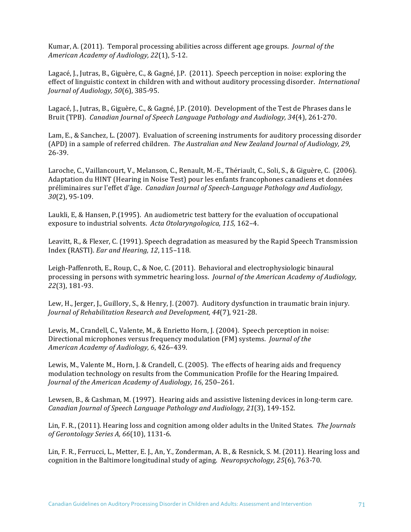Kumar, A. (2011). Temporal processing abilities across different age groups. *Journal of the American Academy of Audiology, 22*(1), 5-12.

Lagacé, J., Jutras, B., Giguère, C., & Gagné, J.P. (2011). Speech perception in noise: exploring the effect of linguistic context in children with and without auditory processing disorder. *International Journal of Audiology, 50*(6), 385-95.

Lagacé, J., Jutras, B., Giguère, C., & Gagné, J.P. (2010). Development of the Test de Phrases dans le Bruit (TPB). *Canadian Journal of Speech Language Pathology and Audiology, 34*(4), 261-270.

Lam, E., & Sanchez, L. (2007). Evaluation of screening instruments for auditory processing disorder (APD) in a sample of referred children. *The Australian and New Zealand Journal of Audiology, 29,* 26-39.

Laroche, C., Vaillancourt, V., Melanson, C., Renault, M.-E., Thériault, C., Soli, S., & Giguère, C. (2006). Adaptation du HINT (Hearing in Noise Test) pour les enfants francophones canadiens et données préliminaires sur l'effet d'âge. *Canadian Journal of Speech-Language Pathology and Audiology*, *30*(2), 95-109.

Laukli, E, & Hansen, P.(1995). An audiometric test battery for the evaluation of occupational exposure to industrial solvents. Acta Otolaryngologica, 115, 162-4.

Leavitt, R., & Flexer, C. (1991). Speech degradation as measured by the Rapid Speech Transmission Index (RASTI). *Ear and Hearing, 12*, 115–118.

Leigh-Paffenroth, E., Roup, C., & Noe, C. (2011). Behavioral and electrophysiologic binaural processing in persons with symmetric hearing loss. *Journal of the American Academy of Audiology*, *22*(3), 181-93.

Lew, H., Jerger, J., Guillory, S., & Henry, J. (2007). Auditory dysfunction in traumatic brain injury. *Journal of Rehabilitation Research and Development, 44*(7), 921-28.

Lewis, M., Crandell, C., Valente, M., & Enrietto Horn, J. (2004). Speech perception in noise: Directional microphones versus frequency modulation (FM) systems. *Journal of the American Academy of Audiology, 6*, 426–439.

Lewis, M., Valente M., Horn, J. & Crandell, C. (2005). The effects of hearing aids and frequency modulation technology on results from the Communication Profile for the Hearing Impaired. *Journal of the American Academy of Audiology, 16, 250-261.* 

Lewsen, B., & Cashman, M. (1997). Hearing aids and assistive listening devices in long-term care. *Canadian Journal of Speech Language Pathology and Audiology, 21*(3), 149-152.

Lin, F. R., (2011). Hearing loss and cognition among older adults in the United States. *The Journals of Gerontology Series A, 66*(10), 1131-6.

Lin, F. R., Ferrucci, L., Metter, E. J., An, Y., Zonderman, A. B., & Resnick, S. M. (2011). Hearing loss and cognition in the Baltimore longitudinal study of aging. *Neuropsychology,* 25(6), 763-70.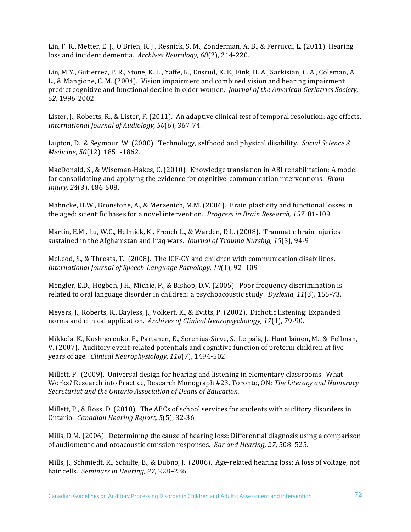Lin, F. R., Metter, E. J., O'Brien, R. J., Resnick, S. M., Zonderman, A. B., & Ferrucci, L. (2011). Hearing loss and incident dementia. Archives Neurology, 68(2), 214-220.

Lin, M.Y., Gutierrez, P. R., Stone, K. L., Yaffe, K., Ensrud, K. E., Fink, H. A., Sarkisian, C. A., Coleman, A. L., & Mangione, C. M. (2004). Vision impairment and combined vision and hearing impairment predict cognitive and functional decline in older women. *Journal of the American Geriatrics Society*, *52*, 1996-2002.

Lister, J., Roberts, R., & Lister, F. (2011). An adaptive clinical test of temporal resolution: age effects. *International Journal of Audiology, 50*(6), 367-74. 

Lupton, D., & Seymour, W. (2000). Technology, selfhood and physical disability. Social Science & *Medicine,* 50(12), 1851-1862.

MacDonald, S., & Wiseman-Hakes, C. (2010). Knowledge translation in ABI rehabilitation: A model for consolidating and applying the evidence for cognitive-communication interventions. *Brain Injury, 24*(3), 486-508.

Mahncke, H.W., Bronstone, A., & Merzenich, M.M. (2006). Brain plasticity and functional losses in the aged: scientific bases for a novel intervention. *Progress in Brain Research*, 157, 81-109.

Martin, E.M., Lu, W.C., Helmick, K., French L., & Warden, D.L. (2008). Traumatic brain injuries sustained in the Afghanistan and Iraq wars. *Journal of Trauma Nursing, 15*(3), 94-9

McLeod, S., & Threats, T. (2008). The ICF-CY and children with communication disabilities. *International Journal of Speech-Language Pathology, 10*(1), 92-109

Mengler, E.D., Hogben, J.H., Michie, P., & Bishop, D.V. (2005). Poor frequency discrimination is related to oral language disorder in children: a psychoacoustic study. *Dyslexia,* 11(3), 155-73.

Meyers, J., Roberts, R., Bayless, J., Volkert, K., & Evitts, P. (2002). Dichotic listening: Expanded norms and clinical application. Archives of Clinical Neuropsychology, 17(1), 79-90.

Mikkola, K., Kushnerenko, E., Partanen, E., Serenius-Sirve, S., Leipälä, J., Huotilainen, M., & Fellman, V. (2007). Auditory event-related potentials and cognitive function of preterm children at five years of age. *Clinical Neurophysiology, 118*(7), 1494-502.

Millett, P. (2009). Universal design for hearing and listening in elementary classrooms. What Works? Research into Practice, Research Monograph #23. Toronto, ON: *The Literacy and Numeracy* Secretariat and the Ontario Association of Deans of Education.

Millett, P., & Ross, D. (2010). The ABCs of school services for students with auditory disorders in Ontario. *Canadian Hearing Report,* 5(5), 32-36.

Mills, D.M. (2006). Determining the cause of hearing loss: Differential diagnosis using a comparison of audiometric and otoacoustic emission responses. *Ear and Hearing, 27,* 508–525.

Mills, J., Schmiedt, R., Schulte, B., & Dubno, J. (2006). Age-related hearing loss: A loss of voltage, not hair cells. Seminars in Hearing, 27, 228–236.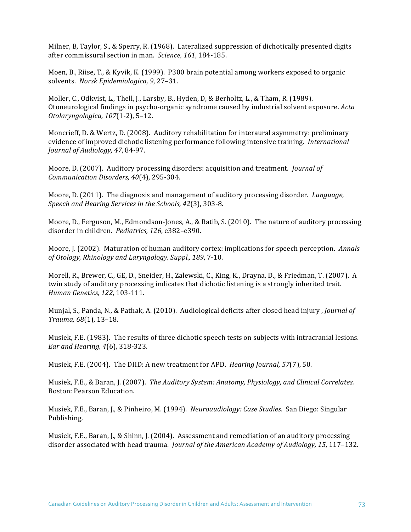Milner, B, Taylor, S., & Sperry, R.  $(1968)$ . Lateralized suppression of dichotically presented digits after commissural section in man. Science, 161, 184-185.

Moen, B., Riise, T., & Kyvik, K. (1999). P300 brain potential among workers exposed to organic solvents. Norsk Epidemiologica, 9, 27-31.

Moller, C., Odkvist, L., Thell, J., Larsby, B., Hyden, D. & Berholtz, L., & Tham, R. (1989). Otoneurological findings in psycho-organic syndrome caused by industrial solvent exposure. *Acta Otolaryngologica, 107*(1-2), 5–12.

Moncrieff, D. & Wertz, D. (2008). Auditory rehabilitation for interaural asymmetry: preliminary evidence of improved dichotic listening performance following intensive training. *International Journal of Audiology, 47*, 84-97.

Moore, D. (2007). Auditory processing disorders: acquisition and treatment. *Journal of Communication Disorders, 40*(4), 295-304.

Moore, D. (2011). The diagnosis and management of auditory processing disorder. *Language*, *Speech and Hearing Services in the Schools, 42*(3), 303-8.

Moore, D., Ferguson, M., Edmondson-Jones, A., & Ratib, S. (2010). The nature of auditory processing disorder in children. *Pediatrics*, 126, e382-e390.

Moore, J. (2002). Maturation of human auditory cortex: implications for speech perception. *Annals of Otology, Rhinology and Laryngology, Suppl., 189*, 7-10.

Morell, R., Brewer, C., GE, D., Sneider, H., Zalewski, C., King, K., Drayna, D., & Friedman, T. (2007). A twin study of auditory processing indicates that dichotic listening is a strongly inherited trait. *Human Genetics, 122*, 103-111.

Munjal, S., Panda, N., & Pathak, A. (2010). Audiological deficits after closed head injury, *Journal of Trauma, 68*(1), 13–18.

Musiek, F.E. (1983). The results of three dichotic speech tests on subjects with intracranial lesions. *Ear and Hearing, 4*(6), 318-323.

Musiek, F.E. (2004). The DIID: A new treatment for APD. *Hearing Journal, 57*(7), 50.

Musiek, F.E., & Baran, J. (2007). *The Auditory System: Anatomy, Physiology, and Clinical Correlates.* Boston: Pearson Education.

Musiek, F.E., Baran, J., & Pinheiro, M. (1994). Neuroaudiology: Case Studies. San Diego: Singular Publishing.

Musiek, F.E., Baran, J., & Shinn, J. (2004). Assessment and remediation of an auditory processing disorder associated with head trauma. *Journal of the American Academy of Audiology, 15, 117-132.*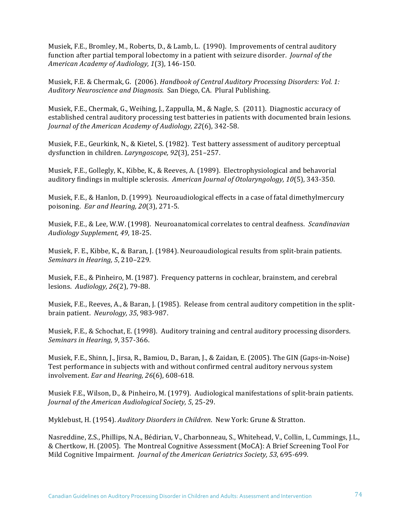Musiek, F.E., Bromley, M., Roberts, D., & Lamb, L. (1990). Improvements of central auditory function after partial temporal lobectomy in a patient with seizure disorder. *Journal of the American Academy of Audiology, 1*(3), 146-150.

Musiek, F.E. & Chermak, G. (2006). *Handbook of Central Auditory Processing Disorders: Vol. 1: Auditory Neuroscience and Diagnosis.* San Diego, CA. Plural Publishing.

Musiek, F.E., Chermak, G., Weihing, J., Zappulla, M., & Nagle, S. (2011). Diagnostic accuracy of established central auditory processing test batteries in patients with documented brain lesions. *Journal of the American Academy of Audiology, 22(6), 342-58.* 

Musiek, F.E., Geurkink, N., & Kietel, S. (1982). Test battery assessment of auditory perceptual dysfunction in children. *Laryngoscope*, 92(3), 251-257.

Musiek, F.E., Gollegly, K., Kibbe, K., & Reeves, A. (1989). Electrophysiological and behavorial auditory findings in multiple sclerosis. *American Journal of Otolaryngology, 10*(5), 343-350.

Musiek, F.E., & Hanlon, D. (1999). Neuroaudiological effects in a case of fatal dimethylmercury poisoning. *Ear and Hearing, 20*(3), 271-5.

Musiek, F.E., & Lee, W.W. (1998). Neuroanatomical correlates to central deafness. *Scandinavian Audiology Supplement, 49*, 18-25.

Musiek, F. E., Kibbe, K., & Baran, J. (1984). Neuroaudiological results from split-brain patients. *Seminars in Hearing, 5, 210-229.* 

Musiek, F.E., & Pinheiro, M. (1987). Frequency patterns in cochlear, brainstem, and cerebral lesions. *Audiology*, 26(2), 79-88.

Musiek, F.E., Reeves, A., & Baran, J. (1985). Release from central auditory competition in the splitbrain patient. *Neurology*, 35, 983-987.

Musiek, F.E., & Schochat, E. (1998). Auditory training and central auditory processing disorders. *Seminars in Hearing, 9, 357-366.* 

Musiek, F.E., Shinn, J., Jirsa, R., Bamiou, D., Baran, J., & Zaidan, E. (2005). The GIN (Gaps-in-Noise) Test performance in subjects with and without confirmed central auditory nervous system involvement. *Ear and Hearing, 26*(6), 608-618.

Musiek F.E., Wilson, D., & Pinheiro, M. (1979). Audiological manifestations of split-brain patients. *Journal of the American Audiological Society, 5, 25-29.* 

Myklebust, H. (1954). *Auditory Disorders in Children*. New York: Grune & Stratton.

Nasreddine, Z.S., Phillips, N.A., Bédirian, V., Charbonneau, S., Whitehead, V., Collin, I., Cummings, J.L., & Chertkow, H. (2005). The Montreal Cognitive Assessment (MoCA): A Brief Screening Tool For Mild Cognitive Impairment. *Journal of the American Geriatrics Society,* 53, 695-699.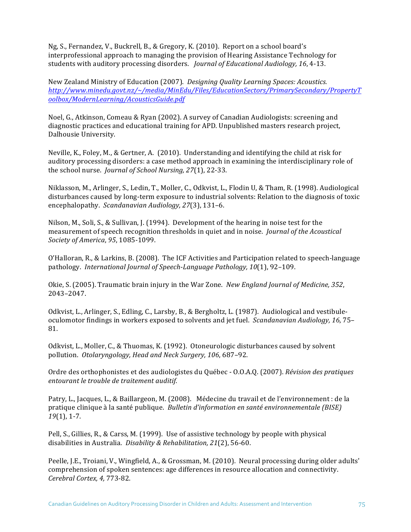Ng, S., Fernandez, V., Buckrell, B., & Gregory, K. (2010). Report on a school board's interprofessional approach to managing the provision of Hearing Assistance Technology for students with auditory processing disorders. *Journal of Educational Audiology*, 16, 4-13.

New Zealand Ministry of Education (2007). *Designing Quality Learning Spaces: Acoustics. http://www.minedu.govt.nz/~/media/MinEdu/Files/EducationSectors/PrimarySecondary/PropertyT oolbox/ModernLearning/AcousticsGuide.pdf*

Noel, G., Atkinson, Comeau & Ryan (2002). A survey of Canadian Audiologists: screening and diagnostic practices and educational training for APD. Unpublished masters research project, Dalhousie University.

Neville, K., Foley, M., & Gertner, A. (2010). Understanding and identifying the child at risk for auditory processing disorders: a case method approach in examining the interdisciplinary role of the school nurse. *Journal of School Nursing, 27*(1), 22-33.

Niklasson, M., Arlinger, S., Ledin, T., Moller, C., Odkvist, L., Flodin U, & Tham, R. (1998). Audiological disturbances caused by long-term exposure to industrial solvents: Relation to the diagnosis of toxic encephalopathy. *Scandanavian Audiology, 27*(3), 131-6.

Nilson, M., Soli, S., & Sullivan, J. (1994). Development of the hearing in noise test for the measurement of speech recognition thresholds in quiet and in noise. *Journal of the Acoustical Society of America*, *95*, 1085-1099.

O'Halloran, R., & Larkins, B. (2008). The ICF Activities and Participation related to speech-language pathology. *International Journal of Speech-Language Pathology, 10*(1), 92–109.

Okie, S. (2005). Traumatic brain injury in the War Zone. New England Journal of Medicine, 352, 2043–2047.

Odkvist, L., Arlinger, S., Edling, C., Larsby, B., & Bergholtz, L. (1987). Audiological and vestibuleoculomotor findings in workers exposed to solvents and jet fuel. *Scandanavian Audiology*, 16, 75– 81.

Odkvist, L., Moller, C., & Thuomas, K. (1992). Otoneurologic disturbances caused by solvent pollution. Otolaryngology, Head and Neck Surgery, 106, 687-92.

Ordre des orthophonistes et des audiologistes du Québec - O.O.A.O. (2007). *Révision des pratiques entourant le trouble de traitement auditif.*

Patry, L., Jacques, L., & Baillargeon, M. (2008). Médecine du travail et de l'environnement : de la pratique clinique à la santé publique. *Bulletin d'information en santé environnementale (BISE) 19*(1), 1-7.

Pell, S., Gillies, R., & Carss, M. (1999). Use of assistive technology by people with physical disabilities in Australia. *Disability & Rehabilitation*, 21(2), 56-60.

Peelle, J.E., Troiani, V., Wingfield, A., & Grossman, M. (2010). Neural processing during older adults' comprehension of spoken sentences: age differences in resource allocation and connectivity. *Cerebral Cortex, 4,* 773-82.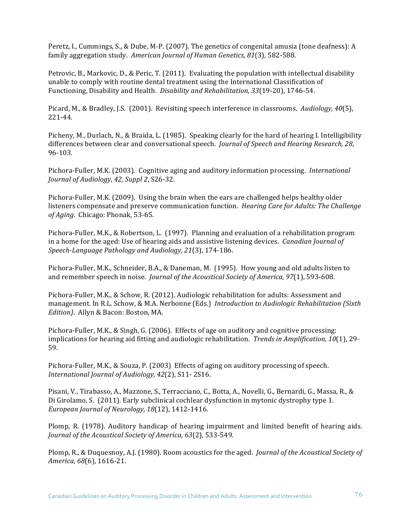Peretz, I., Cummings, S., & Dube, M-P. (2007). The genetics of congenital amusia (tone deafness): A family aggregation study. American Journal of Human Genetics, 81(3), 582-588.

Petrovic, B., Markovic, D., & Peric, T. (2011). Evaluating the population with intellectual disability unable to comply with routine dental treatment using the International Classification of Functioning, Disability and Health. *Disability and Rehabilitation*, 33(19-20), 1746-54.

Picard, M., & Bradley, J.S. (2001). Revisiting speech interference in classrooms. Audiology, 40(5), 221-44.

Picheny, M., Durlach, N., & Braida, L. (1985). Speaking clearly for the hard of hearing I. Intelligibility differences between clear and conversational speech. *Journal of Speech and Hearing Research, 28*, 96-103.

Pichora-Fuller, M.K. (2003). Cognitive aging and auditory information processing. *International Journal of Audiology, 42, Suppl 2, S26-32.* 

Pichora-Fuller, M.K. (2009). Using the brain when the ears are challenged helps healthy older listeners compensate and preserve communication function. *Hearing Care for Adults: The Challenge of Aging.* Chicago: Phonak, 53-65.

Pichora-Fuller, M.K., & Robertson, L. (1997). Planning and evaluation of a rehabilitation program in a home for the aged: Use of hearing aids and assistive listening devices. *Canadian Journal of Speech-Language Pathology and Audiology, 21*(3), 174-186.

Pichora-Fuller, M.K., Schneider, B.A., & Daneman, M. (1995). How young and old adults listen to and remember speech in noise. *Journal of the Acoustical Society of America, 97*(1), 593-608.

Pichora-Fuller, M.K., & Schow, R. (2012). Audiologic rehabilitation for adults: Assessment and management. In R.L. Schow, & M.A. Nerbonne (Eds.) *Introduction to Audiologic Rehabilitation (Sixth Edition*). Allyn & Bacon: Boston, MA.

Pichora-Fuller, M.K., & Singh, G. (2006). Effects of age on auditory and cognitive processing: implications for hearing aid fitting and audiologic rehabilitation. *Trends in Amplification*, 10(1), 29-59.

Pichora-Fuller, M.K., & Souza, P. (2003) Effects of aging on auditory processing of speech. *International Journal of Audiology, 42(2), S11-2S16.* 

Pisani, V., Tirabasso, A., Mazzone, S., Terracciano, C., Botta, A., Novelli, G., Bernardi, G., Massa, R., & Di Girolamo, S. (2011). Early subclinical cochlear dysfunction in mytonic dystrophy type 1. *European Journal of Neurology, 18*(12), 1412-1416.

Plomp, R. (1978). Auditory handicap of hearing impairment and limited benefit of hearing aids. *Journal of the Acoustical Society of America, 63*(2), 533-549.

Plomp, R., & Duquesnoy, A.J. (1980). Room acoustics for the aged. *Journal of the Acoustical Society of America, 68*(6), 1616-21.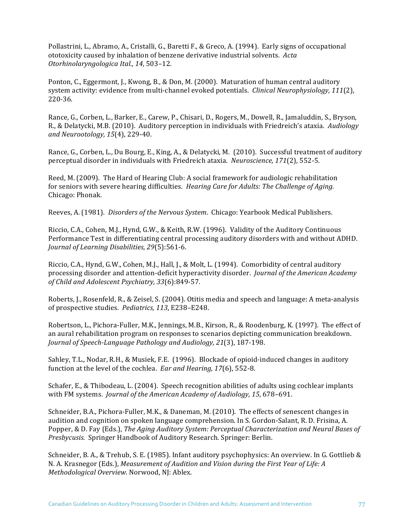Pollastrini, L., Abramo, A., Cristalli, G., Baretti F., & Greco, A. (1994). Early signs of occupational ototoxicity caused by inhalation of benzene derivative industrial solvents. Acta *Otorhinolaryngologica Ital., 14*, 503–12. 

Ponton, C., Eggermont, J., Kwong, B., & Don, M. (2000). Maturation of human central auditory system activity: evidence from multi-channel evoked potentials. *Clinical Neurophysiology*, 111(2), 220-36.

Rance, G., Corben, L., Barker, E., Carew, P., Chisari, D., Rogers, M., Dowell, R., Jamaluddin, S., Bryson, R., & Delatycki, M.B. (2010). Auditory perception in individuals with Friedreich's ataxia. *Audiology* and Neurootology, 15(4), 229-40.

Rance, G., Corben, L., Du Bourg, E., King, A., & Delatycki, M. (2010). Successful treatment of auditory perceptual disorder in individuals with Friedreich ataxia. *Neuroscience,* 171(2), 552-5.

Reed, M. (2009). The Hard of Hearing Club: A social framework for audiologic rehabilitation for seniors with severe hearing difficulties. *Hearing Care for Adults: The Challenge of Aging.* Chicago: Phonak.

Reeves, A. (1981). *Disorders of the Nervous System.* Chicago: Yearbook Medical Publishers.

Riccio, C.A., Cohen, M.J., Hynd, G.W., & Keith, R.W. (1996). Validity of the Auditory Continuous Performance Test in differentiating central processing auditory disorders with and without ADHD. *Journal of Learning Disabilities, 29*(5):561-6.

Riccio, C.A., Hynd, G.W., Cohen, M.J., Hall, J., & Molt, L. (1994). Comorbidity of central auditory processing disorder and attention-deficit hyperactivity disorder. *Journal of the American Academy of Child and Adolescent Psychiatry, 33*(6):849-57.

Roberts, J., Rosenfeld, R., & Zeisel, S. (2004). Otitis media and speech and language: A meta-analysis of prospective studies. Pediatrics, 113, E238-E248.

Robertson, L., Pichora-Fuller, M.K., Jennings, M.B., Kirson, R., & Roodenburg, K. (1997). The effect of an aural rehabilitation program on responses to scenarios depicting communication breakdown. *Journal of Speech-Language Pathology and Audiology, 21*(3), 187-198.

Sahley, T.L., Nodar, R.H., & Musiek, F.E. (1996). Blockade of opioid-induced changes in auditory function at the level of the cochlea. *Ear and Hearing*, 17(6), 552-8.

Schafer, E., & Thibodeau, L. (2004). Speech recognition abilities of adults using cochlear implants with FM systems. *Journal of the American Academy of Audiology, 15*, 678-691.

Schneider, B.A., Pichora-Fuller, M.K., & Daneman, M. (2010). The effects of senescent changes in audition and cognition on spoken language comprehension. In S. Gordon-Salant, R. D. Frisina, A. Popper, & D. Fay (Eds.), *The Aging Auditory System: Perceptual Characterization and Neural Bases of Presbycusis*. Springer Handbook of Auditory Research. Springer: Berlin.

Schneider, B. A., & Trehub, S. E. (1985). Infant auditory psychophysics: An overview. In G. Gottlieb & N. A. Krasnegor (Eds.), *Measurement of Audition and Vision during the First Year of Life: A Methodological Overview.* Norwood, NJ: Ablex.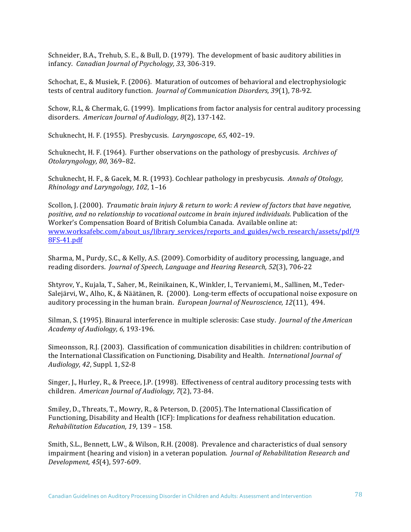Schneider, B.A., Trehub, S. E., & Bull, D. (1979). The development of basic auditory abilities in infancy. *Canadian Journal of Psychology, 33*, 306-319.

Schochat, E., & Musiek, F. (2006). Maturation of outcomes of behavioral and electrophysiologic tests of central auditory function. *Journal of Communication Disorders, 39*(1), 78-92.

Schow, R.L, & Chermak, G. (1999). Implications from factor analysis for central auditory processing disorders. American Journal of Audiology, 8(2), 137-142.

Schuknecht, H. F. (1955). Presbycusis. *Laryngoscope*, 65, 402–19.

Schuknecht, H. F. (1964). Further observations on the pathology of presbycusis. Archives of *Otolaryngology, 80*, 369–82.

Schuknecht, H. F., & Gacek, M. R. (1993). Cochlear pathology in presbycusis. *Annals of Otology*, *Rhinology and Laryngology, 102, 1-16* 

Scollon, J. (2000). *Traumatic brain injury & return to work: A review of factors that have negative,* positive, and no relationship to vocational outcome in brain injured individuals. Publication of the Worker's Compensation Board of British Columbia Canada. Available online at: www.worksafebc.com/about\_us/library\_services/reports\_and\_guides/wcb\_research/assets/pdf/9 8FS-41.pdf

Sharma, M., Purdy, S.C., & Kelly, A.S. (2009). Comorbidity of auditory processing, language, and reading disorders. *Journal of Speech, Language and Hearing Research, 52(3), 706-22* 

Shtyrov, Y., Kujala, T., Saher, M., Reinikainen, K., Winkler, I., Tervaniemi, M., Sallinen, M., Teder-Salejärvi, W., Alho, K., & Näätänen, R. (2000). Long-term effects of occupational noise exposure on auditory processing in the human brain. *European Journal of Neuroscience, 12*(11), 494.

Silman, S. (1995). Binaural interference in multiple sclerosis: Case study. *Journal of the American Academy of Audiology, 6,* 193-196.

Simeonsson, R.J. (2003). Classification of communication disabilities in children: contribution of the International Classification on Functioning, Disability and Health. *International Journal of Audiology, 42*, Suppl. 1, S2-8 

Singer, J., Hurley, R., & Preece, J.P. (1998). Effectiveness of central auditory processing tests with children. American Journal of Audiology, 7(2), 73-84.

Smiley, D., Threats, T., Mowry, R., & Peterson, D. (2005). The International Classification of Functioning, Disability and Health (ICF): Implications for deafness rehabilitation education. *Rehabilitation Education, 19, 139 - 158.* 

Smith, S.L., Bennett, L.W., & Wilson, R.H. (2008). Prevalence and characteristics of dual sensory impairment (hearing and vision) in a veteran population. *Journal of Rehabilitation Research and Development, 45*(4), 597-609.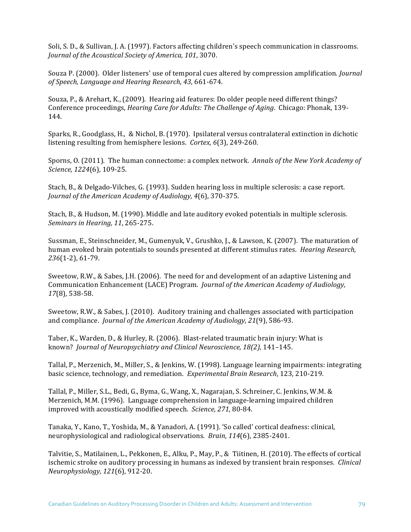Soli, S. D., & Sullivan, J. A. (1997). Factors affecting children's speech communication in classrooms. *Journal of the Acoustical Society of America, 101, 3070.* 

Souza P. (2000). Older listeners' use of temporal cues altered by compression amplification. *Journal of Speech, Language and Hearing Research, 43*, 661-674. 

Souza, P., & Arehart, K., (2009). Hearing aid features: Do older people need different things? Conference proceedings, *Hearing Care for Adults: The Challenge of Aging.* Chicago: Phonak, 139-144.

Sparks, R., Goodglass, H., & Nichol, B. (1970). Ipsilateral versus contralateral extinction in dichotic listening resulting from hemisphere lesions. *Cortex,* 6(3), 249-260.

Sporns, O. (2011). The human connectome: a complex network. Annals of the New York Academy of *Science, 1224*(6), 109-25. 

Stach, B., & Delgado-Vilches, G. (1993). Sudden hearing loss in multiple sclerosis: a case report. Journal of the American Academy of Audiology, 4(6), 370-375.

Stach, B., & Hudson, M. (1990). Middle and late auditory evoked potentials in multiple sclerosis. *Seminars in Hearing, 11, 265-275.* 

Sussman, E., Steinschneider, M., Gumenyuk, V., Grushko, J., & Lawson, K. (2007). The maturation of human evoked brain potentials to sounds presented at different stimulus rates. *Hearing Research*, *236*(1-2), 61-79.

Sweetow, R.W., & Sabes, J.H. (2006). The need for and development of an adaptive Listening and Communication Enhancement (LACE) Program. *Journal of the American Academy of Audiology*, *17*(8), 538-58.

Sweetow, R.W., & Sabes, J. (2010). Auditory training and challenges associated with participation and compliance. *Journal of the American Academy of Audiology, 21*(9), 586-93.

Taber, K., Warden, D., & Hurley, R. (2006). Blast-related traumatic brain injury: What is known? *Journal of Neuropsychiatry and Clinical Neuroscience, 18(2),* 141–145. 

Tallal, P., Merzenich, M., Miller, S., & Jenkins, W. (1998). Language learning impairments: integrating basic science, technology, and remediation. Experimental Brain Research, 123, 210-219.

Tallal, P., Miller, S.L., Bedi, G., Byma, G., Wang, X., Nagarajan, S. Schreiner, C. Jenkins, W.M. & Merzenich, M.M. (1996). Language comprehension in language-learning impaired children improved with acoustically modified speech. *Science*, 271, 80-84.

Tanaka, Y., Kano, T., Yoshida, M., & Yanadori, A. (1991). 'So called' cortical deafness: clinical, neurophysiological and radiological observations. *Brain, 114*(6), 2385-2401.

Talvitie, S., Matilainen, L., Pekkonen, E., Alku, P., May, P., & Tiitinen, H. (2010). The effects of cortical ischemic stroke on auditory processing in humans as indexed by transient brain responses. *Clinical Neurophysiology, 121*(6), 912-20.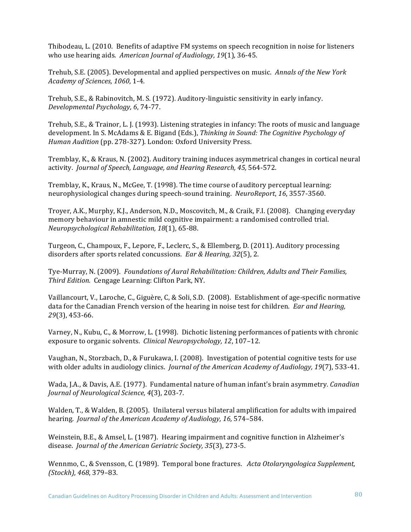Thibodeau, L. (2010. Benefits of adaptive FM systems on speech recognition in noise for listeners who use hearing aids. American Journal of Audiology, 19(1), 36-45.

Trehub, S.E. (2005). Developmental and applied perspectives on music. Annals of the New York *Academy of Sciences, 1060*, 1-4.

Trehub, S.E., & Rabinovitch, M. S. (1972). Auditory-linguistic sensitivity in early infancy. *Developmental Psychology, 6*, 74-77.

Trehub, S.E., & Trainor, L. J. (1993). Listening strategies in infancy: The roots of music and language development. In S. McAdams & E. Bigand (Eds.), *Thinking in Sound: The Cognitive Psychology of Human Audition* (pp. 278-327). London: Oxford University Press.

Tremblay, K., & Kraus, N. (2002). Auditory training induces asymmetrical changes in cortical neural activity. Journal of Speech, Language, and Hearing Research, 45, 564-572.

Tremblay, K., Kraus, N., McGee, T. (1998). The time course of auditory perceptual learning: neurophysiological changes during speech-sound training. *NeuroReport*, 16, 3557-3560.

Troyer, A.K., Murphy, K.J., Anderson, N.D., Moscovitch, M., & Craik, F.I. (2008). Changing everyday memory behaviour in amnestic mild cognitive impairment: a randomised controlled trial. *Neuropsychological Rehabilitation, 18*(1), 65-88.

Turgeon, C., Champoux, F., Lepore, F., Leclerc, S., & Ellemberg, D. (2011). Auditory processing disorders after sports related concussions. *Ear & Hearing, 32*(5), 2.

Tye-Murray, N. (2009). *Foundations of Aural Rehabilitation: Children, Adults and Their Families, Third Edition.* Cengage Learning: Clifton Park, NY.

Vaillancourt, V., Laroche, C., Giguère, C. & Soli, S.D. (2008). Establishment of age-specific normative data for the Canadian French version of the hearing in noise test for children. *Ear and Hearing*, *29*(3), 453-66.

Varney, N., Kubu, C., & Morrow, L. (1998). Dichotic listening performances of patients with chronic exposure to organic solvents. *Clinical Neuropsychology, 12, 107-12.* 

Vaughan, N., Storzbach, D., & Furukawa, I. (2008). Investigation of potential cognitive tests for use with older adults in audiology clinics. *Journal of the American Academy of Audiology, 19*(7), 533-41.

Wada, J.A., & Davis, A.E. (1977). Fundamental nature of human infant's brain asymmetry. *Canadian Journal of Neurological Science, 4*(3), 203-7.

Walden, T., & Walden, B. (2005). Unilateral versus bilateral amplification for adults with impaired hearing. *Journal of the American Academy of Audiology, 16,* 574–584.

Weinstein, B.E., & Amsel, L. (1987). Hearing impairment and cognitive function in Alzheimer's disease. *Journal of the American Geriatric Society, 35*(3), 273-5.

Wennmo, C., & Svensson, C. (1989). Temporal bone fractures. Acta Otolaryngologica Supplement, *(Stockh), 468*, 379–83.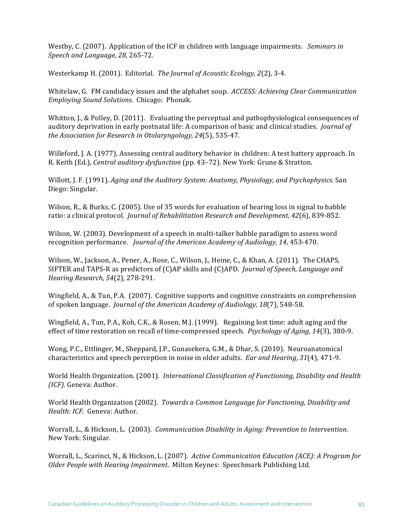Westby, C. (2007). Application of the ICF in children with language impairments. *Seminars in Speech and Language, 28*, 265-72.

Westerkamp H. (2001). Editorial. *The Journal of Acoustic Ecology, 2*(2), 3-4.

Whitelaw, G. FM candidacy issues and the alphabet soup. *ACCESS: Achieving Clear Communication Employing Sound Solutions.* Chicago: Phonak.

Whitton, J., & Polley, D. (2011). Evaluating the perceptual and pathophysiological consequences of auditory deprivation in early postnatal life: A comparison of basic and clinical studies. *Journal of the Association for Research in Otolaryngology, 24*(5), 535-47.

Willeford, J. A. (1977). Assessing central auditory behavior in children: A test battery approach. In R. Keith (Ed.), *Central auditory dysfunction* (pp. 43-72). New York: Grune & Stratton.

Willott, J. F. (1991). *Aging and the Auditory System: Anatomy, Physiology, and Psychophysics.* San Diego: Singular.

Wilson, R., & Burks, C. (2005). Use of 35 words for evaluation of hearing loss in signal to babble ratio: a clinical protocol. *Journal of Rehabilitation Research and Development, 42*(6), 839-852.

Wilson, W. (2003). Development of a speech in multi-talker babble paradigm to assess word recognition performance. *Journal of the American Academy of Audiology, 14, 453-470.* 

Wilson, W., Jackson, A., Pener, A., Rose, C., Wilson, J., Heine, C., & Khan, A. (2011). The CHAPS, SIFTER and TAPS-R as predictors of (C)AP skills and (C)APD. *Journal of Speech, Language and Hearing Research, 54*(2), 278-291. 

Wingfield, A., & Tun, P.A. (2007). Cognitive supports and cognitive constraints on comprehension of spoken language. *Journal of the American Academy of Audiology, 18*(7), 548-58.

Wingfield, A., Tun, P.A., Koh, C.K., & Rosen, M.J. (1999). Regaining lost time: adult aging and the effect of time restoration on recall of time-compressed speech. *Psychology of Aging, 14*(3), 380-9.

Wong, P.C., Ettlinger, M., Sheppard, J.P., Gunasekera, G.M., & Dhar, S. (2010). Neuroanatomical characteristics and speech perception in noise in older adults. *Ear and Hearing, 31*(4), 471-9.

World Health Organization. (2001). *International Classification of Functioning, Disability and Health (ICF).* Geneva: Author.

World Health Organization (2002). *Towards a Common Language for Functioning, Disability and Health: ICF.* Geneva: Author.

Worrall, L., & Hickson, L. (2003). *Communication Disability in Aging: Prevention to Intervention.* New York: Singular.

Worrall, L., Scarinci, N., & Hickson, L. (2007). Active Communication Education (ACE): A Program for *Older People with Hearing Impairment.* Milton Keynes: Speechmark Publishing Ltd.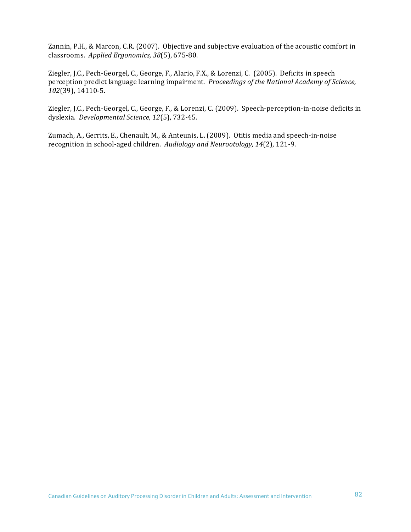Zannin, P.H., & Marcon, C.R. (2007). Objective and subjective evaluation of the acoustic comfort in classrooms. *Applied Ergonomics, 38*(5), 675-80.

Ziegler, J.C., Pech-Georgel, C., George, F., Alario, F.X., & Lorenzi, C. (2005). Deficits in speech perception predict language learning impairment. *Proceedings of the National Academy of Science*, *102*(39), 14110-5.

Ziegler, J.C., Pech-Georgel, C., George, F., & Lorenzi, C. (2009). Speech-perception-in-noise deficits in dyslexia. *Developmental Science, 12*(5), 732-45.

Zumach, A., Gerrits, E., Chenault, M., & Anteunis, L. (2009). Otitis media and speech-in-noise recognition in school-aged children. Audiology and Neurootology, 14(2), 121-9.